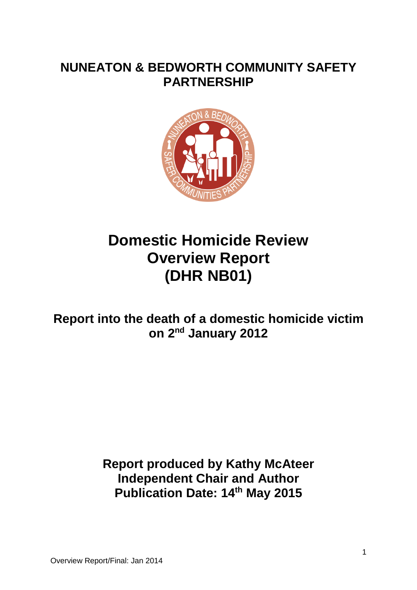# **NUNEATON & BEDWORTH COMMUNITY SAFETY PARTNERSHIP**



# **Domestic Homicide Review Overview Report (DHR NB01)**

**Report into the death of a domestic homicide victim on 2nd January 2012**

> **Report produced by Kathy McAteer Independent Chair and Author Publication Date: 14th May 2015**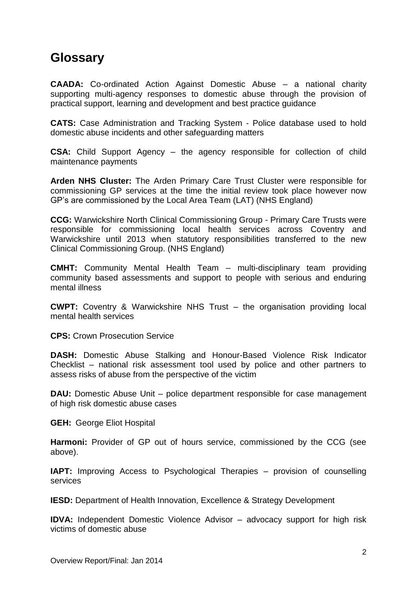# **Glossary**

**CAADA:** Co-ordinated Action Against Domestic Abuse – a national charity supporting multi-agency responses to domestic abuse through the provision of practical support, learning and development and best practice guidance

**CATS:** Case Administration and Tracking System - Police database used to hold domestic abuse incidents and other safeguarding matters

**CSA:** Child Support Agency – the agency responsible for collection of child maintenance payments

**Arden NHS Cluster:** The Arden Primary Care Trust Cluster were responsible for commissioning GP services at the time the initial review took place however now GP's are commissioned by the Local Area Team (LAT) (NHS England)

**CCG:** Warwickshire North Clinical Commissioning Group - Primary Care Trusts were responsible for commissioning local health services across Coventry and Warwickshire until 2013 when statutory responsibilities transferred to the new Clinical Commissioning Group. (NHS England)

**CMHT:** Community Mental Health Team – multi-disciplinary team providing community based assessments and support to people with serious and enduring mental illness

**CWPT:** Coventry & Warwickshire NHS Trust – the organisation providing local mental health services

**CPS:** Crown Prosecution Service

**DASH:** Domestic Abuse Stalking and Honour-Based Violence Risk Indicator Checklist – national risk assessment tool used by police and other partners to assess risks of abuse from the perspective of the victim

**DAU:** Domestic Abuse Unit – police department responsible for case management of high risk domestic abuse cases

**GEH:** George Eliot Hospital

**Harmoni:** Provider of GP out of hours service, commissioned by the CCG (see above).

**IAPT:** Improving Access to Psychological Therapies – provision of counselling services

**IESD:** Department of Health Innovation, Excellence & Strategy Development

**IDVA:** Independent Domestic Violence Advisor – advocacy support for high risk victims of domestic abuse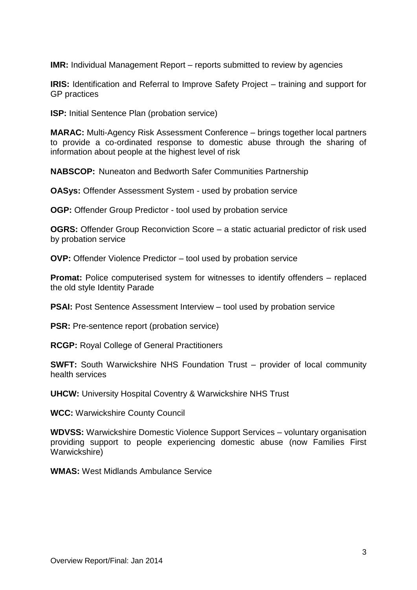**IMR:** Individual Management Report – reports submitted to review by agencies

**IRIS:** Identification and Referral to Improve Safety Project – training and support for GP practices

**ISP:** Initial Sentence Plan (probation service)

**MARAC:** Multi-Agency Risk Assessment Conference – brings together local partners to provide a co-ordinated response to domestic abuse through the sharing of information about people at the highest level of risk

**NABSCOP:** Nuneaton and Bedworth Safer Communities Partnership

**OASys:** Offender Assessment System - used by probation service

**OGP:** Offender Group Predictor - tool used by probation service

**OGRS:** Offender Group Reconviction Score – a static actuarial predictor of risk used by probation service

**OVP:** Offender Violence Predictor – tool used by probation service

**Promat:** Police computerised system for witnesses to identify offenders – replaced the old style Identity Parade

**PSAI:** Post Sentence Assessment Interview – tool used by probation service

**PSR:** Pre-sentence report (probation service)

**RCGP:** Royal College of General Practitioners

**SWFT:** South Warwickshire NHS Foundation Trust – provider of local community health services

**UHCW:** University Hospital Coventry & Warwickshire NHS Trust

**WCC:** Warwickshire County Council

**WDVSS:** Warwickshire Domestic Violence Support Services – voluntary organisation providing support to people experiencing domestic abuse (now Families First Warwickshire)

**WMAS:** West Midlands Ambulance Service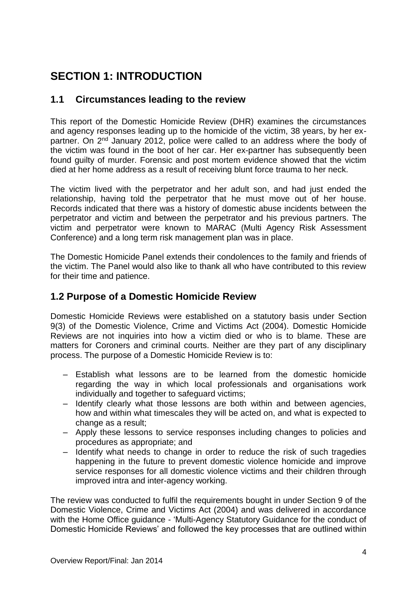# **SECTION 1: INTRODUCTION**

### **1.1 Circumstances leading to the review**

This report of the Domestic Homicide Review (DHR) examines the circumstances and agency responses leading up to the homicide of the victim, 38 years, by her expartner. On 2<sup>nd</sup> January 2012, police were called to an address where the body of the victim was found in the boot of her car. Her ex-partner has subsequently been found guilty of murder. Forensic and post mortem evidence showed that the victim died at her home address as a result of receiving blunt force trauma to her neck.

The victim lived with the perpetrator and her adult son, and had just ended the relationship, having told the perpetrator that he must move out of her house. Records indicated that there was a history of domestic abuse incidents between the perpetrator and victim and between the perpetrator and his previous partners. The victim and perpetrator were known to MARAC (Multi Agency Risk Assessment Conference) and a long term risk management plan was in place.

The Domestic Homicide Panel extends their condolences to the family and friends of the victim. The Panel would also like to thank all who have contributed to this review for their time and patience.

## **1.2 Purpose of a Domestic Homicide Review**

Domestic Homicide Reviews were established on a statutory basis under Section 9(3) of the Domestic Violence, Crime and Victims Act (2004). Domestic Homicide Reviews are not inquiries into how a victim died or who is to blame. These are matters for Coroners and criminal courts. Neither are they part of any disciplinary process. The purpose of a Domestic Homicide Review is to:

- Establish what lessons are to be learned from the domestic homicide regarding the way in which local professionals and organisations work individually and together to safeguard victims;
- Identify clearly what those lessons are both within and between agencies, how and within what timescales they will be acted on, and what is expected to change as a result;
- Apply these lessons to service responses including changes to policies and procedures as appropriate; and
- Identify what needs to change in order to reduce the risk of such tragedies happening in the future to prevent domestic violence homicide and improve service responses for all domestic violence victims and their children through improved intra and inter-agency working.

The review was conducted to fulfil the requirements bought in under Section 9 of the Domestic Violence, Crime and Victims Act (2004) and was delivered in accordance with the Home Office guidance - 'Multi-Agency Statutory Guidance for the conduct of Domestic Homicide Reviews' and followed the key processes that are outlined within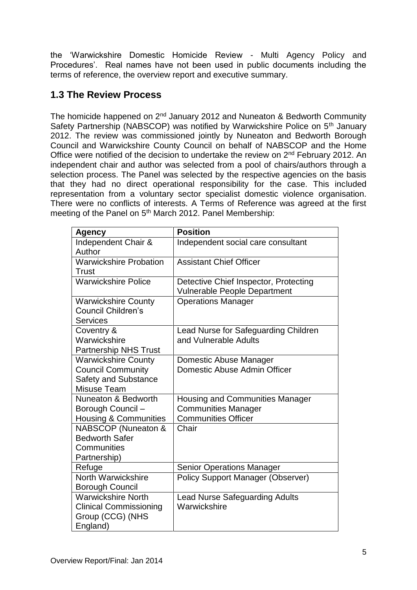the 'Warwickshire Domestic Homicide Review - Multi Agency Policy and Procedures'. Real names have not been used in public documents including the terms of reference, the overview report and executive summary.

# **1.3 The Review Process**

The homicide happened on  $2^{nd}$  January 2012 and Nuneaton & Bedworth Community Safety Partnership (NABSCOP) was notified by Warwickshire Police on 5<sup>th</sup> January 2012. The review was commissioned jointly by Nuneaton and Bedworth Borough Council and Warwickshire County Council on behalf of NABSCOP and the Home Office were notified of the decision to undertake the review on 2nd February 2012. An independent chair and author was selected from a pool of chairs/authors through a selection process. The Panel was selected by the respective agencies on the basis that they had no direct operational responsibility for the case. This included representation from a voluntary sector specialist domestic violence organisation. There were no conflicts of interests. A Terms of Reference was agreed at the first meeting of the Panel on 5<sup>th</sup> March 2012. Panel Membership:

| <b>Agency</b>                 | <b>Position</b>                          |
|-------------------------------|------------------------------------------|
| Independent Chair &           | Independent social care consultant       |
| Author                        |                                          |
| <b>Warwickshire Probation</b> | <b>Assistant Chief Officer</b>           |
| <b>Trust</b>                  |                                          |
| <b>Warwickshire Police</b>    | Detective Chief Inspector, Protecting    |
|                               | <b>Vulnerable People Department</b>      |
| <b>Warwickshire County</b>    | <b>Operations Manager</b>                |
| <b>Council Children's</b>     |                                          |
| <b>Services</b>               |                                          |
| Coventry &                    | Lead Nurse for Safeguarding Children     |
| Warwickshire                  | and Vulnerable Adults                    |
| <b>Partnership NHS Trust</b>  |                                          |
| <b>Warwickshire County</b>    | Domestic Abuse Manager                   |
| <b>Council Community</b>      | Domestic Abuse Admin Officer             |
| <b>Safety and Substance</b>   |                                          |
| Misuse Team                   |                                          |
| Nuneaton & Bedworth           | <b>Housing and Communities Manager</b>   |
| Borough Council -             | <b>Communities Manager</b>               |
| Housing & Communities         | <b>Communities Officer</b>               |
| NABSCOP (Nuneaton &           | Chair                                    |
| <b>Bedworth Safer</b>         |                                          |
| Communities                   |                                          |
| Partnership)                  |                                          |
| Refuge                        | <b>Senior Operations Manager</b>         |
| North Warwickshire            | <b>Policy Support Manager (Observer)</b> |
| <b>Borough Council</b>        |                                          |
| <b>Warwickshire North</b>     | <b>Lead Nurse Safeguarding Adults</b>    |
| <b>Clinical Commissioning</b> | Warwickshire                             |
| Group (CCG) (NHS              |                                          |
| England)                      |                                          |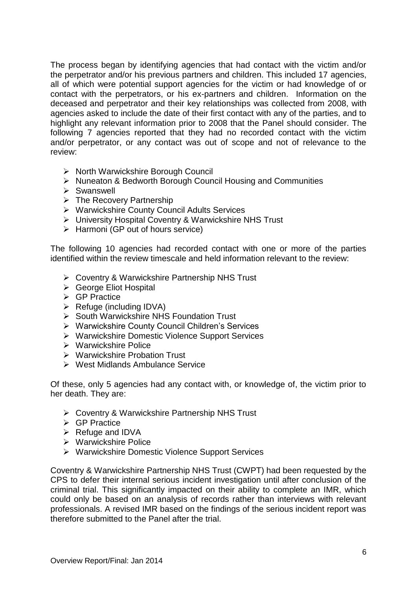The process began by identifying agencies that had contact with the victim and/or the perpetrator and/or his previous partners and children. This included 17 agencies, all of which were potential support agencies for the victim or had knowledge of or contact with the perpetrators, or his ex-partners and children. Information on the deceased and perpetrator and their key relationships was collected from 2008, with agencies asked to include the date of their first contact with any of the parties, and to highlight any relevant information prior to 2008 that the Panel should consider. The following 7 agencies reported that they had no recorded contact with the victim and/or perpetrator, or any contact was out of scope and not of relevance to the review:

- $\triangleright$  North Warwickshire Borough Council
- $\triangleright$  Nuneaton & Bedworth Borough Council Housing and Communities
- Swanswell
- $\triangleright$  The Recovery Partnership
- Warwickshire County Council Adults Services
- University Hospital Coventry & Warwickshire NHS Trust
- $\triangleright$  Harmoni (GP out of hours service)

The following 10 agencies had recorded contact with one or more of the parties identified within the review timescale and held information relevant to the review:

- Coventry & Warwickshire Partnership NHS Trust
- ▶ George Eliot Hospital
- **► GP Practice**
- $\triangleright$  Refuge (including IDVA)
- **► South Warwickshire NHS Foundation Trust**
- Warwickshire County Council Children's Services
- Warwickshire Domestic Violence Support Services
- $\triangleright$  Warwickshire Police
- Warwickshire Probation Trust
- $\triangleright$  West Midlands Ambulance Service

Of these, only 5 agencies had any contact with, or knowledge of, the victim prior to her death. They are:

- Coventry & Warwickshire Partnership NHS Trust
- **► GP Practice**
- $\triangleright$  Refuge and IDVA
- $\triangleright$  Warwickshire Police
- Warwickshire Domestic Violence Support Services

Coventry & Warwickshire Partnership NHS Trust (CWPT) had been requested by the CPS to defer their internal serious incident investigation until after conclusion of the criminal trial. This significantly impacted on their ability to complete an IMR, which could only be based on an analysis of records rather than interviews with relevant professionals. A revised IMR based on the findings of the serious incident report was therefore submitted to the Panel after the trial.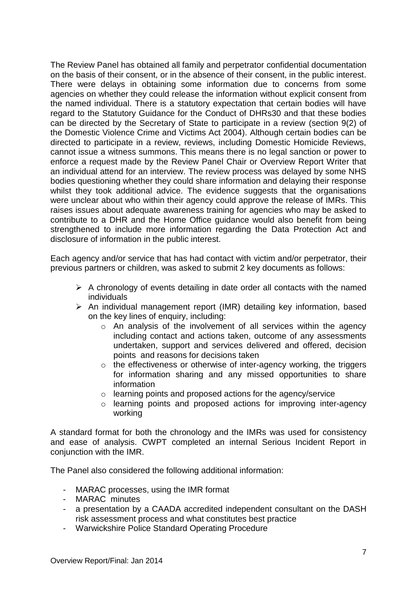The Review Panel has obtained all family and perpetrator confidential documentation on the basis of their consent, or in the absence of their consent, in the public interest. There were delays in obtaining some information due to concerns from some agencies on whether they could release the information without explicit consent from the named individual. There is a statutory expectation that certain bodies will have regard to the Statutory Guidance for the Conduct of DHRs30 and that these bodies can be directed by the Secretary of State to participate in a review (section 9(2) of the Domestic Violence Crime and Victims Act 2004). Although certain bodies can be directed to participate in a review, reviews, including Domestic Homicide Reviews, cannot issue a witness summons. This means there is no legal sanction or power to enforce a request made by the Review Panel Chair or Overview Report Writer that an individual attend for an interview. The review process was delayed by some NHS bodies questioning whether they could share information and delaying their response whilst they took additional advice. The evidence suggests that the organisations were unclear about who within their agency could approve the release of IMRs. This raises issues about adequate awareness training for agencies who may be asked to contribute to a DHR and the Home Office guidance would also benefit from being strengthened to include more information regarding the Data Protection Act and disclosure of information in the public interest.

Each agency and/or service that has had contact with victim and/or perpetrator, their previous partners or children, was asked to submit 2 key documents as follows:

- $\triangleright$  A chronology of events detailing in date order all contacts with the named individuals
- $\triangleright$  An individual management report (IMR) detailing key information, based on the key lines of enquiry, including:
	- o An analysis of the involvement of all services within the agency including contact and actions taken, outcome of any assessments undertaken, support and services delivered and offered, decision points and reasons for decisions taken
	- $\circ$  the effectiveness or otherwise of inter-agency working, the triggers for information sharing and any missed opportunities to share information
	- o learning points and proposed actions for the agency/service
	- o learning points and proposed actions for improving inter-agency working

A standard format for both the chronology and the IMRs was used for consistency and ease of analysis. CWPT completed an internal Serious Incident Report in conjunction with the IMR.

The Panel also considered the following additional information:

- MARAC processes, using the IMR format
- MARAC minutes
- a presentation by a CAADA accredited independent consultant on the DASH risk assessment process and what constitutes best practice
- Warwickshire Police Standard Operating Procedure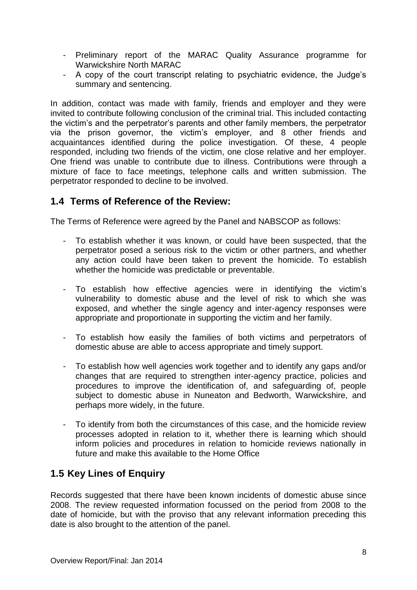- Preliminary report of the MARAC Quality Assurance programme for Warwickshire North MARAC
- A copy of the court transcript relating to psychiatric evidence, the Judge's summary and sentencing.

In addition, contact was made with family, friends and employer and they were invited to contribute following conclusion of the criminal trial. This included contacting the victim's and the perpetrator's parents and other family members, the perpetrator via the prison governor, the victim's employer, and 8 other friends and acquaintances identified during the police investigation. Of these, 4 people responded, including two friends of the victim, one close relative and her employer. One friend was unable to contribute due to illness. Contributions were through a mixture of face to face meetings, telephone calls and written submission. The perpetrator responded to decline to be involved.

### **1.4 Terms of Reference of the Review:**

The Terms of Reference were agreed by the Panel and NABSCOP as follows:

- To establish whether it was known, or could have been suspected, that the perpetrator posed a serious risk to the victim or other partners, and whether any action could have been taken to prevent the homicide. To establish whether the homicide was predictable or preventable.
- To establish how effective agencies were in identifying the victim's vulnerability to domestic abuse and the level of risk to which she was exposed, and whether the single agency and inter-agency responses were appropriate and proportionate in supporting the victim and her family.
- To establish how easily the families of both victims and perpetrators of domestic abuse are able to access appropriate and timely support.
- To establish how well agencies work together and to identify any gaps and/or changes that are required to strengthen inter-agency practice, policies and procedures to improve the identification of, and safeguarding of, people subject to domestic abuse in Nuneaton and Bedworth, Warwickshire, and perhaps more widely, in the future.
- To identify from both the circumstances of this case, and the homicide review processes adopted in relation to it, whether there is learning which should inform policies and procedures in relation to homicide reviews nationally in future and make this available to the Home Office

# **1.5 Key Lines of Enquiry**

Records suggested that there have been known incidents of domestic abuse since 2008. The review requested information focussed on the period from 2008 to the date of homicide, but with the proviso that any relevant information preceding this date is also brought to the attention of the panel.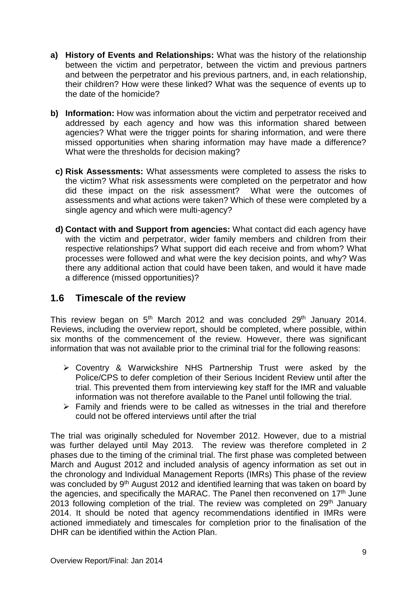- **a) History of Events and Relationships:** What was the history of the relationship between the victim and perpetrator, between the victim and previous partners and between the perpetrator and his previous partners, and, in each relationship, their children? How were these linked? What was the sequence of events up to the date of the homicide?
- **b) Information:** How was information about the victim and perpetrator received and addressed by each agency and how was this information shared between agencies? What were the trigger points for sharing information, and were there missed opportunities when sharing information may have made a difference? What were the thresholds for decision making?
	- **c) Risk Assessments:** What assessments were completed to assess the risks to the victim? What risk assessments were completed on the perpetrator and how did these impact on the risk assessment? What were the outcomes of assessments and what actions were taken? Which of these were completed by a single agency and which were multi-agency?
	- **d) Contact with and Support from agencies:** What contact did each agency have with the victim and perpetrator, wider family members and children from their respective relationships? What support did each receive and from whom? What processes were followed and what were the key decision points, and why? Was there any additional action that could have been taken, and would it have made a difference (missed opportunities)?

# **1.6 Timescale of the review**

This review began on  $5<sup>th</sup>$  March 2012 and was concluded 29<sup>th</sup> January 2014. Reviews, including the overview report, should be completed, where possible, within six months of the commencement of the review. However, there was significant information that was not available prior to the criminal trial for the following reasons:

- Coventry & Warwickshire NHS Partnership Trust were asked by the Police/CPS to defer completion of their Serious Incident Review until after the trial. This prevented them from interviewing key staff for the IMR and valuable information was not therefore available to the Panel until following the trial.
- $\triangleright$  Family and friends were to be called as witnesses in the trial and therefore could not be offered interviews until after the trial

The trial was originally scheduled for November 2012. However, due to a mistrial was further delayed until May 2013. The review was therefore completed in 2 phases due to the timing of the criminal trial. The first phase was completed between March and August 2012 and included analysis of agency information as set out in the chronology and Individual Management Reports (IMRs) This phase of the review was concluded by 9<sup>th</sup> August 2012 and identified learning that was taken on board by the agencies, and specifically the MARAC. The Panel then reconvened on  $17<sup>th</sup>$  June 2013 following completion of the trial. The review was completed on 29<sup>th</sup> January 2014. It should be noted that agency recommendations identified in IMRs were actioned immediately and timescales for completion prior to the finalisation of the DHR can be identified within the Action Plan.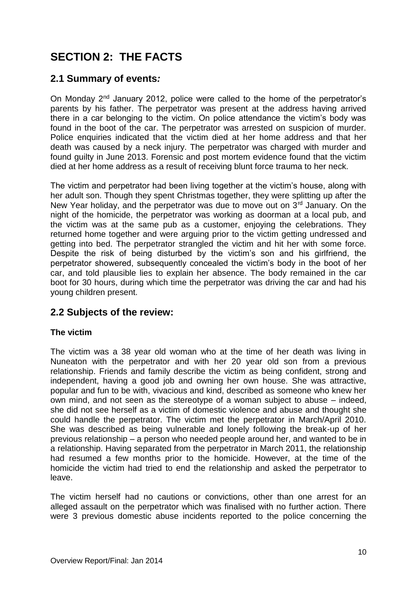# **SECTION 2: THE FACTS**

# **2.1 Summary of events***:*

On Monday 2nd January 2012, police were called to the home of the perpetrator's parents by his father. The perpetrator was present at the address having arrived there in a car belonging to the victim. On police attendance the victim's body was found in the boot of the car. The perpetrator was arrested on suspicion of murder. Police enquiries indicated that the victim died at her home address and that her death was caused by a neck injury. The perpetrator was charged with murder and found guilty in June 2013. Forensic and post mortem evidence found that the victim died at her home address as a result of receiving blunt force trauma to her neck.

The victim and perpetrator had been living together at the victim's house, along with her adult son. Though they spent Christmas together, they were splitting up after the New Year holiday, and the perpetrator was due to move out on  $3<sup>rd</sup>$  January. On the night of the homicide, the perpetrator was working as doorman at a local pub, and the victim was at the same pub as a customer, enjoying the celebrations. They returned home together and were arguing prior to the victim getting undressed and getting into bed. The perpetrator strangled the victim and hit her with some force. Despite the risk of being disturbed by the victim's son and his girlfriend, the perpetrator showered, subsequently concealed the victim's body in the boot of her car, and told plausible lies to explain her absence. The body remained in the car boot for 30 hours, during which time the perpetrator was driving the car and had his young children present.

### **2.2 Subjects of the review:**

### **The victim**

The victim was a 38 year old woman who at the time of her death was living in Nuneaton with the perpetrator and with her 20 year old son from a previous relationship. Friends and family describe the victim as being confident, strong and independent, having a good job and owning her own house. She was attractive, popular and fun to be with, vivacious and kind, described as someone who knew her own mind, and not seen as the stereotype of a woman subject to abuse – indeed, she did not see herself as a victim of domestic violence and abuse and thought she could handle the perpetrator. The victim met the perpetrator in March/April 2010. She was described as being vulnerable and lonely following the break-up of her previous relationship – a person who needed people around her, and wanted to be in a relationship. Having separated from the perpetrator in March 2011, the relationship had resumed a few months prior to the homicide. However, at the time of the homicide the victim had tried to end the relationship and asked the perpetrator to leave.

The victim herself had no cautions or convictions, other than one arrest for an alleged assault on the perpetrator which was finalised with no further action. There were 3 previous domestic abuse incidents reported to the police concerning the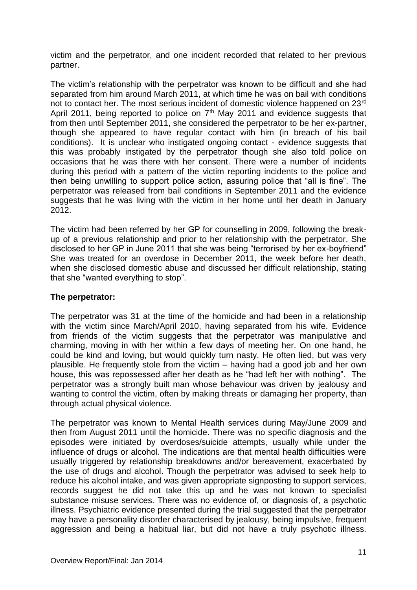victim and the perpetrator, and one incident recorded that related to her previous partner.

The victim's relationship with the perpetrator was known to be difficult and she had separated from him around March 2011, at which time he was on bail with conditions not to contact her. The most serious incident of domestic violence happened on 23<sup>rd</sup> April 2011, being reported to police on 7<sup>th</sup> May 2011 and evidence suggests that from then until September 2011, she considered the perpetrator to be her ex-partner, though she appeared to have regular contact with him (in breach of his bail conditions). It is unclear who instigated ongoing contact - evidence suggests that this was probably instigated by the perpetrator though she also told police on occasions that he was there with her consent. There were a number of incidents during this period with a pattern of the victim reporting incidents to the police and then being unwilling to support police action, assuring police that "all is fine". The perpetrator was released from bail conditions in September 2011 and the evidence suggests that he was living with the victim in her home until her death in January 2012.

The victim had been referred by her GP for counselling in 2009, following the breakup of a previous relationship and prior to her relationship with the perpetrator. She disclosed to her GP in June 2011 that she was being "terrorised by her ex-boyfriend" She was treated for an overdose in December 2011, the week before her death, when she disclosed domestic abuse and discussed her difficult relationship, stating that she "wanted everything to stop".

### **The perpetrator:**

The perpetrator was 31 at the time of the homicide and had been in a relationship with the victim since March/April 2010, having separated from his wife. Evidence from friends of the victim suggests that the perpetrator was manipulative and charming, moving in with her within a few days of meeting her. On one hand, he could be kind and loving, but would quickly turn nasty. He often lied, but was very plausible. He frequently stole from the victim – having had a good job and her own house, this was repossessed after her death as he "had left her with nothing". The perpetrator was a strongly built man whose behaviour was driven by jealousy and wanting to control the victim, often by making threats or damaging her property, than through actual physical violence.

The perpetrator was known to Mental Health services during May/June 2009 and then from August 2011 until the homicide. There was no specific diagnosis and the episodes were initiated by overdoses/suicide attempts, usually while under the influence of drugs or alcohol. The indications are that mental health difficulties were usually triggered by relationship breakdowns and/or bereavement, exacerbated by the use of drugs and alcohol. Though the perpetrator was advised to seek help to reduce his alcohol intake, and was given appropriate signposting to support services, records suggest he did not take this up and he was not known to specialist substance misuse services. There was no evidence of, or diagnosis of, a psychotic illness. Psychiatric evidence presented during the trial suggested that the perpetrator may have a personality disorder characterised by jealousy, being impulsive, frequent aggression and being a habitual liar, but did not have a truly psychotic illness.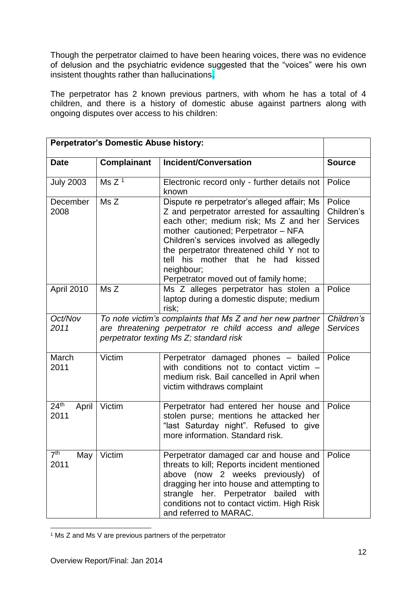Though the perpetrator claimed to have been hearing voices, there was no evidence of delusion and the psychiatric evidence suggested that the "voices" were his own insistent thoughts rather than hallucinations.

The perpetrator has 2 known previous partners, with whom he has a total of 4 children, and there is a history of domestic abuse against partners along with ongoing disputes over access to his children:

| <b>Perpetrator's Domestic Abuse history:</b> |                                                                                                                                                                |                                                                                                                                                                                                                                                                                                                                                                    |                                         |
|----------------------------------------------|----------------------------------------------------------------------------------------------------------------------------------------------------------------|--------------------------------------------------------------------------------------------------------------------------------------------------------------------------------------------------------------------------------------------------------------------------------------------------------------------------------------------------------------------|-----------------------------------------|
| <b>Date</b>                                  | <b>Complainant</b>                                                                                                                                             | Incident/Conversation                                                                                                                                                                                                                                                                                                                                              | <b>Source</b>                           |
| <b>July 2003</b>                             | Ms $Z1$                                                                                                                                                        | Electronic record only - further details not<br>known                                                                                                                                                                                                                                                                                                              | Police                                  |
| December<br>2008                             | Ms Z                                                                                                                                                           | Dispute re perpetrator's alleged affair; Ms<br>Z and perpetrator arrested for assaulting<br>each other; medium risk; Ms Z and her<br>mother cautioned; Perpetrator - NFA<br>Children's services involved as allegedly<br>the perpetrator threatened child Y not to<br>tell his mother that he had<br>kissed<br>neighbour;<br>Perpetrator moved out of family home; | Police<br>Children's<br><b>Services</b> |
| April 2010                                   | Ms Z<br>Ms Z alleges perpetrator has stolen a<br>laptop during a domestic dispute; medium<br>risk;                                                             |                                                                                                                                                                                                                                                                                                                                                                    | Police                                  |
| Oct/Nov<br>2011                              | To note victim's complaints that Ms Z and her new partner<br>are threatening perpetrator re child access and allege<br>perpetrator texting Ms Z; standard risk |                                                                                                                                                                                                                                                                                                                                                                    | Children's<br><b>Services</b>           |
| March<br>2011                                | Victim                                                                                                                                                         | Perpetrator damaged phones - bailed<br>with conditions not to contact victim -<br>medium risk. Bail cancelled in April when<br>victim withdraws complaint                                                                                                                                                                                                          |                                         |
| 24 <sup>th</sup><br>April<br>2011            | Victim                                                                                                                                                         | Perpetrator had entered her house and<br>stolen purse; mentions he attacked her<br>"last Saturday night". Refused to give<br>more information. Standard risk.                                                                                                                                                                                                      | Police                                  |
| $\overline{7}$ <sup>th</sup><br>May<br>2011  | Victim                                                                                                                                                         | Perpetrator damaged car and house and<br>threats to kill; Reports incident mentioned<br>above (now 2 weeks previously)<br>of<br>dragging her into house and attempting to<br>strangle her. Perpetrator bailed<br>with<br>conditions not to contact victim. High Risk<br>and referred to MARAC.                                                                     | Police                                  |

<sup>1</sup> Ms Z and Ms V are previous partners of the perpetrator

-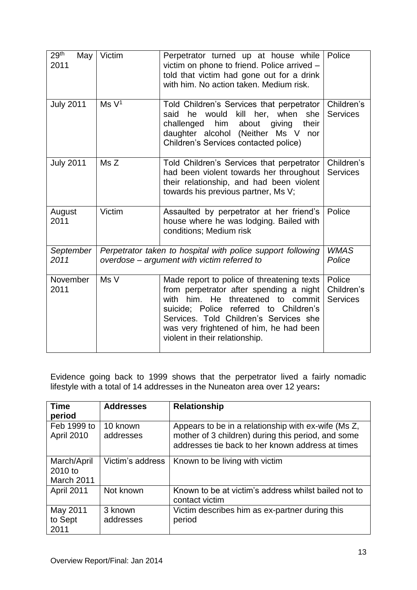| 29 <sup>th</sup><br>May<br>2011 | Victim                                                                                                     | Perpetrator turned up at house while<br>victim on phone to friend. Police arrived -<br>told that victim had gone out for a drink<br>with him. No action taken. Medium risk.                                                                                                                 | Police                                  |
|---------------------------------|------------------------------------------------------------------------------------------------------------|---------------------------------------------------------------------------------------------------------------------------------------------------------------------------------------------------------------------------------------------------------------------------------------------|-----------------------------------------|
| <b>July 2011</b>                | Ms V <sup>1</sup>                                                                                          | Told Children's Services that perpetrator<br>kill<br>her.<br>when<br>said<br>would<br>she<br>he<br>him<br>challenged<br>about<br>giving<br>their<br>daughter alcohol (Neither Ms V<br>nor<br>Children's Services contacted police)                                                          | Children's<br><b>Services</b>           |
| <b>July 2011</b>                | MsZ                                                                                                        | Told Children's Services that perpetrator<br>had been violent towards her throughout<br>their relationship, and had been violent<br>towards his previous partner, Ms V;                                                                                                                     | Children's<br><b>Services</b>           |
| August<br>2011                  | Victim                                                                                                     | Assaulted by perpetrator at her friend's<br>house where he was lodging. Bailed with<br>conditions; Medium risk                                                                                                                                                                              | Police                                  |
| September<br>2011               | Perpetrator taken to hospital with police support following<br>overdose - argument with victim referred to |                                                                                                                                                                                                                                                                                             | <b>WMAS</b><br>Police                   |
| November<br>2011                | Ms V                                                                                                       | Made report to police of threatening texts<br>from perpetrator after spending a night<br>with him. He threatened to commit<br>suicide: Police referred to Children's<br>Services. Told Children's Services she<br>was very frightened of him, he had been<br>violent in their relationship. | Police<br>Children's<br><b>Services</b> |

Evidence going back to 1999 shows that the perpetrator lived a fairly nomadic lifestyle with a total of 14 addresses in the Nuneaton area over 12 years**:**

| <b>Time</b><br>period                | <b>Addresses</b>      | <b>Relationship</b>                                                                                                                                           |
|--------------------------------------|-----------------------|---------------------------------------------------------------------------------------------------------------------------------------------------------------|
| Feb 1999 to<br><b>April 2010</b>     | 10 known<br>addresses | Appears to be in a relationship with ex-wife (Ms Z,<br>mother of 3 children) during this period, and some<br>addresses tie back to her known address at times |
| March/April<br>2010 to<br>March 2011 | Victim's address      | Known to be living with victim                                                                                                                                |
| April 2011                           | Not known             | Known to be at victim's address whilst bailed not to<br>contact victim                                                                                        |
| May 2011<br>to Sept<br>2011          | 3 known<br>addresses  | Victim describes him as ex-partner during this<br>period                                                                                                      |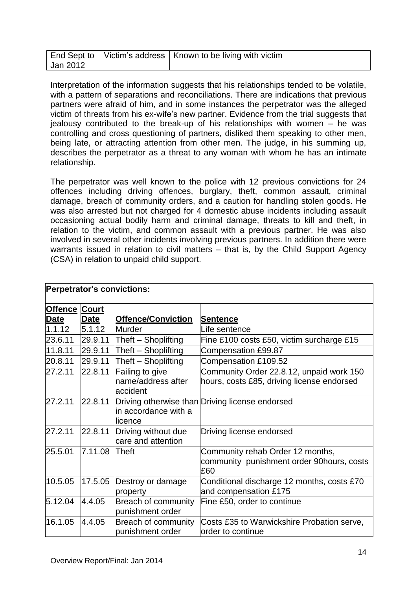|          | End Sept to   Victim's address   Known to be living with victim |
|----------|-----------------------------------------------------------------|
| Jan 2012 |                                                                 |

Interpretation of the information suggests that his relationships tended to be volatile, with a pattern of separations and reconciliations. There are indications that previous partners were afraid of him, and in some instances the perpetrator was the alleged victim of threats from his ex-wife's new partner. Evidence from the trial suggests that jealousy contributed to the break-up of his relationships with women – he was controlling and cross questioning of partners, disliked them speaking to other men, being late, or attracting attention from other men. The judge, in his summing up, describes the perpetrator as a threat to any woman with whom he has an intimate relationship.

The perpetrator was well known to the police with 12 previous convictions for 24 offences including driving offences, burglary, theft, common assault, criminal damage, breach of community orders, and a caution for handling stolen goods. He was also arrested but not charged for 4 domestic abuse incidents including assault occasioning actual bodily harm and criminal damage, threats to kill and theft, in relation to the victim, and common assault with a previous partner. He was also involved in several other incidents involving previous partners. In addition there were warrants issued in relation to civil matters – that is, by the Child Support Agency (CSA) in relation to unpaid child support.

|                      |             | <b>Perpetrator's convictions:</b>                  |                                                                                        |
|----------------------|-------------|----------------------------------------------------|----------------------------------------------------------------------------------------|
| <b>Offence Court</b> |             |                                                    |                                                                                        |
| <b>Date</b>          | <b>Date</b> | <b>Offence/Conviction</b>                          | <b>Sentence</b>                                                                        |
| 1.1.12               | 5.1.12      | Murder                                             | Life sentence                                                                          |
| 23.6.11              | 29.9.11     | Theft - Shoplifting                                | Fine £100 costs £50, victim surcharge £15                                              |
| 11.8.11              | 29.9.11     | Theft - Shoplifting                                | Compensation £99.87                                                                    |
| 20.8.11              | 29.9.11     | Theft - Shoplifting                                | Compensation £109.52                                                                   |
| 27.2.11              | 22.8.11     | Failing to give<br>name/address after<br>laccident | Community Order 22.8.12, unpaid work 150<br>hours, costs £85, driving license endorsed |
| 27.2.11              | 22.8.11     | in accordance with a<br>llicence                   | Driving otherwise than Driving license endorsed                                        |
| 27.2.11              | 22.8.11     | Driving without due<br>care and attention          | Driving license endorsed                                                               |
| 25.5.01              | 7.11.08     | Theft                                              | Community rehab Order 12 months,<br>community punishment order 90hours, costs<br>£60   |
| 10.5.05              |             | 17.5.05 Destroy or damage<br>property              | Conditional discharge 12 months, costs £70<br>and compensation £175                    |
| 5.12.04              | 4.4.05      | Breach of community<br>punishment order            | Fine £50, order to continue                                                            |
| 16.1.05              | 4.4.05      | Breach of community<br>punishment order            | Costs £35 to Warwickshire Probation serve,<br>order to continue                        |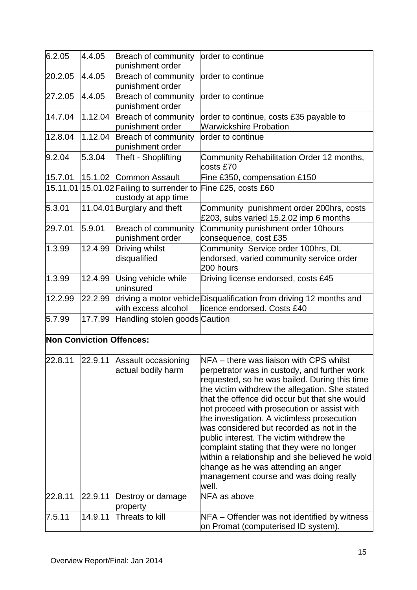| 6.2.05             | 4.4.05  | Breach of community<br>punishment order                                | order to continue                                                                                                                                                                                                                                                                                                                                                                                                                                                                                                                                                                                                                            |
|--------------------|---------|------------------------------------------------------------------------|----------------------------------------------------------------------------------------------------------------------------------------------------------------------------------------------------------------------------------------------------------------------------------------------------------------------------------------------------------------------------------------------------------------------------------------------------------------------------------------------------------------------------------------------------------------------------------------------------------------------------------------------|
| 20.2.05            | 4.4.05  | Breach of community<br>punishment order                                | order to continue                                                                                                                                                                                                                                                                                                                                                                                                                                                                                                                                                                                                                            |
| 27.2.05            | 4.4.05  | Breach of community<br>punishment order                                | order to continue                                                                                                                                                                                                                                                                                                                                                                                                                                                                                                                                                                                                                            |
| 14.7.04            | 1.12.04 | Breach of community<br>punishment order                                | order to continue, costs £35 payable to<br><b>Warwickshire Probation</b>                                                                                                                                                                                                                                                                                                                                                                                                                                                                                                                                                                     |
| 12.8.04            | 1.12.04 | Breach of community<br>punishment order                                | order to continue                                                                                                                                                                                                                                                                                                                                                                                                                                                                                                                                                                                                                            |
| 9.2.04             | 5.3.04  | Theft - Shoplifting                                                    | Community Rehabilitation Order 12 months,<br>costs £70                                                                                                                                                                                                                                                                                                                                                                                                                                                                                                                                                                                       |
| 15.7.01            |         | 15.1.02 Common Assault                                                 | Fine £350, compensation £150                                                                                                                                                                                                                                                                                                                                                                                                                                                                                                                                                                                                                 |
|                    |         | 15.11.01 15.01.02 Failing to surrender to<br>custody at app time       | Fine £25, costs £60                                                                                                                                                                                                                                                                                                                                                                                                                                                                                                                                                                                                                          |
| 5.3.01             |         | 11.04.01 Burglary and theft                                            | Community punishment order 200hrs, costs<br>£203, subs varied 15.2.02 imp 6 months                                                                                                                                                                                                                                                                                                                                                                                                                                                                                                                                                           |
| 29.7.01            | 5.9.01  | Breach of community<br>punishment order                                | Community punishment order 10hours<br>consequence, cost £35                                                                                                                                                                                                                                                                                                                                                                                                                                                                                                                                                                                  |
| 1.3.99             | 12.4.99 | Driving whilst<br>disqualified                                         | Community Service order 100hrs, DL<br>endorsed, varied community service order<br>200 hours                                                                                                                                                                                                                                                                                                                                                                                                                                                                                                                                                  |
| 1.3.99             | 12.4.99 | Using vehicle while<br>uninsured                                       | Driving license endorsed, costs £45                                                                                                                                                                                                                                                                                                                                                                                                                                                                                                                                                                                                          |
| 12.2.99            | 22.2.99 | with excess alcohol                                                    | driving a motor vehicle Disqualification from driving 12 months and<br>licence endorsed. Costs £40                                                                                                                                                                                                                                                                                                                                                                                                                                                                                                                                           |
| 5.7.99             | 17.7.99 | Handling stolen goods Caution                                          |                                                                                                                                                                                                                                                                                                                                                                                                                                                                                                                                                                                                                                              |
|                    |         |                                                                        |                                                                                                                                                                                                                                                                                                                                                                                                                                                                                                                                                                                                                                              |
|                    |         | <b>Non Conviction Offences:</b>                                        |                                                                                                                                                                                                                                                                                                                                                                                                                                                                                                                                                                                                                                              |
| 22.8.11<br>22.8.11 | 22.9.11 | 22.9.11 Assault occasioning<br>actual bodily harm<br>Destroy or damage | NFA - there was liaison with CPS whilst<br>perpetrator was in custody, and further work<br>requested, so he was bailed. During this time<br>the victim withdrew the allegation. She stated<br>that the offence did occur but that she would<br>not proceed with prosecution or assist with<br>the investigation. A victimless prosecution<br>was considered but recorded as not in the<br>public interest. The victim withdrew the<br>complaint stating that they were no longer<br>within a relationship and she believed he wold<br>change as he was attending an anger<br>management course and was doing really<br>well.<br>NFA as above |
|                    |         | property                                                               |                                                                                                                                                                                                                                                                                                                                                                                                                                                                                                                                                                                                                                              |
| 7.5.11             | 14.9.11 | Threats to kill                                                        | NFA – Offender was not identified by witness<br>on Promat (computerised ID system).                                                                                                                                                                                                                                                                                                                                                                                                                                                                                                                                                          |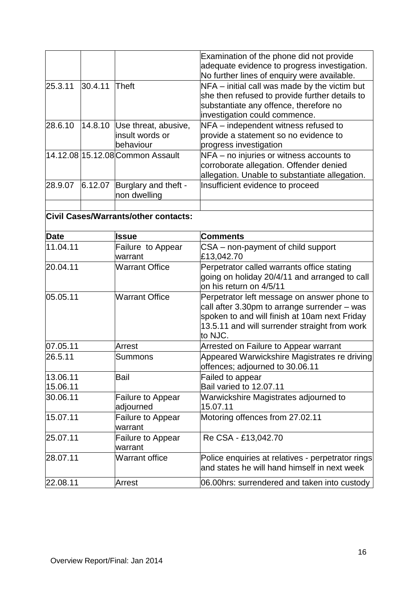|         |         |                                                                    | Examination of the phone did not provide<br>adequate evidence to progress investigation.<br>No further lines of enquiry were available.                                    |
|---------|---------|--------------------------------------------------------------------|----------------------------------------------------------------------------------------------------------------------------------------------------------------------------|
| 25.3.11 | 30.4.11 | <b>Theft</b>                                                       | NFA – initial call was made by the victim but<br>she then refused to provide further details to<br>substantiate any offence, therefore no<br>investigation could commence. |
| 28.6.10 |         | 14.8.10 Use threat, abusive,<br>insult words or<br>behaviour       | NFA – independent witness refused to<br>provide a statement so no evidence to<br>progress investigation                                                                    |
|         |         | 14.12.08 15.12.08 Common Assault                                   | NFA – no injuries or witness accounts to<br>corroborate allegation. Offender denied<br>allegation. Unable to substantiate allegation.                                      |
|         |         | $\vert 28.9.07 \vert$ 6.12.07 Burglary and theft -<br>non dwelling | Insufficient evidence to proceed                                                                                                                                           |

| <b>Civil Cases/Warrants/other contacts:</b> |  |
|---------------------------------------------|--|
|                                             |  |

| <b>Date</b>          | <b>Issue</b>                         | Comments                                                                                                                                                                                                 |
|----------------------|--------------------------------------|----------------------------------------------------------------------------------------------------------------------------------------------------------------------------------------------------------|
| 11.04.11             | Failure to Appear<br>warrant         | CSA - non-payment of child support<br>£13,042.70                                                                                                                                                         |
| 20.04.11             | <b>Warrant Office</b>                | Perpetrator called warrants office stating<br>going on holiday 20/4/11 and arranged to call<br>on his return on 4/5/11                                                                                   |
| 05.05.11             | <b>Warrant Office</b>                | Perpetrator left message on answer phone to<br>call after 3.30pm to arrange surrender – was<br>spoken to and will finish at 10am next Friday<br>13.5.11 and will surrender straight from work<br>to NJC. |
| 07.05.11             | Arrest                               | Arrested on Failure to Appear warrant                                                                                                                                                                    |
| 26.5.11              | Summons                              | Appeared Warwickshire Magistrates re driving<br>offences; adjourned to 30.06.11                                                                                                                          |
| 13.06.11<br>15.06.11 | Bail                                 | Failed to appear<br>Bail varied to 12.07.11                                                                                                                                                              |
| 30.06.11             | Failure to Appear<br>adjourned       | Warwickshire Magistrates adjourned to<br>15.07.11                                                                                                                                                        |
| 15.07.11             | <b>Failure to Appear</b><br>lwarrant | Motoring offences from 27.02.11                                                                                                                                                                          |
| 25.07.11             | Failure to Appear<br>lwarrant        | Re CSA - £13,042.70                                                                                                                                                                                      |
| 28.07.11             | <b>Warrant office</b>                | Police enquiries at relatives - perpetrator rings<br>and states he will hand himself in next week                                                                                                        |
| 22.08.11             | Arrest                               | 06.00hrs: surrendered and taken into custody                                                                                                                                                             |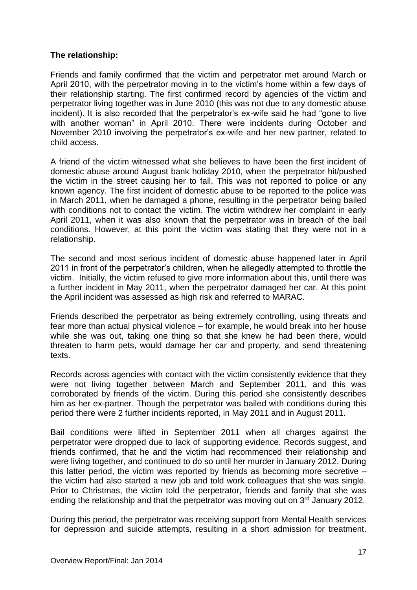### **The relationship:**

Friends and family confirmed that the victim and perpetrator met around March or April 2010, with the perpetrator moving in to the victim's home within a few days of their relationship starting. The first confirmed record by agencies of the victim and perpetrator living together was in June 2010 (this was not due to any domestic abuse incident). It is also recorded that the perpetrator's ex-wife said he had "gone to live with another woman" in April 2010. There were incidents during October and November 2010 involving the perpetrator's ex-wife and her new partner, related to child access.

A friend of the victim witnessed what she believes to have been the first incident of domestic abuse around August bank holiday 2010, when the perpetrator hit/pushed the victim in the street causing her to fall. This was not reported to police or any known agency. The first incident of domestic abuse to be reported to the police was in March 2011, when he damaged a phone, resulting in the perpetrator being bailed with conditions not to contact the victim. The victim withdrew her complaint in early April 2011, when it was also known that the perpetrator was in breach of the bail conditions. However, at this point the victim was stating that they were not in a relationship.

The second and most serious incident of domestic abuse happened later in April 2011 in front of the perpetrator's children, when he allegedly attempted to throttle the victim. Initially, the victim refused to give more information about this, until there was a further incident in May 2011, when the perpetrator damaged her car. At this point the April incident was assessed as high risk and referred to MARAC.

Friends described the perpetrator as being extremely controlling, using threats and fear more than actual physical violence – for example, he would break into her house while she was out, taking one thing so that she knew he had been there, would threaten to harm pets, would damage her car and property, and send threatening texts.

Records across agencies with contact with the victim consistently evidence that they were not living together between March and September 2011, and this was corroborated by friends of the victim. During this period she consistently describes him as her ex-partner. Though the perpetrator was bailed with conditions during this period there were 2 further incidents reported, in May 2011 and in August 2011.

Bail conditions were lifted in September 2011 when all charges against the perpetrator were dropped due to lack of supporting evidence. Records suggest, and friends confirmed, that he and the victim had recommenced their relationship and were living together, and continued to do so until her murder in January 2012. During this latter period, the victim was reported by friends as becoming more secretive – the victim had also started a new job and told work colleagues that she was single. Prior to Christmas, the victim told the perpetrator, friends and family that she was ending the relationship and that the perpetrator was moving out on 3<sup>rd</sup> January 2012.

During this period, the perpetrator was receiving support from Mental Health services for depression and suicide attempts, resulting in a short admission for treatment.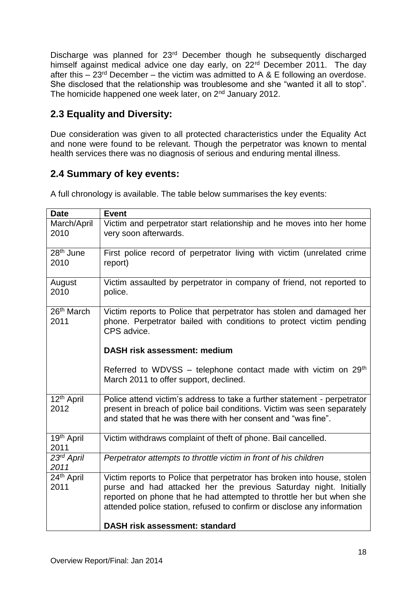Discharge was planned for 23rd December though he subsequently discharged himself against medical advice one day early, on 22<sup>rd</sup> December 2011. The day after this  $-23$ <sup>rd</sup> December – the victim was admitted to A & E following an overdose. She disclosed that the relationship was troublesome and she "wanted it all to stop". The homicide happened one week later, on 2<sup>nd</sup> January 2012.

# **2.3 Equality and Diversity:**

Due consideration was given to all protected characteristics under the Equality Act and none were found to be relevant. Though the perpetrator was known to mental health services there was no diagnosis of serious and enduring mental illness.

### **2.4 Summary of key events:**

A full chronology is available. The table below summarises the key events:

| <b>Date</b>                    | <b>Event</b>                                                                                                                                                                                                                                                                                    |
|--------------------------------|-------------------------------------------------------------------------------------------------------------------------------------------------------------------------------------------------------------------------------------------------------------------------------------------------|
| March/April<br>2010            | Victim and perpetrator start relationship and he moves into her home<br>very soon afterwards.                                                                                                                                                                                                   |
| 28 <sup>th</sup> June<br>2010  | First police record of perpetrator living with victim (unrelated crime<br>report)                                                                                                                                                                                                               |
| August<br>2010                 | Victim assaulted by perpetrator in company of friend, not reported to<br>police.                                                                                                                                                                                                                |
| 26 <sup>th</sup> March<br>2011 | Victim reports to Police that perpetrator has stolen and damaged her<br>phone. Perpetrator bailed with conditions to protect victim pending<br>CPS advice.                                                                                                                                      |
|                                | <b>DASH risk assessment: medium</b>                                                                                                                                                                                                                                                             |
|                                | Referred to WDVSS – telephone contact made with victim on $29th$<br>March 2011 to offer support, declined.                                                                                                                                                                                      |
| 12 <sup>th</sup> April<br>2012 | Police attend victim's address to take a further statement - perpetrator<br>present in breach of police bail conditions. Victim was seen separately<br>and stated that he was there with her consent and "was fine".                                                                            |
| 19 <sup>th</sup> April<br>2011 | Victim withdraws complaint of theft of phone. Bail cancelled.                                                                                                                                                                                                                                   |
| 23rd April<br>2011             | Perpetrator attempts to throttle victim in front of his children                                                                                                                                                                                                                                |
| 24th April<br>2011             | Victim reports to Police that perpetrator has broken into house, stolen<br>purse and had attacked her the previous Saturday night. Initially<br>reported on phone that he had attempted to throttle her but when she<br>attended police station, refused to confirm or disclose any information |
|                                | <b>DASH risk assessment: standard</b>                                                                                                                                                                                                                                                           |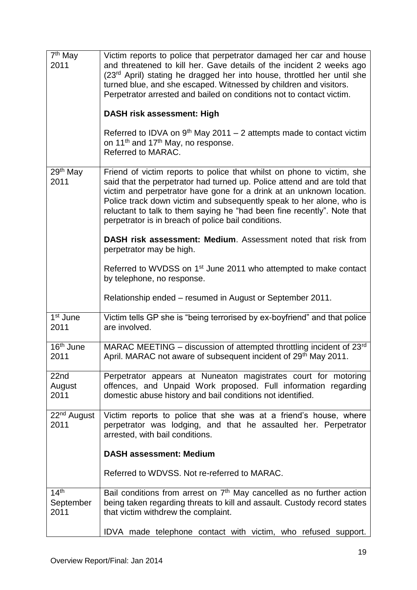| 7 <sup>th</sup> May<br>2011           | Victim reports to police that perpetrator damaged her car and house<br>and threatened to kill her. Gave details of the incident 2 weeks ago<br>(23rd April) stating he dragged her into house, throttled her until she<br>turned blue, and she escaped. Witnessed by children and visitors.<br>Perpetrator arrested and bailed on conditions not to contact victim.<br><b>DASH risk assessment: High</b><br>Referred to IDVA on $9th$ May 2011 – 2 attempts made to contact victim<br>on 11 <sup>th</sup> and 17 <sup>th</sup> May, no response.<br>Referred to MARAC. |
|---------------------------------------|------------------------------------------------------------------------------------------------------------------------------------------------------------------------------------------------------------------------------------------------------------------------------------------------------------------------------------------------------------------------------------------------------------------------------------------------------------------------------------------------------------------------------------------------------------------------|
| 29 <sup>th</sup> May<br>2011          | Friend of victim reports to police that whilst on phone to victim, she<br>said that the perpetrator had turned up. Police attend and are told that<br>victim and perpetrator have gone for a drink at an unknown location.<br>Police track down victim and subsequently speak to her alone, who is<br>reluctant to talk to them saying he "had been fine recently". Note that<br>perpetrator is in breach of police bail conditions.<br><b>DASH risk assessment: Medium.</b> Assessment noted that risk from<br>perpetrator may be high.                               |
|                                       | Referred to WVDSS on 1 <sup>st</sup> June 2011 who attempted to make contact<br>by telephone, no response.<br>Relationship ended – resumed in August or September 2011.                                                                                                                                                                                                                                                                                                                                                                                                |
| 1 <sup>st</sup> June<br>2011          | Victim tells GP she is "being terrorised by ex-boyfriend" and that police<br>are involved.                                                                                                                                                                                                                                                                                                                                                                                                                                                                             |
| 16 <sup>th</sup> June<br>2011         | MARAC MEETING – discussion of attempted throttling incident of 23rd<br>April. MARAC not aware of subsequent incident of 29 <sup>th</sup> May 2011.                                                                                                                                                                                                                                                                                                                                                                                                                     |
| 22nd<br>August<br>2011                | Perpetrator appears at Nuneaton magistrates court for motoring<br>offences, and Unpaid Work proposed. Full information regarding<br>domestic abuse history and bail conditions not identified.                                                                                                                                                                                                                                                                                                                                                                         |
| 22 <sup>nd</sup> August<br>2011       | Victim reports to police that she was at a friend's house, where<br>perpetrator was lodging, and that he assaulted her. Perpetrator<br>arrested, with bail conditions.                                                                                                                                                                                                                                                                                                                                                                                                 |
|                                       | <b>DASH assessment: Medium</b>                                                                                                                                                                                                                                                                                                                                                                                                                                                                                                                                         |
|                                       | Referred to WDVSS. Not re-referred to MARAC.                                                                                                                                                                                                                                                                                                                                                                                                                                                                                                                           |
| 14 <sup>th</sup><br>September<br>2011 | Bail conditions from arrest on 7 <sup>th</sup> May cancelled as no further action<br>being taken regarding threats to kill and assault. Custody record states<br>that victim withdrew the complaint.                                                                                                                                                                                                                                                                                                                                                                   |
|                                       | IDVA made telephone contact with victim, who refused support.                                                                                                                                                                                                                                                                                                                                                                                                                                                                                                          |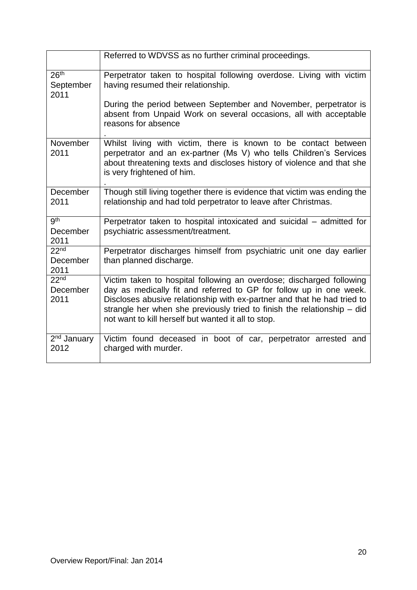|                                       | Referred to WDVSS as no further criminal proceedings.                                                                                                                                                                                                                                                                                                   |
|---------------------------------------|---------------------------------------------------------------------------------------------------------------------------------------------------------------------------------------------------------------------------------------------------------------------------------------------------------------------------------------------------------|
| 26 <sup>th</sup><br>September<br>2011 | Perpetrator taken to hospital following overdose. Living with victim<br>having resumed their relationship.                                                                                                                                                                                                                                              |
|                                       | During the period between September and November, perpetrator is<br>absent from Unpaid Work on several occasions, all with acceptable<br>reasons for absence                                                                                                                                                                                            |
| November<br>2011                      | Whilst living with victim, there is known to be contact between<br>perpetrator and an ex-partner (Ms V) who tells Children's Services<br>about threatening texts and discloses history of violence and that she<br>is very frightened of him.                                                                                                           |
| December<br>2011                      | Though still living together there is evidence that victim was ending the<br>relationship and had told perpetrator to leave after Christmas.                                                                                                                                                                                                            |
| gth<br>December<br>2011               | Perpetrator taken to hospital intoxicated and suicidal – admitted for<br>psychiatric assessment/treatment.                                                                                                                                                                                                                                              |
| 22 <sub>nd</sub><br>December<br>2011  | Perpetrator discharges himself from psychiatric unit one day earlier<br>than planned discharge.                                                                                                                                                                                                                                                         |
| 22 <sup>nd</sup><br>December<br>2011  | Victim taken to hospital following an overdose; discharged following<br>day as medically fit and referred to GP for follow up in one week.<br>Discloses abusive relationship with ex-partner and that he had tried to<br>strangle her when she previously tried to finish the relationship - did<br>not want to kill herself but wanted it all to stop. |
| 2 <sup>nd</sup> January<br>2012       | Victim found deceased in boot of car, perpetrator arrested and<br>charged with murder.                                                                                                                                                                                                                                                                  |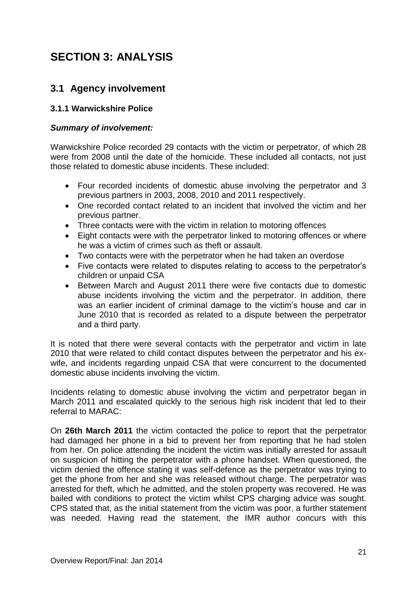# **SECTION 3: ANALYSIS**

# **3.1 Agency involvement**

### **3.1.1 Warwickshire Police**

### *Summary of involvement:*

Warwickshire Police recorded 29 contacts with the victim or perpetrator, of which 28 were from 2008 until the date of the homicide. These included all contacts, not just those related to domestic abuse incidents. These included:

- Four recorded incidents of domestic abuse involving the perpetrator and 3 previous partners in 2003, 2008, 2010 and 2011 respectively.
- One recorded contact related to an incident that involved the victim and her previous partner.
- Three contacts were with the victim in relation to motoring offences
- Eight contacts were with the perpetrator linked to motoring offences or where he was a victim of crimes such as theft or assault.
- Two contacts were with the perpetrator when he had taken an overdose
- Five contacts were related to disputes relating to access to the perpetrator's children or unpaid CSA
- Between March and August 2011 there were five contacts due to domestic abuse incidents involving the victim and the perpetrator. In addition, there was an earlier incident of criminal damage to the victim's house and car in June 2010 that is recorded as related to a dispute between the perpetrator and a third party.

It is noted that there were several contacts with the perpetrator and victim in late 2010 that were related to child contact disputes between the perpetrator and his exwife, and incidents regarding unpaid CSA that were concurrent to the documented domestic abuse incidents involving the victim.

Incidents relating to domestic abuse involving the victim and perpetrator began in March 2011 and escalated quickly to the serious high risk incident that led to their referral to MARAC:

On **26th March 2011** the victim contacted the police to report that the perpetrator had damaged her phone in a bid to prevent her from reporting that he had stolen from her. On police attending the incident the victim was initially arrested for assault on suspicion of hitting the perpetrator with a phone handset. When questioned, the victim denied the offence stating it was self-defence as the perpetrator was trying to get the phone from her and she was released without charge. The perpetrator was arrested for theft, which he admitted, and the stolen property was recovered. He was bailed with conditions to protect the victim whilst CPS charging advice was sought. CPS stated that, as the initial statement from the victim was poor, a further statement was needed. Having read the statement, the IMR author concurs with this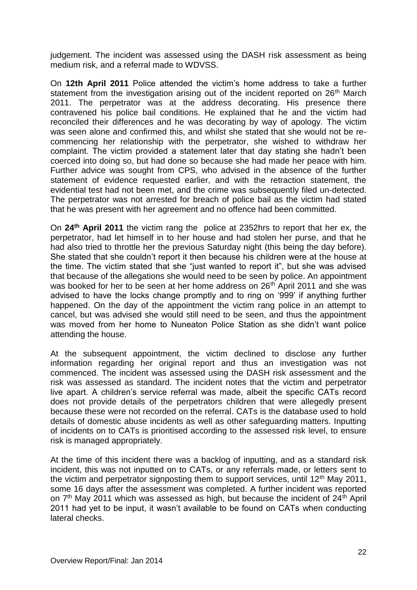judgement. The incident was assessed using the DASH risk assessment as being medium risk, and a referral made to WDVSS.

On **12th April 2011** Police attended the victim's home address to take a further statement from the investigation arising out of the incident reported on 26<sup>th</sup> March 2011. The perpetrator was at the address decorating. His presence there contravened his police bail conditions. He explained that he and the victim had reconciled their differences and he was decorating by way of apology. The victim was seen alone and confirmed this, and whilst she stated that she would not be recommencing her relationship with the perpetrator, she wished to withdraw her complaint. The victim provided a statement later that day stating she hadn't been coerced into doing so, but had done so because she had made her peace with him. Further advice was sought from CPS, who advised in the absence of the further statement of evidence requested earlier, and with the retraction statement, the evidential test had not been met, and the crime was subsequently filed un-detected. The perpetrator was not arrested for breach of police bail as the victim had stated that he was present with her agreement and no offence had been committed.

On **24th April 2011** the victim rang the police at 2352hrs to report that her ex, the perpetrator, had let himself in to her house and had stolen her purse, and that he had also tried to throttle her the previous Saturday night (this being the day before). She stated that she couldn't report it then because his children were at the house at the time. The victim stated that she "just wanted to report it", but she was advised that because of the allegations she would need to be seen by police. An appointment was booked for her to be seen at her home address on 26<sup>th</sup> April 2011 and she was advised to have the locks change promptly and to ring on '999' if anything further happened. On the day of the appointment the victim rang police in an attempt to cancel, but was advised she would still need to be seen, and thus the appointment was moved from her home to Nuneaton Police Station as she didn't want police attending the house.

At the subsequent appointment, the victim declined to disclose any further information regarding her original report and thus an investigation was not commenced. The incident was assessed using the DASH risk assessment and the risk was assessed as standard. The incident notes that the victim and perpetrator live apart. A children's service referral was made, albeit the specific CATs record does not provide details of the perpetrators children that were allegedly present because these were not recorded on the referral. CATs is the database used to hold details of domestic abuse incidents as well as other safeguarding matters. Inputting of incidents on to CATs is prioritised according to the assessed risk level, to ensure risk is managed appropriately.

At the time of this incident there was a backlog of inputting, and as a standard risk incident, this was not inputted on to CATs, or any referrals made, or letters sent to the victim and perpetrator signposting them to support services, until 12<sup>th</sup> May 2011, some 16 days after the assessment was completed. A further incident was reported on  $7<sup>th</sup>$  May 2011 which was assessed as high, but because the incident of  $24<sup>th</sup>$  April 2011 had yet to be input, it wasn't available to be found on CATs when conducting lateral checks.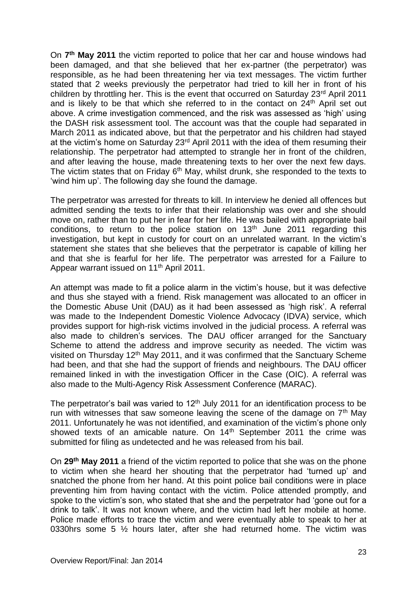On **7 th May 2011** the victim reported to police that her car and house windows had been damaged, and that she believed that her ex-partner (the perpetrator) was responsible, as he had been threatening her via text messages. The victim further stated that 2 weeks previously the perpetrator had tried to kill her in front of his children by throttling her. This is the event that occurred on Saturday 23<sup>rd</sup> April 2011 and is likely to be that which she referred to in the contact on 24<sup>th</sup> April set out above. A crime investigation commenced, and the risk was assessed as 'high' using the DASH risk assessment tool. The account was that the couple had separated in March 2011 as indicated above, but that the perpetrator and his children had stayed at the victim's home on Saturday 23<sup>rd</sup> April 2011 with the idea of them resuming their relationship. The perpetrator had attempted to strangle her in front of the children, and after leaving the house, made threatening texts to her over the next few days. The victim states that on Friday  $6<sup>th</sup>$  May, whilst drunk, she responded to the texts to 'wind him up'. The following day she found the damage.

The perpetrator was arrested for threats to kill. In interview he denied all offences but admitted sending the texts to infer that their relationship was over and she should move on, rather than to put her in fear for her life. He was bailed with appropriate bail conditions, to return to the police station on  $13<sup>th</sup>$  June 2011 regarding this investigation, but kept in custody for court on an unrelated warrant. In the victim's statement she states that she believes that the perpetrator is capable of killing her and that she is fearful for her life. The perpetrator was arrested for a Failure to Appear warrant issued on 11<sup>th</sup> April 2011.

An attempt was made to fit a police alarm in the victim's house, but it was defective and thus she stayed with a friend. Risk management was allocated to an officer in the Domestic Abuse Unit (DAU) as it had been assessed as 'high risk'. A referral was made to the Independent Domestic Violence Advocacy (IDVA) service, which provides support for high-risk victims involved in the judicial process. A referral was also made to children's services. The DAU officer arranged for the Sanctuary Scheme to attend the address and improve security as needed. The victim was visited on Thursday 12<sup>th</sup> May 2011, and it was confirmed that the Sanctuary Scheme had been, and that she had the support of friends and neighbours. The DAU officer remained linked in with the investigation Officer in the Case (OIC). A referral was also made to the Multi-Agency Risk Assessment Conference (MARAC).

The perpetrator's bail was varied to  $12<sup>th</sup>$  July 2011 for an identification process to be run with witnesses that saw someone leaving the scene of the damage on  $7<sup>th</sup>$  May 2011. Unfortunately he was not identified, and examination of the victim's phone only showed texts of an amicable nature. On 14<sup>th</sup> September 2011 the crime was submitted for filing as undetected and he was released from his bail.

On **29th May 2011** a friend of the victim reported to police that she was on the phone to victim when she heard her shouting that the perpetrator had 'turned up' and snatched the phone from her hand. At this point police bail conditions were in place preventing him from having contact with the victim. Police attended promptly, and spoke to the victim's son, who stated that she and the perpetrator had 'gone out for a drink to talk'. It was not known where, and the victim had left her mobile at home. Police made efforts to trace the victim and were eventually able to speak to her at 0330hrs some 5 ½ hours later, after she had returned home. The victim was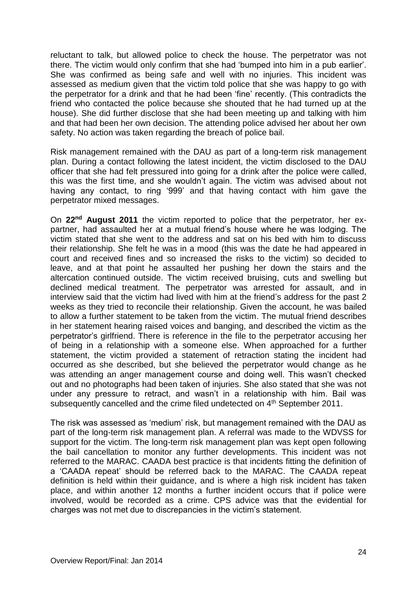reluctant to talk, but allowed police to check the house. The perpetrator was not there. The victim would only confirm that she had 'bumped into him in a pub earlier'. She was confirmed as being safe and well with no injuries. This incident was assessed as medium given that the victim told police that she was happy to go with the perpetrator for a drink and that he had been 'fine' recently. (This contradicts the friend who contacted the police because she shouted that he had turned up at the house). She did further disclose that she had been meeting up and talking with him and that had been her own decision. The attending police advised her about her own safety. No action was taken regarding the breach of police bail.

Risk management remained with the DAU as part of a long-term risk management plan. During a contact following the latest incident, the victim disclosed to the DAU officer that she had felt pressured into going for a drink after the police were called, this was the first time, and she wouldn't again. The victim was advised about not having any contact, to ring '999' and that having contact with him gave the perpetrator mixed messages.

On **22nd August 2011** the victim reported to police that the perpetrator, her expartner, had assaulted her at a mutual friend's house where he was lodging. The victim stated that she went to the address and sat on his bed with him to discuss their relationship. She felt he was in a mood (this was the date he had appeared in court and received fines and so increased the risks to the victim) so decided to leave, and at that point he assaulted her pushing her down the stairs and the altercation continued outside. The victim received bruising, cuts and swelling but declined medical treatment. The perpetrator was arrested for assault, and in interview said that the victim had lived with him at the friend's address for the past 2 weeks as they tried to reconcile their relationship. Given the account, he was bailed to allow a further statement to be taken from the victim. The mutual friend describes in her statement hearing raised voices and banging, and described the victim as the perpetrator's girlfriend. There is reference in the file to the perpetrator accusing her of being in a relationship with a someone else. When approached for a further statement, the victim provided a statement of retraction stating the incident had occurred as she described, but she believed the perpetrator would change as he was attending an anger management course and doing well. This wasn't checked out and no photographs had been taken of injuries. She also stated that she was not under any pressure to retract, and wasn't in a relationship with him. Bail was subsequently cancelled and the crime filed undetected on 4<sup>th</sup> September 2011.

The risk was assessed as 'medium' risk, but management remained with the DAU as part of the long-term risk management plan. A referral was made to the WDVSS for support for the victim. The long-term risk management plan was kept open following the bail cancellation to monitor any further developments. This incident was not referred to the MARAC. CAADA best practice is that incidents fitting the definition of a 'CAADA repeat' should be referred back to the MARAC. The CAADA repeat definition is held within their guidance, and is where a high risk incident has taken place, and within another 12 months a further incident occurs that if police were involved, would be recorded as a crime. CPS advice was that the evidential for charges was not met due to discrepancies in the victim's statement.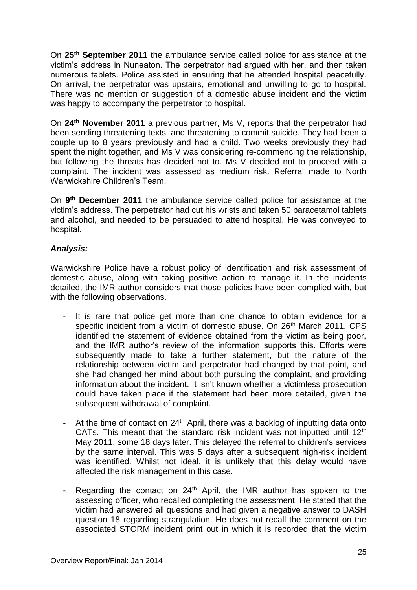On **25th September 2011** the ambulance service called police for assistance at the victim's address in Nuneaton. The perpetrator had argued with her, and then taken numerous tablets. Police assisted in ensuring that he attended hospital peacefully. On arrival, the perpetrator was upstairs, emotional and unwilling to go to hospital. There was no mention or suggestion of a domestic abuse incident and the victim was happy to accompany the perpetrator to hospital.

On **24th November 2011** a previous partner, Ms V, reports that the perpetrator had been sending threatening texts, and threatening to commit suicide. They had been a couple up to 8 years previously and had a child. Two weeks previously they had spent the night together, and Ms V was considering re-commencing the relationship, but following the threats has decided not to. Ms V decided not to proceed with a complaint. The incident was assessed as medium risk. Referral made to North Warwickshire Children's Team.

On **9 th December 2011** the ambulance service called police for assistance at the victim's address. The perpetrator had cut his wrists and taken 50 paracetamol tablets and alcohol, and needed to be persuaded to attend hospital. He was conveyed to hospital.

### *Analysis:*

Warwickshire Police have a robust policy of identification and risk assessment of domestic abuse, along with taking positive action to manage it. In the incidents detailed, the IMR author considers that those policies have been complied with, but with the following observations.

- It is rare that police get more than one chance to obtain evidence for a specific incident from a victim of domestic abuse. On 26<sup>th</sup> March 2011, CPS identified the statement of evidence obtained from the victim as being poor, and the IMR author's review of the information supports this. Efforts were subsequently made to take a further statement, but the nature of the relationship between victim and perpetrator had changed by that point, and she had changed her mind about both pursuing the complaint, and providing information about the incident. It isn't known whether a victimless prosecution could have taken place if the statement had been more detailed, given the subsequent withdrawal of complaint.
- At the time of contact on  $24<sup>th</sup>$  April, there was a backlog of inputting data onto CATs. This meant that the standard risk incident was not inputted until  $12<sup>th</sup>$ May 2011, some 18 days later. This delayed the referral to children's services by the same interval. This was 5 days after a subsequent high-risk incident was identified. Whilst not ideal, it is unlikely that this delay would have affected the risk management in this case.
- Regarding the contact on 24<sup>th</sup> April, the IMR author has spoken to the assessing officer, who recalled completing the assessment. He stated that the victim had answered all questions and had given a negative answer to DASH question 18 regarding strangulation. He does not recall the comment on the associated STORM incident print out in which it is recorded that the victim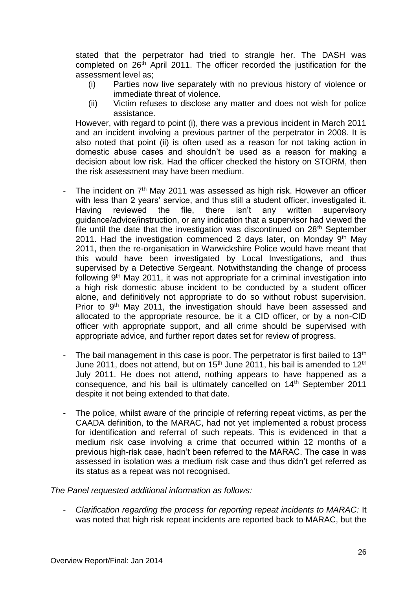stated that the perpetrator had tried to strangle her. The DASH was completed on 26<sup>th</sup> April 2011. The officer recorded the justification for the assessment level as;

- (i) Parties now live separately with no previous history of violence or immediate threat of violence.
- (ii) Victim refuses to disclose any matter and does not wish for police assistance.

However, with regard to point (i), there was a previous incident in March 2011 and an incident involving a previous partner of the perpetrator in 2008. It is also noted that point (ii) is often used as a reason for not taking action in domestic abuse cases and shouldn't be used as a reason for making a decision about low risk. Had the officer checked the history on STORM, then the risk assessment may have been medium.

- The incident on 7<sup>th</sup> May 2011 was assessed as high risk. However an officer with less than 2 years' service, and thus still a student officer, investigated it. Having reviewed the file, there isn't any written supervisory guidance/advice/instruction, or any indication that a supervisor had viewed the file until the date that the investigation was discontinued on 28<sup>th</sup> September 2011. Had the investigation commenced 2 days later, on Monday  $9<sup>th</sup>$  May 2011, then the re-organisation in Warwickshire Police would have meant that this would have been investigated by Local Investigations, and thus supervised by a Detective Sergeant. Notwithstanding the change of process following  $9<sup>th</sup>$  May 2011, it was not appropriate for a criminal investigation into a high risk domestic abuse incident to be conducted by a student officer alone, and definitively not appropriate to do so without robust supervision. Prior to 9<sup>th</sup> May 2011, the investigation should have been assessed and allocated to the appropriate resource, be it a CID officer, or by a non-CID officer with appropriate support, and all crime should be supervised with appropriate advice, and further report dates set for review of progress.
- The bail management in this case is poor. The perpetrator is first bailed to 13<sup>th</sup> June 2011, does not attend, but on  $15<sup>th</sup>$  June 2011, his bail is amended to  $12<sup>th</sup>$ July 2011. He does not attend, nothing appears to have happened as a consequence, and his bail is ultimately cancelled on 14th September 2011 despite it not being extended to that date.
- The police, whilst aware of the principle of referring repeat victims, as per the CAADA definition, to the MARAC, had not yet implemented a robust process for identification and referral of such repeats. This is evidenced in that a medium risk case involving a crime that occurred within 12 months of a previous high-risk case, hadn't been referred to the MARAC. The case in was assessed in isolation was a medium risk case and thus didn't get referred as its status as a repeat was not recognised.

#### *The Panel requested additional information as follows:*

- *Clarification regarding the process for reporting repeat incidents to MARAC:* It was noted that high risk repeat incidents are reported back to MARAC, but the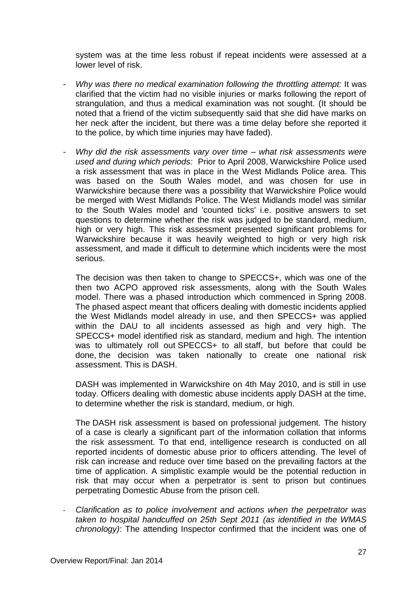system was at the time less robust if repeat incidents were assessed at a lower level of risk.

- *Why was there no medical examination following the throttling attempt:* It was clarified that the victim had no visible injuries or marks following the report of strangulation, and thus a medical examination was not sought. (It should be noted that a friend of the victim subsequently said that she did have marks on her neck after the incident, but there was a time delay before she reported it to the police, by which time injuries may have faded).
- *Why did the risk assessments vary over time – what risk assessments were used and during which periods:* Prior to April 2008, Warwickshire Police used a risk assessment that was in place in the West Midlands Police area. This was based on the South Wales model, and was chosen for use in Warwickshire because there was a possibility that Warwickshire Police would be merged with West Midlands Police. The West Midlands model was similar to the South Wales model and 'counted ticks' i.e. positive answers to set questions to determine whether the risk was judged to be standard, medium, high or very high. This risk assessment presented significant problems for Warwickshire because it was heavily weighted to high or very high risk assessment, and made it difficult to determine which incidents were the most serious.

The decision was then taken to change to SPECCS+, which was one of the then two ACPO approved risk assessments, along with the South Wales model. There was a phased introduction which commenced in Spring 2008. The phased aspect meant that officers dealing with domestic incidents applied the West Midlands model already in use, and then SPECCS+ was applied within the DAU to all incidents assessed as high and very high. The SPECCS+ model identified risk as standard, medium and high. The intention was to ultimately roll out SPECCS+ to all staff, but before that could be done, the decision was taken nationally to create one national risk assessment. This is DASH.

DASH was implemented in Warwickshire on 4th May 2010, and is still in use today. Officers dealing with domestic abuse incidents apply DASH at the time, to determine whether the risk is standard, medium, or high.

The DASH risk assessment is based on professional judgement. The history of a case is clearly a significant part of the information collation that informs the risk assessment. To that end, intelligence research is conducted on all reported incidents of domestic abuse prior to officers attending. The level of risk can increase and reduce over time based on the prevailing factors at the time of application. A simplistic example would be the potential reduction in risk that may occur when a perpetrator is sent to prison but continues perpetrating Domestic Abuse from the prison cell.

- *Clarification as to police involvement and actions when the perpetrator was taken to hospital handcuffed on 25th Sept 2011 (as identified in the WMAS chronology)*: The attending Inspector confirmed that the incident was one of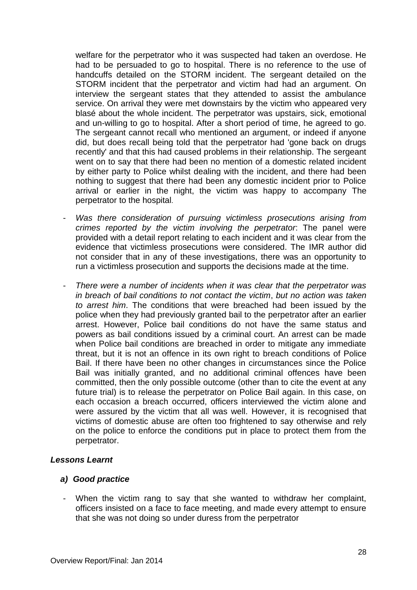welfare for the perpetrator who it was suspected had taken an overdose. He had to be persuaded to go to hospital. There is no reference to the use of handcuffs detailed on the STORM incident. The sergeant detailed on the STORM incident that the perpetrator and victim had had an argument. On interview the sergeant states that they attended to assist the ambulance service. On arrival they were met downstairs by the victim who appeared very blasé about the whole incident. The perpetrator was upstairs, sick, emotional and un-willing to go to hospital. After a short period of time, he agreed to go. The sergeant cannot recall who mentioned an argument, or indeed if anyone did, but does recall being told that the perpetrator had 'gone back on drugs recently' and that this had caused problems in their relationship. The sergeant went on to say that there had been no mention of a domestic related incident by either party to Police whilst dealing with the incident, and there had been nothing to suggest that there had been any domestic incident prior to Police arrival or earlier in the night, the victim was happy to accompany The perpetrator to the hospital.

- *Was there consideration of pursuing victimless prosecutions arising from crimes reported by the victim involving the perpetrator*: The panel were provided with a detail report relating to each incident and it was clear from the evidence that victimless prosecutions were considered. The IMR author did not consider that in any of these investigations, there was an opportunity to run a victimless prosecution and supports the decisions made at the time.
- *There were a number of incidents when it was clear that the perpetrator was in breach of bail conditions to not contact the victim*, *but no action was taken to arrest him*. The conditions that were breached had been issued by the police when they had previously granted bail to the perpetrator after an earlier arrest. However, Police bail conditions do not have the same status and powers as bail conditions issued by a criminal court. An arrest can be made when Police bail conditions are breached in order to mitigate any immediate threat, but it is not an offence in its own right to breach conditions of Police Bail. If there have been no other changes in circumstances since the Police Bail was initially granted, and no additional criminal offences have been committed, then the only possible outcome (other than to cite the event at any future trial) is to release the perpetrator on Police Bail again. In this case, on each occasion a breach occurred, officers interviewed the victim alone and were assured by the victim that all was well. However, it is recognised that victims of domestic abuse are often too frightened to say otherwise and rely on the police to enforce the conditions put in place to protect them from the perpetrator.

### *Lessons Learnt*

### *a) Good practice*

- When the victim rang to say that she wanted to withdraw her complaint, officers insisted on a face to face meeting, and made every attempt to ensure that she was not doing so under duress from the perpetrator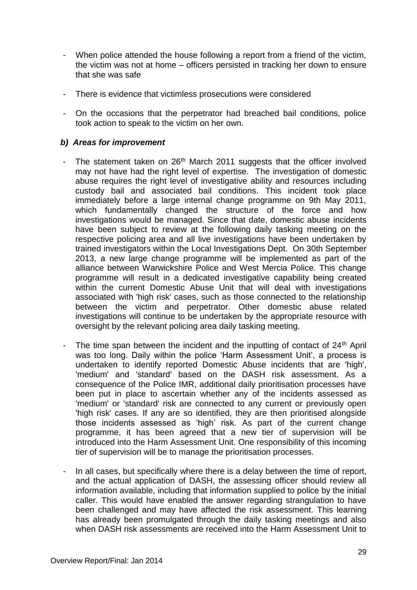- When police attended the house following a report from a friend of the victim, the victim was not at home – officers persisted in tracking her down to ensure that she was safe
- There is evidence that victimless prosecutions were considered
- On the occasions that the perpetrator had breached bail conditions, police took action to speak to the victim on her own.

#### *b) Areas for improvement*

- The statement taken on  $26<sup>th</sup>$  March 2011 suggests that the officer involved may not have had the right level of expertise. The investigation of domestic abuse requires the right level of investigative ability and resources including custody bail and associated bail conditions. This incident took place immediately before a large internal change programme on 9th May 2011, which fundamentally changed the structure of the force and how investigations would be managed. Since that date, domestic abuse incidents have been subject to review at the following daily tasking meeting on the respective policing area and all live investigations have been undertaken by trained investigators within the Local Investigations Dept. On 30th September 2013, a new large change programme will be implemented as part of the alliance between Warwickshire Police and West Mercia Police. This change programme will result in a dedicated investigative capability being created within the current Domestic Abuse Unit that will deal with investigations associated with 'high risk' cases, such as those connected to the relationship between the victim and perpetrator. Other domestic abuse related investigations will continue to be undertaken by the appropriate resource with oversight by the relevant policing area daily tasking meeting.
	- The time span between the incident and the inputting of contact of  $24<sup>th</sup>$  April was too long. Daily within the police 'Harm Assessment Unit', a process is undertaken to identify reported Domestic Abuse incidents that are 'high', 'medium' and 'standard' based on the DASH risk assessment. As a consequence of the Police IMR, additional daily prioritisation processes have been put in place to ascertain whether any of the incidents assessed as 'medium' or 'standard' risk are connected to any current or previously open 'high risk' cases. If any are so identified, they are then prioritised alongside those incidents assessed as 'high' risk. As part of the current change programme, it has been agreed that a new tier of supervision will be introduced into the Harm Assessment Unit. One responsibility of this incoming tier of supervision will be to manage the prioritisation processes.
- In all cases, but specifically where there is a delay between the time of report, and the actual application of DASH, the assessing officer should review all information available, including that information supplied to police by the initial caller. This would have enabled the answer regarding strangulation to have been challenged and may have affected the risk assessment. This learning has already been promulgated through the daily tasking meetings and also when DASH risk assessments are received into the Harm Assessment Unit to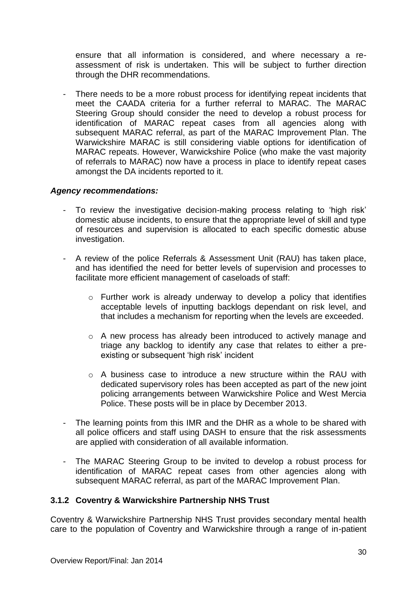ensure that all information is considered, and where necessary a reassessment of risk is undertaken. This will be subject to further direction through the DHR recommendations.

There needs to be a more robust process for identifying repeat incidents that meet the CAADA criteria for a further referral to MARAC. The MARAC Steering Group should consider the need to develop a robust process for identification of MARAC repeat cases from all agencies along with subsequent MARAC referral, as part of the MARAC Improvement Plan. The Warwickshire MARAC is still considering viable options for identification of MARAC repeats. However, Warwickshire Police (who make the vast majority of referrals to MARAC) now have a process in place to identify repeat cases amongst the DA incidents reported to it.

### *Agency recommendations:*

- To review the investigative decision-making process relating to 'high risk' domestic abuse incidents, to ensure that the appropriate level of skill and type of resources and supervision is allocated to each specific domestic abuse investigation.
- A review of the police Referrals & Assessment Unit (RAU) has taken place, and has identified the need for better levels of supervision and processes to facilitate more efficient management of caseloads of staff:
	- o Further work is already underway to develop a policy that identifies acceptable levels of inputting backlogs dependant on risk level, and that includes a mechanism for reporting when the levels are exceeded.
	- o A new process has already been introduced to actively manage and triage any backlog to identify any case that relates to either a preexisting or subsequent 'high risk' incident
	- $\circ$  A business case to introduce a new structure within the RAU with dedicated supervisory roles has been accepted as part of the new joint policing arrangements between Warwickshire Police and West Mercia Police. These posts will be in place by December 2013.
- The learning points from this IMR and the DHR as a whole to be shared with all police officers and staff using DASH to ensure that the risk assessments are applied with consideration of all available information.
- The MARAC Steering Group to be invited to develop a robust process for identification of MARAC repeat cases from other agencies along with subsequent MARAC referral, as part of the MARAC Improvement Plan.

### **3.1.2 Coventry & Warwickshire Partnership NHS Trust**

Coventry & Warwickshire Partnership NHS Trust provides secondary mental health care to the population of Coventry and Warwickshire through a range of in-patient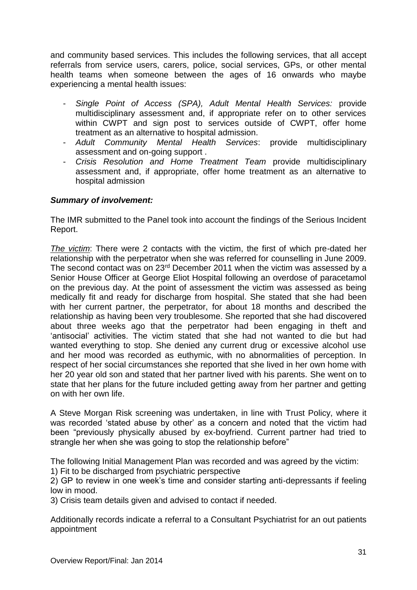and community based services. This includes the following services, that all accept referrals from service users, carers, police, social services, GPs, or other mental health teams when someone between the ages of 16 onwards who maybe experiencing a mental health issues:

- *Single Point of Access (SPA), Adult Mental Health Services:* provide multidisciplinary assessment and, if appropriate refer on to other services within CWPT and sign post to services outside of CWPT, offer home treatment as an alternative to hospital admission.
- *Adult Community Mental Health Services*: provide multidisciplinary assessment and on-going support .
- *Crisis Resolution and Home Treatment Team* provide multidisciplinary assessment and, if appropriate, offer home treatment as an alternative to hospital admission

### *Summary of involvement:*

The IMR submitted to the Panel took into account the findings of the Serious Incident Report.

*The victim*: There were 2 contacts with the victim, the first of which pre-dated her relationship with the perpetrator when she was referred for counselling in June 2009. The second contact was on 23rd December 2011 when the victim was assessed by a Senior House Officer at George Eliot Hospital following an overdose of paracetamol on the previous day. At the point of assessment the victim was assessed as being medically fit and ready for discharge from hospital. She stated that she had been with her current partner, the perpetrator, for about 18 months and described the relationship as having been very troublesome. She reported that she had discovered about three weeks ago that the perpetrator had been engaging in theft and 'antisocial' activities. The victim stated that she had not wanted to die but had wanted everything to stop. She denied any current drug or excessive alcohol use and her mood was recorded as euthymic, with no abnormalities of perception. In respect of her social circumstances she reported that she lived in her own home with her 20 year old son and stated that her partner lived with his parents. She went on to state that her plans for the future included getting away from her partner and getting on with her own life.

A Steve Morgan Risk screening was undertaken, in line with Trust Policy, where it was recorded 'stated abuse by other' as a concern and noted that the victim had been "previously physically abused by ex-boyfriend. Current partner had tried to strangle her when she was going to stop the relationship before"

The following Initial Management Plan was recorded and was agreed by the victim:

1) Fit to be discharged from psychiatric perspective

2) GP to review in one week's time and consider starting anti-depressants if feeling low in mood.

3) Crisis team details given and advised to contact if needed.

Additionally records indicate a referral to a Consultant Psychiatrist for an out patients appointment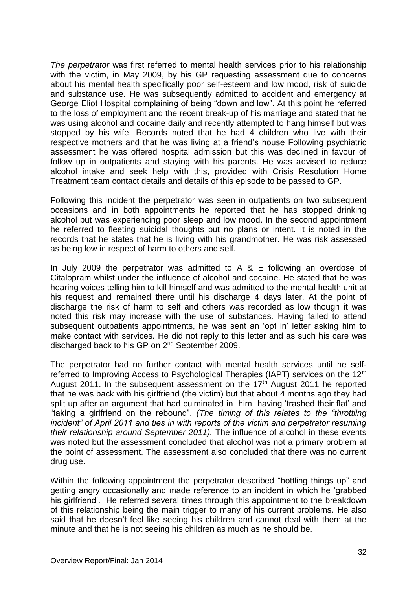*The perpetrator* was first referred to mental health services prior to his relationship with the victim, in May 2009, by his GP requesting assessment due to concerns about his mental health specifically poor self-esteem and low mood, risk of suicide and substance use. He was subsequently admitted to accident and emergency at George Eliot Hospital complaining of being "down and low". At this point he referred to the loss of employment and the recent break-up of his marriage and stated that he was using alcohol and cocaine daily and recently attempted to hang himself but was stopped by his wife. Records noted that he had 4 children who live with their respective mothers and that he was living at a friend's house Following psychiatric assessment he was offered hospital admission but this was declined in favour of follow up in outpatients and staying with his parents. He was advised to reduce alcohol intake and seek help with this, provided with Crisis Resolution Home Treatment team contact details and details of this episode to be passed to GP.

Following this incident the perpetrator was seen in outpatients on two subsequent occasions and in both appointments he reported that he has stopped drinking alcohol but was experiencing poor sleep and low mood. In the second appointment he referred to fleeting suicidal thoughts but no plans or intent. It is noted in the records that he states that he is living with his grandmother. He was risk assessed as being low in respect of harm to others and self.

In July 2009 the perpetrator was admitted to A & E following an overdose of Citalopram whilst under the influence of alcohol and cocaine. He stated that he was hearing voices telling him to kill himself and was admitted to the mental health unit at his request and remained there until his discharge 4 days later. At the point of discharge the risk of harm to self and others was recorded as low though it was noted this risk may increase with the use of substances. Having failed to attend subsequent outpatients appointments, he was sent an 'opt in' letter asking him to make contact with services. He did not reply to this letter and as such his care was discharged back to his GP on 2<sup>nd</sup> September 2009.

The perpetrator had no further contact with mental health services until he selfreferred to Improving Access to Psychological Therapies (IAPT) services on the 12<sup>th</sup> August 2011. In the subsequent assessment on the  $17<sup>th</sup>$  August 2011 he reported that he was back with his girlfriend (the victim) but that about 4 months ago they had split up after an argument that had culminated in him having 'trashed their flat' and "taking a girlfriend on the rebound". *(The timing of this relates to the "throttling incident" of April 2011 and ties in with reports of the victim and perpetrator resuming their relationship around September 2011).* The influence of alcohol in these events was noted but the assessment concluded that alcohol was not a primary problem at the point of assessment. The assessment also concluded that there was no current drug use.

Within the following appointment the perpetrator described "bottling things up" and getting angry occasionally and made reference to an incident in which he 'grabbed his girlfriend'. He referred several times through this appointment to the breakdown of this relationship being the main trigger to many of his current problems. He also said that he doesn't feel like seeing his children and cannot deal with them at the minute and that he is not seeing his children as much as he should be.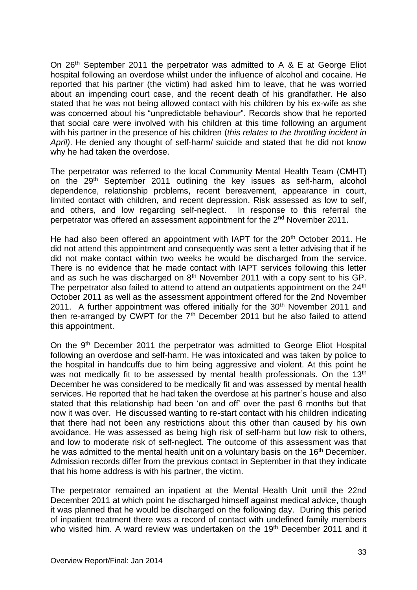On 26th September 2011 the perpetrator was admitted to A & E at George Eliot hospital following an overdose whilst under the influence of alcohol and cocaine. He reported that his partner (the victim) had asked him to leave, that he was worried about an impending court case, and the recent death of his grandfather. He also stated that he was not being allowed contact with his children by his ex-wife as she was concerned about his "unpredictable behaviour". Records show that he reported that social care were involved with his children at this time following an argument with his partner in the presence of his children (*this relates to the throttling incident in April)*. He denied any thought of self-harm/ suicide and stated that he did not know why he had taken the overdose.

The perpetrator was referred to the local Community Mental Health Team (CMHT) on the 29<sup>th</sup> September 2011 outlining the key issues as self-harm, alcohol dependence, relationship problems, recent bereavement, appearance in court, limited contact with children, and recent depression. Risk assessed as low to self, and others, and low regarding self-neglect. In response to this referral the perpetrator was offered an assessment appointment for the 2nd November 2011.

He had also been offered an appointment with IAPT for the 20<sup>th</sup> October 2011. He did not attend this appointment and consequently was sent a letter advising that if he did not make contact within two weeks he would be discharged from the service. There is no evidence that he made contact with IAPT services following this letter and as such he was discharged on  $8<sup>th</sup>$  November 2011 with a copy sent to his GP. The perpetrator also failed to attend to attend an outpatients appointment on the 24<sup>th</sup> October 2011 as well as the assessment appointment offered for the 2nd November 2011. A further appointment was offered initially for the  $30<sup>th</sup>$  November 2011 and then re-arranged by CWPT for the  $7<sup>th</sup>$  December 2011 but he also failed to attend this appointment.

On the 9th December 2011 the perpetrator was admitted to George Eliot Hospital following an overdose and self-harm. He was intoxicated and was taken by police to the hospital in handcuffs due to him being aggressive and violent. At this point he was not medically fit to be assessed by mental health professionals. On the 13<sup>th</sup> December he was considered to be medically fit and was assessed by mental health services. He reported that he had taken the overdose at his partner's house and also stated that this relationship had been 'on and off' over the past 6 months but that now it was over. He discussed wanting to re-start contact with his children indicating that there had not been any restrictions about this other than caused by his own avoidance. He was assessed as being high risk of self-harm but low risk to others, and low to moderate risk of self-neglect. The outcome of this assessment was that he was admitted to the mental health unit on a voluntary basis on the 16th December. Admission records differ from the previous contact in September in that they indicate that his home address is with his partner, the victim.

The perpetrator remained an inpatient at the Mental Health Unit until the 22nd December 2011 at which point he discharged himself against medical advice, though it was planned that he would be discharged on the following day. During this period of inpatient treatment there was a record of contact with undefined family members who visited him. A ward review was undertaken on the 19<sup>th</sup> December 2011 and it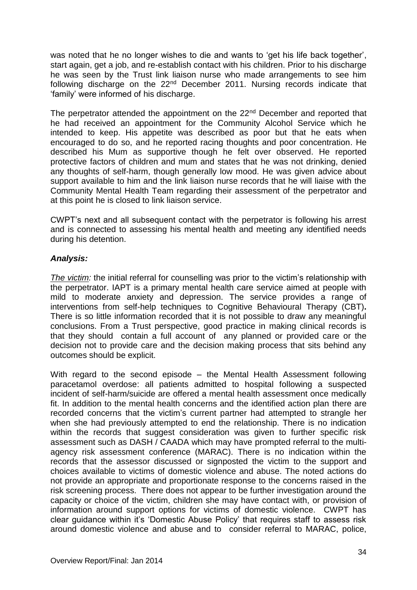was noted that he no longer wishes to die and wants to 'get his life back together', start again, get a job, and re-establish contact with his children. Prior to his discharge he was seen by the Trust link liaison nurse who made arrangements to see him following discharge on the 22<sup>nd</sup> December 2011. Nursing records indicate that 'family' were informed of his discharge.

The perpetrator attended the appointment on the 22<sup>nd</sup> December and reported that he had received an appointment for the Community Alcohol Service which he intended to keep. His appetite was described as poor but that he eats when encouraged to do so, and he reported racing thoughts and poor concentration. He described his Mum as supportive though he felt over observed. He reported protective factors of children and mum and states that he was not drinking, denied any thoughts of self-harm, though generally low mood. He was given advice about support available to him and the link liaison nurse records that he will liaise with the Community Mental Health Team regarding their assessment of the perpetrator and at this point he is closed to link liaison service.

CWPT's next and all subsequent contact with the perpetrator is following his arrest and is connected to assessing his mental health and meeting any identified needs during his detention.

### *Analysis:*

*The victim:* the initial referral for counselling was prior to the victim's relationship with the perpetrator. IAPT is a primary mental health care service aimed at people with mild to moderate anxiety and depression. The service provides a range of interventions from self-help techniques to Cognitive Behavioural Therapy (CBT)**.**  There is so little information recorded that it is not possible to draw any meaningful conclusions. From a Trust perspective, good practice in making clinical records is that they should contain a full account of any planned or provided care or the decision not to provide care and the decision making process that sits behind any outcomes should be explicit.

With regard to the second episode – the Mental Health Assessment following paracetamol overdose: all patients admitted to hospital following a suspected incident of self-harm/suicide are offered a mental health assessment once medically fit. In addition to the mental health concerns and the identified action plan there are recorded concerns that the victim's current partner had attempted to strangle her when she had previously attempted to end the relationship. There is no indication within the records that suggest consideration was given to further specific risk assessment such as DASH / CAADA which may have prompted referral to the multiagency risk assessment conference (MARAC). There is no indication within the records that the assessor discussed or signposted the victim to the support and choices available to victims of domestic violence and abuse. The noted actions do not provide an appropriate and proportionate response to the concerns raised in the risk screening process. There does not appear to be further investigation around the capacity or choice of the victim, children she may have contact with, or provision of information around support options for victims of domestic violence. CWPT has clear guidance within it's 'Domestic Abuse Policy' that requires staff to assess risk around domestic violence and abuse and to consider referral to MARAC, police,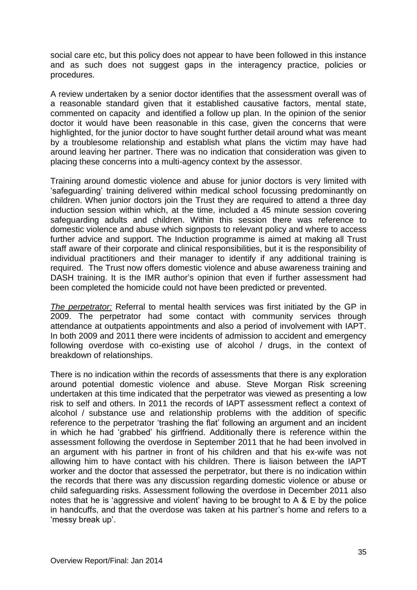social care etc, but this policy does not appear to have been followed in this instance and as such does not suggest gaps in the interagency practice, policies or procedures.

A review undertaken by a senior doctor identifies that the assessment overall was of a reasonable standard given that it established causative factors, mental state, commented on capacity and identified a follow up plan. In the opinion of the senior doctor it would have been reasonable in this case, given the concerns that were highlighted, for the junior doctor to have sought further detail around what was meant by a troublesome relationship and establish what plans the victim may have had around leaving her partner. There was no indication that consideration was given to placing these concerns into a multi-agency context by the assessor.

Training around domestic violence and abuse for junior doctors is very limited with 'safeguarding' training delivered within medical school focussing predominantly on children. When junior doctors join the Trust they are required to attend a three day induction session within which, at the time, included a 45 minute session covering safeguarding adults and children. Within this session there was reference to domestic violence and abuse which signposts to relevant policy and where to access further advice and support. The Induction programme is aimed at making all Trust staff aware of their corporate and clinical responsibilities, but it is the responsibility of individual practitioners and their manager to identify if any additional training is required. The Trust now offers domestic violence and abuse awareness training and DASH training. It is the IMR author's opinion that even if further assessment had been completed the homicide could not have been predicted or prevented.

*The perpetrator:* Referral to mental health services was first initiated by the GP in 2009. The perpetrator had some contact with community services through attendance at outpatients appointments and also a period of involvement with IAPT. In both 2009 and 2011 there were incidents of admission to accident and emergency following overdose with co-existing use of alcohol / drugs, in the context of breakdown of relationships.

There is no indication within the records of assessments that there is any exploration around potential domestic violence and abuse. Steve Morgan Risk screening undertaken at this time indicated that the perpetrator was viewed as presenting a low risk to self and others. In 2011 the records of IAPT assessment reflect a context of alcohol / substance use and relationship problems with the addition of specific reference to the perpetrator 'trashing the flat' following an argument and an incident in which he had 'grabbed' his girlfriend. Additionally there is reference within the assessment following the overdose in September 2011 that he had been involved in an argument with his partner in front of his children and that his ex-wife was not allowing him to have contact with his children. There is liaison between the IAPT worker and the doctor that assessed the perpetrator, but there is no indication within the records that there was any discussion regarding domestic violence or abuse or child safeguarding risks. Assessment following the overdose in December 2011 also notes that he is 'aggressive and violent' having to be brought to A & E by the police in handcuffs, and that the overdose was taken at his partner's home and refers to a 'messy break up'.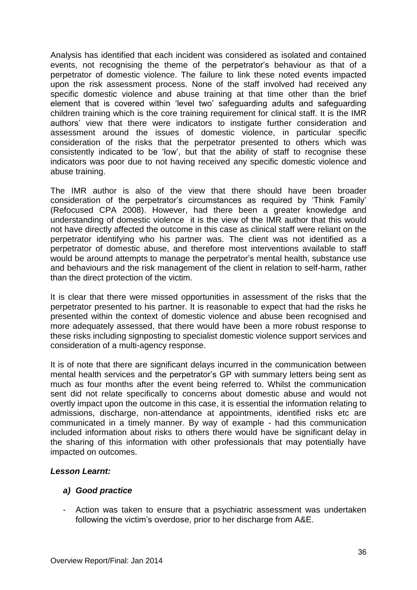Analysis has identified that each incident was considered as isolated and contained events, not recognising the theme of the perpetrator's behaviour as that of a perpetrator of domestic violence. The failure to link these noted events impacted upon the risk assessment process. None of the staff involved had received any specific domestic violence and abuse training at that time other than the brief element that is covered within 'level two' safeguarding adults and safeguarding children training which is the core training requirement for clinical staff. It is the IMR authors' view that there were indicators to instigate further consideration and assessment around the issues of domestic violence, in particular specific consideration of the risks that the perpetrator presented to others which was consistently indicated to be 'low', but that the ability of staff to recognise these indicators was poor due to not having received any specific domestic violence and abuse training.

The IMR author is also of the view that there should have been broader consideration of the perpetrator's circumstances as required by 'Think Family' (Refocused CPA 2008). However, had there been a greater knowledge and understanding of domestic violence it is the view of the IMR author that this would not have directly affected the outcome in this case as clinical staff were reliant on the perpetrator identifying who his partner was. The client was not identified as a perpetrator of domestic abuse, and therefore most interventions available to staff would be around attempts to manage the perpetrator's mental health, substance use and behaviours and the risk management of the client in relation to self-harm, rather than the direct protection of the victim.

It is clear that there were missed opportunities in assessment of the risks that the perpetrator presented to his partner. It is reasonable to expect that had the risks he presented within the context of domestic violence and abuse been recognised and more adequately assessed, that there would have been a more robust response to these risks including signposting to specialist domestic violence support services and consideration of a multi-agency response.

It is of note that there are significant delays incurred in the communication between mental health services and the perpetrator's GP with summary letters being sent as much as four months after the event being referred to. Whilst the communication sent did not relate specifically to concerns about domestic abuse and would not overtly impact upon the outcome in this case, it is essential the information relating to admissions, discharge, non-attendance at appointments, identified risks etc are communicated in a timely manner. By way of example - had this communication included information about risks to others there would have be significant delay in the sharing of this information with other professionals that may potentially have impacted on outcomes.

### *Lesson Learnt:*

### *a) Good practice*

- Action was taken to ensure that a psychiatric assessment was undertaken following the victim's overdose, prior to her discharge from A&E.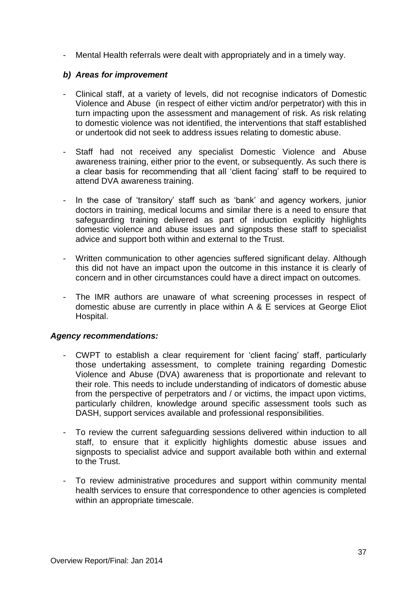- Mental Health referrals were dealt with appropriately and in a timely way.

### *b) Areas for improvement*

- Clinical staff, at a variety of levels, did not recognise indicators of Domestic Violence and Abuse (in respect of either victim and/or perpetrator) with this in turn impacting upon the assessment and management of risk. As risk relating to domestic violence was not identified, the interventions that staff established or undertook did not seek to address issues relating to domestic abuse.
- Staff had not received any specialist Domestic Violence and Abuse awareness training, either prior to the event, or subsequently. As such there is a clear basis for recommending that all 'client facing' staff to be required to attend DVA awareness training.
- In the case of 'transitory' staff such as 'bank' and agency workers, junior doctors in training, medical locums and similar there is a need to ensure that safeguarding training delivered as part of induction explicitly highlights domestic violence and abuse issues and signposts these staff to specialist advice and support both within and external to the Trust.
- Written communication to other agencies suffered significant delay. Although this did not have an impact upon the outcome in this instance it is clearly of concern and in other circumstances could have a direct impact on outcomes.
- The IMR authors are unaware of what screening processes in respect of domestic abuse are currently in place within A & E services at George Eliot Hospital.

### *Agency recommendations:*

- CWPT to establish a clear requirement for 'client facing' staff, particularly those undertaking assessment, to complete training regarding Domestic Violence and Abuse (DVA) awareness that is proportionate and relevant to their role. This needs to include understanding of indicators of domestic abuse from the perspective of perpetrators and / or victims, the impact upon victims, particularly children, knowledge around specific assessment tools such as DASH, support services available and professional responsibilities.
- To review the current safeguarding sessions delivered within induction to all staff, to ensure that it explicitly highlights domestic abuse issues and signposts to specialist advice and support available both within and external to the Trust.
- To review administrative procedures and support within community mental health services to ensure that correspondence to other agencies is completed within an appropriate timescale.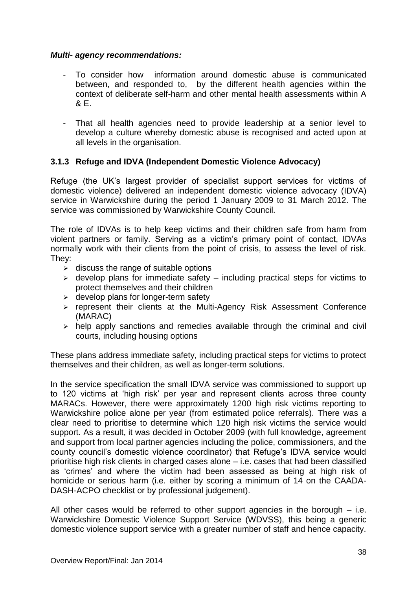### *Multi- agency recommendations:*

- To consider how information around domestic abuse is communicated between, and responded to, by the different health agencies within the context of deliberate self-harm and other mental health assessments within A  $8F$ .
- That all health agencies need to provide leadership at a senior level to develop a culture whereby domestic abuse is recognised and acted upon at all levels in the organisation.

### **3.1.3 Refuge and IDVA (Independent Domestic Violence Advocacy)**

Refuge (the UK's largest provider of specialist support services for victims of domestic violence) delivered an independent domestic violence advocacy (IDVA) service in Warwickshire during the period 1 January 2009 to 31 March 2012. The service was commissioned by Warwickshire County Council.

The role of IDVAs is to help keep victims and their children safe from harm from violent partners or family. Serving as a victim's primary point of contact, IDVAs normally work with their clients from the point of crisis, to assess the level of risk. They:

- $\triangleright$  discuss the range of suitable options
- $\triangleright$  develop plans for immediate safety including practical steps for victims to protect themselves and their children
- $\triangleright$  develop plans for longer-term safety
- $\triangleright$  represent their clients at the Multi-Agency Risk Assessment Conference (MARAC)
- $\triangleright$  help apply sanctions and remedies available through the criminal and civil courts, including housing options

These plans address immediate safety, including practical steps for victims to protect themselves and their children, as well as longer-term solutions.

In the service specification the small IDVA service was commissioned to support up to 120 victims at 'high risk' per year and represent clients across three county MARACs. However, there were approximately 1200 high risk victims reporting to Warwickshire police alone per year (from estimated police referrals). There was a clear need to prioritise to determine which 120 high risk victims the service would support. As a result, it was decided in October 2009 (with full knowledge, agreement and support from local partner agencies including the police, commissioners, and the county council's domestic violence coordinator) that Refuge's IDVA service would prioritise high risk clients in charged cases alone – i.e. cases that had been classified as 'crimes' and where the victim had been assessed as being at high risk of homicide or serious harm (i.e. either by scoring a minimum of 14 on the CAADA-DASH-ACPO checklist or by professional judgement).

All other cases would be referred to other support agencies in the borough – i.e. Warwickshire Domestic Violence Support Service (WDVSS), this being a generic domestic violence support service with a greater number of staff and hence capacity.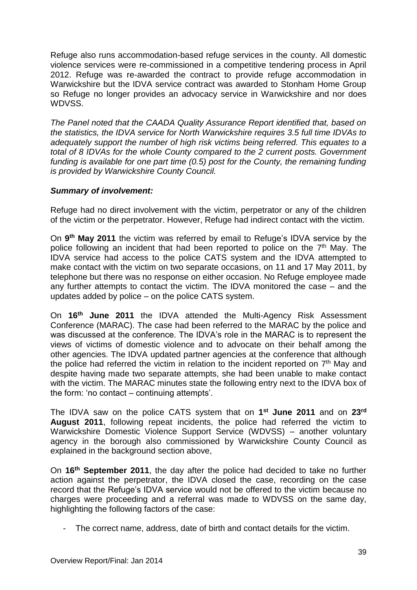Refuge also runs accommodation-based refuge services in the county. All domestic violence services were re-commissioned in a competitive tendering process in April 2012. Refuge was re-awarded the contract to provide refuge accommodation in Warwickshire but the IDVA service contract was awarded to Stonham Home Group so Refuge no longer provides an advocacy service in Warwickshire and nor does WDVSS.

*The Panel noted that the CAADA Quality Assurance Report identified that, based on the statistics, the IDVA service for North Warwickshire requires 3.5 full time IDVAs to adequately support the number of high risk victims being referred. This equates to a total of 8 IDVAs for the whole County compared to the 2 current posts. Government funding is available for one part time (0.5) post for the County, the remaining funding is provided by Warwickshire County Council.*

### *Summary of involvement:*

Refuge had no direct involvement with the victim, perpetrator or any of the children of the victim or the perpetrator. However, Refuge had indirect contact with the victim.

On **9 th May 2011** the victim was referred by email to Refuge's IDVA service by the police following an incident that had been reported to police on the  $7<sup>th</sup>$  May. The IDVA service had access to the police CATS system and the IDVA attempted to make contact with the victim on two separate occasions, on 11 and 17 May 2011, by telephone but there was no response on either occasion. No Refuge employee made any further attempts to contact the victim. The IDVA monitored the case – and the updates added by police – on the police CATS system.

On **16th June 2011** the IDVA attended the Multi-Agency Risk Assessment Conference (MARAC). The case had been referred to the MARAC by the police and was discussed at the conference. The IDVA's role in the MARAC is to represent the views of victims of domestic violence and to advocate on their behalf among the other agencies. The IDVA updated partner agencies at the conference that although the police had referred the victim in relation to the incident reported on 7<sup>th</sup> May and despite having made two separate attempts, she had been unable to make contact with the victim. The MARAC minutes state the following entry next to the IDVA box of the form: 'no contact – continuing attempts'.

The IDVA saw on the police CATS system that on **1 st June 2011** and on **23rd August 2011**, following repeat incidents, the police had referred the victim to Warwickshire Domestic Violence Support Service (WDVSS) – another voluntary agency in the borough also commissioned by Warwickshire County Council as explained in the background section above,

On **16th September 2011**, the day after the police had decided to take no further action against the perpetrator, the IDVA closed the case, recording on the case record that the Refuge's IDVA service would not be offered to the victim because no charges were proceeding and a referral was made to WDVSS on the same day, highlighting the following factors of the case:

- The correct name, address, date of birth and contact details for the victim.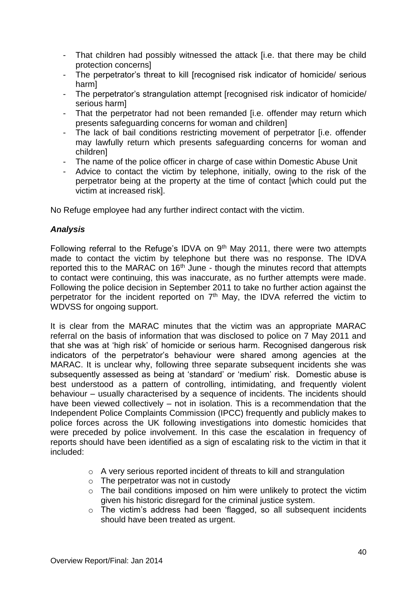- That children had possibly witnessed the attack [i.e. that there may be child protection concerns]
- The perpetrator's threat to kill [recognised risk indicator of homicide/ serious harm]
- The perpetrator's strangulation attempt [recognised risk indicator of homicide/ serious harm]
- That the perpetrator had not been remanded [i.e. offender may return which presents safeguarding concerns for woman and children]
- The lack of bail conditions restricting movement of perpetrator [i.e. offender may lawfully return which presents safeguarding concerns for woman and children]
- The name of the police officer in charge of case within Domestic Abuse Unit
- Advice to contact the victim by telephone, initially, owing to the risk of the perpetrator being at the property at the time of contact [which could put the victim at increased risk].

No Refuge employee had any further indirect contact with the victim.

### *Analysis*

Following referral to the Refuge's IDVA on  $9<sup>th</sup>$  May 2011, there were two attempts made to contact the victim by telephone but there was no response. The IDVA reported this to the MARAC on  $16<sup>th</sup>$  June - though the minutes record that attempts to contact were continuing, this was inaccurate, as no further attempts were made. Following the police decision in September 2011 to take no further action against the perpetrator for the incident reported on  $7<sup>th</sup>$  May, the IDVA referred the victim to WDVSS for ongoing support.

It is clear from the MARAC minutes that the victim was an appropriate MARAC referral on the basis of information that was disclosed to police on 7 May 2011 and that she was at 'high risk' of homicide or serious harm. Recognised dangerous risk indicators of the perpetrator's behaviour were shared among agencies at the MARAC. It is unclear why, following three separate subsequent incidents she was subsequently assessed as being at 'standard' or 'medium' risk. Domestic abuse is best understood as a pattern of controlling, intimidating, and frequently violent behaviour – usually characterised by a sequence of incidents. The incidents should have been viewed collectively – not in isolation. This is a recommendation that the Independent Police Complaints Commission (IPCC) frequently and publicly makes to police forces across the UK following investigations into domestic homicides that were preceded by police involvement. In this case the escalation in frequency of reports should have been identified as a sign of escalating risk to the victim in that it included:

- o A very serious reported incident of threats to kill and strangulation
- $\circ$  The perpetrator was not in custody
- o The bail conditions imposed on him were unlikely to protect the victim given his historic disregard for the criminal justice system.
- o The victim's address had been 'flagged, so all subsequent incidents should have been treated as urgent.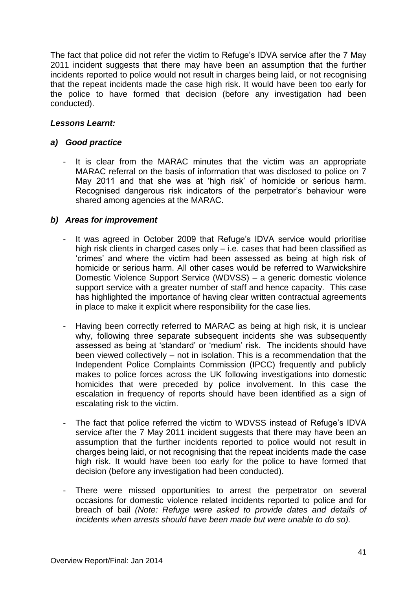The fact that police did not refer the victim to Refuge's IDVA service after the 7 May 2011 incident suggests that there may have been an assumption that the further incidents reported to police would not result in charges being laid, or not recognising that the repeat incidents made the case high risk. It would have been too early for the police to have formed that decision (before any investigation had been conducted).

# *Lessons Learnt:*

# *a) Good practice*

It is clear from the MARAC minutes that the victim was an appropriate MARAC referral on the basis of information that was disclosed to police on 7 May 2011 and that she was at 'high risk' of homicide or serious harm. Recognised dangerous risk indicators of the perpetrator's behaviour were shared among agencies at the MARAC.

# *b) Areas for improvement*

- It was agreed in October 2009 that Refuge's IDVA service would prioritise high risk clients in charged cases only – i.e. cases that had been classified as 'crimes' and where the victim had been assessed as being at high risk of homicide or serious harm. All other cases would be referred to Warwickshire Domestic Violence Support Service (WDVSS) – a generic domestic violence support service with a greater number of staff and hence capacity. This case has highlighted the importance of having clear written contractual agreements in place to make it explicit where responsibility for the case lies.
- Having been correctly referred to MARAC as being at high risk, it is unclear why, following three separate subsequent incidents she was subsequently assessed as being at 'standard' or 'medium' risk. The incidents should have been viewed collectively – not in isolation. This is a recommendation that the Independent Police Complaints Commission (IPCC) frequently and publicly makes to police forces across the UK following investigations into domestic homicides that were preceded by police involvement. In this case the escalation in frequency of reports should have been identified as a sign of escalating risk to the victim.
- The fact that police referred the victim to WDVSS instead of Refuge's IDVA service after the 7 May 2011 incident suggests that there may have been an assumption that the further incidents reported to police would not result in charges being laid, or not recognising that the repeat incidents made the case high risk. It would have been too early for the police to have formed that decision (before any investigation had been conducted).
- There were missed opportunities to arrest the perpetrator on several occasions for domestic violence related incidents reported to police and for breach of bail *(Note: Refuge were asked to provide dates and details of incidents when arrests should have been made but were unable to do so).*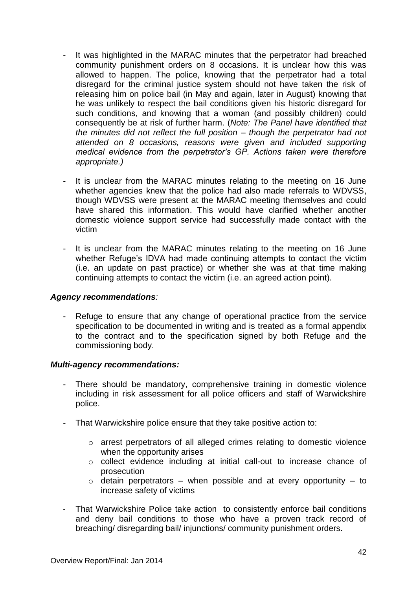- It was highlighted in the MARAC minutes that the perpetrator had breached community punishment orders on 8 occasions. It is unclear how this was allowed to happen. The police, knowing that the perpetrator had a total disregard for the criminal justice system should not have taken the risk of releasing him on police bail (in May and again, later in August) knowing that he was unlikely to respect the bail conditions given his historic disregard for such conditions, and knowing that a woman (and possibly children) could consequently be at risk of further harm. (*Note: The Panel have identified that the minutes did not reflect the full position – though the perpetrator had not attended on 8 occasions, reasons were given and included supporting medical evidence from the perpetrator's GP. Actions taken were therefore appropriate.)*
- It is unclear from the MARAC minutes relating to the meeting on 16 June whether agencies knew that the police had also made referrals to WDVSS, though WDVSS were present at the MARAC meeting themselves and could have shared this information. This would have clarified whether another domestic violence support service had successfully made contact with the victim
- It is unclear from the MARAC minutes relating to the meeting on 16 June whether Refuge's IDVA had made continuing attempts to contact the victim (i.e. an update on past practice) or whether she was at that time making continuing attempts to contact the victim (i.e. an agreed action point).

#### *Agency recommendations:*

- Refuge to ensure that any change of operational practice from the service specification to be documented in writing and is treated as a formal appendix to the contract and to the specification signed by both Refuge and the commissioning body.

### *Multi-agency recommendations:*

- There should be mandatory, comprehensive training in domestic violence including in risk assessment for all police officers and staff of Warwickshire police.
- That Warwickshire police ensure that they take positive action to:
	- $\circ$  arrest perpetrators of all alleged crimes relating to domestic violence when the opportunity arises
	- o collect evidence including at initial call-out to increase chance of prosecution
	- $\circ$  detain perpetrators when possible and at every opportunity to increase safety of victims
- That Warwickshire Police take action to consistently enforce bail conditions and deny bail conditions to those who have a proven track record of breaching/ disregarding bail/ injunctions/ community punishment orders.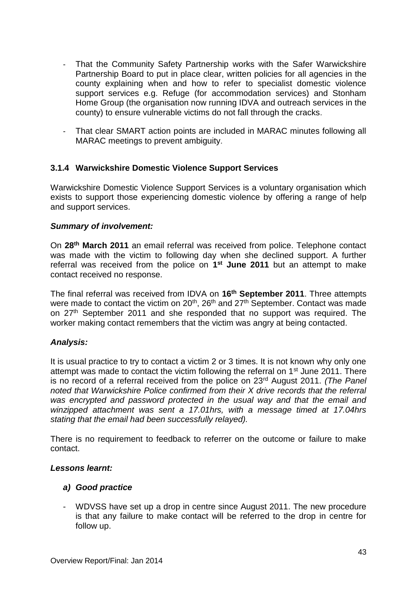- That the Community Safety Partnership works with the Safer Warwickshire Partnership Board to put in place clear, written policies for all agencies in the county explaining when and how to refer to specialist domestic violence support services e.g. Refuge (for accommodation services) and Stonham Home Group (the organisation now running IDVA and outreach services in the county) to ensure vulnerable victims do not fall through the cracks.
- That clear SMART action points are included in MARAC minutes following all MARAC meetings to prevent ambiguity.

### **3.1.4 Warwickshire Domestic Violence Support Services**

Warwickshire Domestic Violence Support Services is a voluntary organisation which exists to support those experiencing domestic violence by offering a range of help and support services.

### *Summary of involvement:*

On **28th March 2011** an email referral was received from police. Telephone contact was made with the victim to following day when she declined support. A further referral was received from the police on **1 st June 2011** but an attempt to make contact received no response.

The final referral was received from IDVA on **16th September 2011**. Three attempts were made to contact the victim on 20<sup>th</sup>, 26<sup>th</sup> and 27<sup>th</sup> September. Contact was made on 27<sup>th</sup> September 2011 and she responded that no support was required. The worker making contact remembers that the victim was angry at being contacted.

### *Analysis:*

It is usual practice to try to contact a victim 2 or 3 times. It is not known why only one attempt was made to contact the victim following the referral on 1<sup>st</sup> June 2011. There is no record of a referral received from the police on 23rd August 2011. *(The Panel noted that Warwickshire Police confirmed from their X drive records that the referral was encrypted and password protected in the usual way and that the email and winzipped attachment was sent a 17.01hrs, with a message timed at 17.04hrs stating that the email had been successfully relayed).* 

There is no requirement to feedback to referrer on the outcome or failure to make contact.

### *Lessons learnt:*

### *a) Good practice*

- WDVSS have set up a drop in centre since August 2011. The new procedure is that any failure to make contact will be referred to the drop in centre for follow up.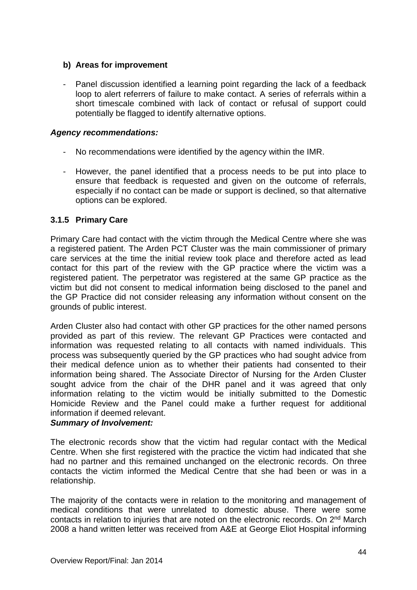### **b) Areas for improvement**

Panel discussion identified a learning point regarding the lack of a feedback loop to alert referrers of failure to make contact. A series of referrals within a short timescale combined with lack of contact or refusal of support could potentially be flagged to identify alternative options.

### *Agency recommendations:*

- No recommendations were identified by the agency within the IMR.
- However, the panel identified that a process needs to be put into place to ensure that feedback is requested and given on the outcome of referrals, especially if no contact can be made or support is declined, so that alternative options can be explored.

### **3.1.5 Primary Care**

Primary Care had contact with the victim through the Medical Centre where she was a registered patient. The Arden PCT Cluster was the main commissioner of primary care services at the time the initial review took place and therefore acted as lead contact for this part of the review with the GP practice where the victim was a registered patient. The perpetrator was registered at the same GP practice as the victim but did not consent to medical information being disclosed to the panel and the GP Practice did not consider releasing any information without consent on the grounds of public interest.

Arden Cluster also had contact with other GP practices for the other named persons provided as part of this review. The relevant GP Practices were contacted and information was requested relating to all contacts with named individuals. This process was subsequently queried by the GP practices who had sought advice from their medical defence union as to whether their patients had consented to their information being shared. The Associate Director of Nursing for the Arden Cluster sought advice from the chair of the DHR panel and it was agreed that only information relating to the victim would be initially submitted to the Domestic Homicide Review and the Panel could make a further request for additional information if deemed relevant.

### *Summary of Involvement:*

The electronic records show that the victim had regular contact with the Medical Centre. When she first registered with the practice the victim had indicated that she had no partner and this remained unchanged on the electronic records. On three contacts the victim informed the Medical Centre that she had been or was in a relationship.

The majority of the contacts were in relation to the monitoring and management of medical conditions that were unrelated to domestic abuse. There were some contacts in relation to injuries that are noted on the electronic records. On 2nd March 2008 a hand written letter was received from A&E at George Eliot Hospital informing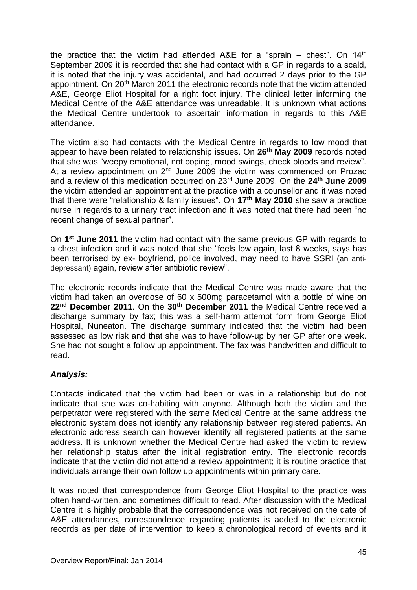the practice that the victim had attended A&E for a "sprain  $-$  chest". On 14<sup>th</sup> September 2009 it is recorded that she had contact with a GP in regards to a scald, it is noted that the injury was accidental, and had occurred 2 days prior to the GP appointment. On 20<sup>th</sup> March 2011 the electronic records note that the victim attended A&E, George Eliot Hospital for a right foot injury. The clinical letter informing the Medical Centre of the A&E attendance was unreadable. It is unknown what actions the Medical Centre undertook to ascertain information in regards to this A&E attendance.

The victim also had contacts with the Medical Centre in regards to low mood that appear to have been related to relationship issues. On **26th May 2009** records noted that she was "weepy emotional, not coping, mood swings, check bloods and review". At a review appointment on 2<sup>nd</sup> June 2009 the victim was commenced on Prozac and a review of this medication occurred on 23rd June 2009. On the **24th June 2009** the victim attended an appointment at the practice with a counsellor and it was noted that there were "relationship & family issues". On **17th May 2010** she saw a practice nurse in regards to a urinary tract infection and it was noted that there had been "no recent change of sexual partner".

On **1 st June 2011** the victim had contact with the same previous GP with regards to a chest infection and it was noted that she "feels low again, last 8 weeks, says has been terrorised by ex- boyfriend, police involved, may need to have SSRI (an antidepressant) again, review after antibiotic review".

The electronic records indicate that the Medical Centre was made aware that the victim had taken an overdose of 60 x 500mg paracetamol with a bottle of wine on **22nd December 2011**. On the **30th December 2011** the Medical Centre received a discharge summary by fax; this was a self-harm attempt form from George Eliot Hospital, Nuneaton. The discharge summary indicated that the victim had been assessed as low risk and that she was to have follow-up by her GP after one week. She had not sought a follow up appointment. The fax was handwritten and difficult to read.

# *Analysis:*

Contacts indicated that the victim had been or was in a relationship but do not indicate that she was co-habiting with anyone. Although both the victim and the perpetrator were registered with the same Medical Centre at the same address the electronic system does not identify any relationship between registered patients. An electronic address search can however identify all registered patients at the same address. It is unknown whether the Medical Centre had asked the victim to review her relationship status after the initial registration entry. The electronic records indicate that the victim did not attend a review appointment; it is routine practice that individuals arrange their own follow up appointments within primary care.

It was noted that correspondence from George Eliot Hospital to the practice was often hand-written, and sometimes difficult to read. After discussion with the Medical Centre it is highly probable that the correspondence was not received on the date of A&E attendances, correspondence regarding patients is added to the electronic records as per date of intervention to keep a chronological record of events and it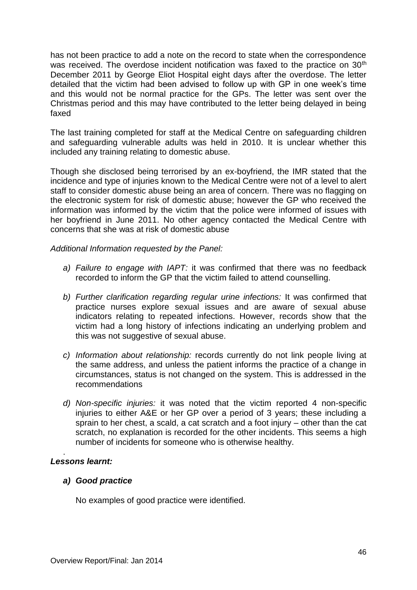has not been practice to add a note on the record to state when the correspondence was received. The overdose incident notification was faxed to the practice on 30<sup>th</sup> December 2011 by George Eliot Hospital eight days after the overdose. The letter detailed that the victim had been advised to follow up with GP in one week's time and this would not be normal practice for the GPs. The letter was sent over the Christmas period and this may have contributed to the letter being delayed in being faxed

The last training completed for staff at the Medical Centre on safeguarding children and safeguarding vulnerable adults was held in 2010. It is unclear whether this included any training relating to domestic abuse.

Though she disclosed being terrorised by an ex-boyfriend, the IMR stated that the incidence and type of injuries known to the Medical Centre were not of a level to alert staff to consider domestic abuse being an area of concern. There was no flagging on the electronic system for risk of domestic abuse; however the GP who received the information was informed by the victim that the police were informed of issues with her boyfriend in June 2011. No other agency contacted the Medical Centre with concerns that she was at risk of domestic abuse

*Additional Information requested by the Panel:*

- *a) Failure to engage with IAPT:* it was confirmed that there was no feedback recorded to inform the GP that the victim failed to attend counselling.
- *b) Further clarification regarding regular urine infections:* It was confirmed that practice nurses explore sexual issues and are aware of sexual abuse indicators relating to repeated infections. However, records show that the victim had a long history of infections indicating an underlying problem and this was not suggestive of sexual abuse.
- *c) Information about relationship:* records currently do not link people living at the same address, and unless the patient informs the practice of a change in circumstances, status is not changed on the system. This is addressed in the recommendations
- *d) Non-specific injuries:* it was noted that the victim reported 4 non-specific injuries to either A&E or her GP over a period of 3 years; these including a sprain to her chest, a scald, a cat scratch and a foot injury – other than the cat scratch, no explanation is recorded for the other incidents. This seems a high number of incidents for someone who is otherwise healthy.

#### . *Lessons learnt:*

### *a) Good practice*

No examples of good practice were identified.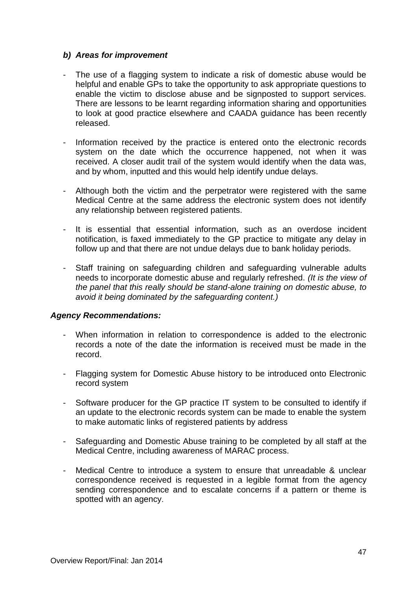### *b) Areas for improvement*

- The use of a flagging system to indicate a risk of domestic abuse would be helpful and enable GPs to take the opportunity to ask appropriate questions to enable the victim to disclose abuse and be signposted to support services. There are lessons to be learnt regarding information sharing and opportunities to look at good practice elsewhere and CAADA guidance has been recently released.
- Information received by the practice is entered onto the electronic records system on the date which the occurrence happened, not when it was received. A closer audit trail of the system would identify when the data was, and by whom, inputted and this would help identify undue delays.
- Although both the victim and the perpetrator were registered with the same Medical Centre at the same address the electronic system does not identify any relationship between registered patients.
- It is essential that essential information, such as an overdose incident notification, is faxed immediately to the GP practice to mitigate any delay in follow up and that there are not undue delays due to bank holiday periods.
- Staff training on safeguarding children and safeguarding vulnerable adults needs to incorporate domestic abuse and regularly refreshed. *(It is the view of the panel that this really should be stand-alone training on domestic abuse, to avoid it being dominated by the safeguarding content.)*

### *Agency Recommendations:*

- When information in relation to correspondence is added to the electronic records a note of the date the information is received must be made in the record.
- Flagging system for Domestic Abuse history to be introduced onto Electronic record system
- Software producer for the GP practice IT system to be consulted to identify if an update to the electronic records system can be made to enable the system to make automatic links of registered patients by address
- Safeguarding and Domestic Abuse training to be completed by all staff at the Medical Centre, including awareness of MARAC process.
- Medical Centre to introduce a system to ensure that unreadable & unclear correspondence received is requested in a legible format from the agency sending correspondence and to escalate concerns if a pattern or theme is spotted with an agency.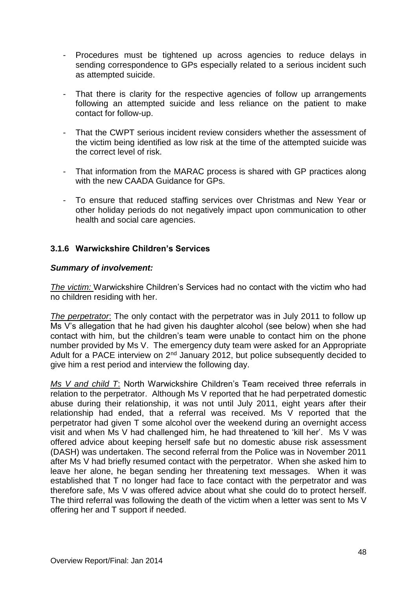- Procedures must be tightened up across agencies to reduce delays in sending correspondence to GPs especially related to a serious incident such as attempted suicide.
- That there is clarity for the respective agencies of follow up arrangements following an attempted suicide and less reliance on the patient to make contact for follow-up.
- That the CWPT serious incident review considers whether the assessment of the victim being identified as low risk at the time of the attempted suicide was the correct level of risk.
- That information from the MARAC process is shared with GP practices along with the new CAADA Guidance for GPs.
- To ensure that reduced staffing services over Christmas and New Year or other holiday periods do not negatively impact upon communication to other health and social care agencies.

# **3.1.6 Warwickshire Children's Services**

### *Summary of involvement:*

*The victim:* Warwickshire Children's Services had no contact with the victim who had no children residing with her.

*The perpetrator*: The only contact with the perpetrator was in July 2011 to follow up Ms V's allegation that he had given his daughter alcohol (see below) when she had contact with him, but the children's team were unable to contact him on the phone number provided by Ms V. The emergency duty team were asked for an Appropriate Adult for a PACE interview on  $2<sup>nd</sup>$  January 2012, but police subsequently decided to give him a rest period and interview the following day.

*Ms V and child T*: North Warwickshire Children's Team received three referrals in relation to the perpetrator. Although Ms V reported that he had perpetrated domestic abuse during their relationship, it was not until July 2011, eight years after their relationship had ended, that a referral was received. Ms V reported that the perpetrator had given T some alcohol over the weekend during an overnight access visit and when Ms V had challenged him, he had threatened to 'kill her'. Ms V was offered advice about keeping herself safe but no domestic abuse risk assessment (DASH) was undertaken. The second referral from the Police was in November 2011 after Ms V had briefly resumed contact with the perpetrator. When she asked him to leave her alone, he began sending her threatening text messages. When it was established that T no longer had face to face contact with the perpetrator and was therefore safe, Ms V was offered advice about what she could do to protect herself. The third referral was following the death of the victim when a letter was sent to Ms V offering her and T support if needed.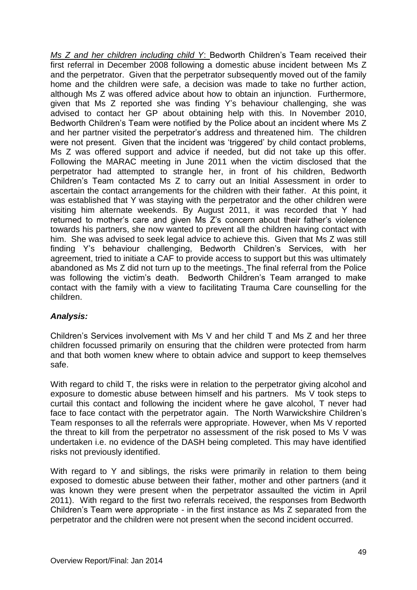*Ms Z and her children including child Y*: Bedworth Children's Team received their first referral in December 2008 following a domestic abuse incident between Ms Z and the perpetrator. Given that the perpetrator subsequently moved out of the family home and the children were safe, a decision was made to take no further action, although Ms Z was offered advice about how to obtain an injunction. Furthermore, given that Ms Z reported she was finding Y's behaviour challenging, she was advised to contact her GP about obtaining help with this. In November 2010, Bedworth Children's Team were notified by the Police about an incident where Ms Z and her partner visited the perpetrator's address and threatened him. The children were not present. Given that the incident was 'triggered' by child contact problems, Ms Z was offered support and advice if needed, but did not take up this offer. Following the MARAC meeting in June 2011 when the victim disclosed that the perpetrator had attempted to strangle her, in front of his children, Bedworth Children's Team contacted Ms Z to carry out an Initial Assessment in order to ascertain the contact arrangements for the children with their father. At this point, it was established that Y was staying with the perpetrator and the other children were visiting him alternate weekends. By August 2011, it was recorded that Y had returned to mother's care and given Ms Z's concern about their father's violence towards his partners, she now wanted to prevent all the children having contact with him. She was advised to seek legal advice to achieve this. Given that Ms Z was still finding Y's behaviour challenging, Bedworth Children's Services, with her agreement, tried to initiate a CAF to provide access to support but this was ultimately abandoned as Ms Z did not turn up to the meetings. The final referral from the Police was following the victim's death. Bedworth Children's Team arranged to make contact with the family with a view to facilitating Trauma Care counselling for the children.

# *Analysis:*

Children's Services involvement with Ms V and her child T and Ms Z and her three children focussed primarily on ensuring that the children were protected from harm and that both women knew where to obtain advice and support to keep themselves safe.

With regard to child T, the risks were in relation to the perpetrator giving alcohol and exposure to domestic abuse between himself and his partners. Ms V took steps to curtail this contact and following the incident where he gave alcohol, T never had face to face contact with the perpetrator again. The North Warwickshire Children's Team responses to all the referrals were appropriate. However, when Ms V reported the threat to kill from the perpetrator no assessment of the risk posed to Ms V was undertaken i.e. no evidence of the DASH being completed. This may have identified risks not previously identified.

With regard to Y and siblings, the risks were primarily in relation to them being exposed to domestic abuse between their father, mother and other partners (and it was known they were present when the perpetrator assaulted the victim in April 2011). With regard to the first two referrals received, the responses from Bedworth Children's Team were appropriate - in the first instance as Ms Z separated from the perpetrator and the children were not present when the second incident occurred.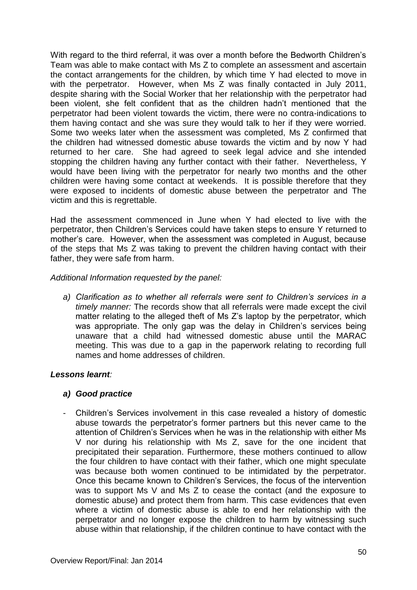With regard to the third referral, it was over a month before the Bedworth Children's Team was able to make contact with Ms Z to complete an assessment and ascertain the contact arrangements for the children, by which time Y had elected to move in with the perpetrator. However, when Ms Z was finally contacted in July 2011, despite sharing with the Social Worker that her relationship with the perpetrator had been violent, she felt confident that as the children hadn't mentioned that the perpetrator had been violent towards the victim, there were no contra-indications to them having contact and she was sure they would talk to her if they were worried. Some two weeks later when the assessment was completed, Ms Z confirmed that the children had witnessed domestic abuse towards the victim and by now Y had returned to her care. She had agreed to seek legal advice and she intended stopping the children having any further contact with their father. Nevertheless, Y would have been living with the perpetrator for nearly two months and the other children were having some contact at weekends. It is possible therefore that they were exposed to incidents of domestic abuse between the perpetrator and The victim and this is regrettable.

Had the assessment commenced in June when Y had elected to live with the perpetrator, then Children's Services could have taken steps to ensure Y returned to mother's care. However, when the assessment was completed in August, because of the steps that Ms Z was taking to prevent the children having contact with their father, they were safe from harm.

*Additional Information requested by the panel:*

*a) Clarification as to whether all referrals were sent to Children's services in a timely manner:* The records show that all referrals were made except the civil matter relating to the alleged theft of Ms Z's laptop by the perpetrator, which was appropriate. The only gap was the delay in Children's services being unaware that a child had witnessed domestic abuse until the MARAC meeting. This was due to a gap in the paperwork relating to recording full names and home addresses of children.

# *Lessons learnt:*

# *a) Good practice*

- Children's Services involvement in this case revealed a history of domestic abuse towards the perpetrator's former partners but this never came to the attention of Children's Services when he was in the relationship with either Ms V nor during his relationship with Ms Z, save for the one incident that precipitated their separation. Furthermore, these mothers continued to allow the four children to have contact with their father, which one might speculate was because both women continued to be intimidated by the perpetrator. Once this became known to Children's Services, the focus of the intervention was to support Ms V and Ms Z to cease the contact (and the exposure to domestic abuse) and protect them from harm. This case evidences that even where a victim of domestic abuse is able to end her relationship with the perpetrator and no longer expose the children to harm by witnessing such abuse within that relationship, if the children continue to have contact with the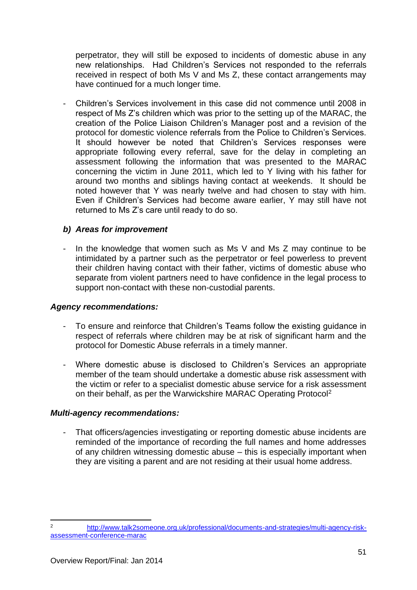perpetrator, they will still be exposed to incidents of domestic abuse in any new relationships. Had Children's Services not responded to the referrals received in respect of both Ms V and Ms Z, these contact arrangements may have continued for a much longer time.

- Children's Services involvement in this case did not commence until 2008 in respect of Ms Z's children which was prior to the setting up of the MARAC, the creation of the Police Liaison Children's Manager post and a revision of the protocol for domestic violence referrals from the Police to Children's Services. It should however be noted that Children's Services responses were appropriate following every referral, save for the delay in completing an assessment following the information that was presented to the MARAC concerning the victim in June 2011, which led to Y living with his father for around two months and siblings having contact at weekends. It should be noted however that Y was nearly twelve and had chosen to stay with him. Even if Children's Services had become aware earlier, Y may still have not returned to Ms Z's care until ready to do so.

### *b) Areas for improvement*

- In the knowledge that women such as Ms V and Ms Z may continue to be intimidated by a partner such as the perpetrator or feel powerless to prevent their children having contact with their father, victims of domestic abuse who separate from violent partners need to have confidence in the legal process to support non-contact with these non-custodial parents.

### *Agency recommendations:*

- To ensure and reinforce that Children's Teams follow the existing guidance in respect of referrals where children may be at risk of significant harm and the protocol for Domestic Abuse referrals in a timely manner.
- Where domestic abuse is disclosed to Children's Services an appropriate member of the team should undertake a domestic abuse risk assessment with the victim or refer to a specialist domestic abuse service for a risk assessment on their behalf, as per the Warwickshire MARAC Operating Protocol<sup>2</sup>

### *Multi-agency recommendations:*

That officers/agencies investigating or reporting domestic abuse incidents are reminded of the importance of recording the full names and home addresses of any children witnessing domestic abuse – this is especially important when they are visiting a parent and are not residing at their usual home address.

<sup>-</sup><sup>2</sup> [http://www.talk2someone.org.uk/professional/documents-and-strategies/multi-agency-risk](http://www.talk2someone.org.uk/professional/documents-and-strategies/multi-agency-risk-assessment-conference-marac)[assessment-conference-marac](http://www.talk2someone.org.uk/professional/documents-and-strategies/multi-agency-risk-assessment-conference-marac)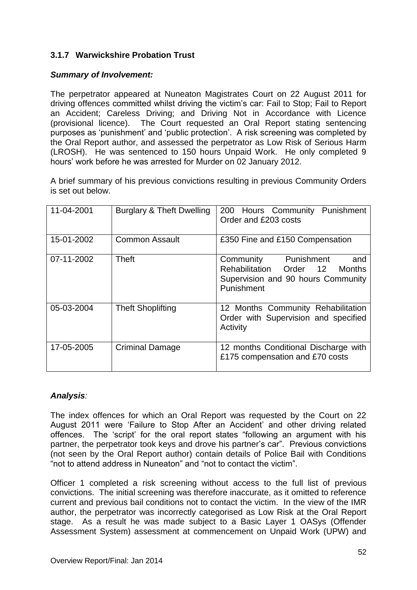# **3.1.7 Warwickshire Probation Trust**

### *Summary of Involvement:*

The perpetrator appeared at Nuneaton Magistrates Court on 22 August 2011 for driving offences committed whilst driving the victim's car: Fail to Stop; Fail to Report an Accident; Careless Driving; and Driving Not in Accordance with Licence (provisional licence). The Court requested an Oral Report stating sentencing purposes as 'punishment' and 'public protection'. A risk screening was completed by the Oral Report author, and assessed the perpetrator as Low Risk of Serious Harm (LROSH). He was sentenced to 150 hours Unpaid Work. He only completed 9 hours' work before he was arrested for Murder on 02 January 2012.

A brief summary of his previous convictions resulting in previous Community Orders is set out below.

| 11-04-2001 | Burglary & Theft Dwelling | Punishment<br>200 Hours Community<br>Order and £203 costs                                                            |
|------------|---------------------------|----------------------------------------------------------------------------------------------------------------------|
| 15-01-2002 | <b>Common Assault</b>     | £350 Fine and £150 Compensation                                                                                      |
| 07-11-2002 | Theft                     | Community Punishment<br>and<br>Rehabilitation Order 12<br>Months<br>Supervision and 90 hours Community<br>Punishment |
| 05-03-2004 | <b>Theft Shoplifting</b>  | 12 Months Community Rehabilitation<br>Order with Supervision and specified<br>Activity                               |
| 17-05-2005 | <b>Criminal Damage</b>    | 12 months Conditional Discharge with<br>£175 compensation and £70 costs                                              |

### *Analysis:*

The index offences for which an Oral Report was requested by the Court on 22 August 2011 were 'Failure to Stop After an Accident' and other driving related offences. The 'script' for the oral report states "following an argument with his partner, the perpetrator took keys and drove his partner's car". Previous convictions (not seen by the Oral Report author) contain details of Police Bail with Conditions "not to attend address in Nuneaton" and "not to contact the victim".

Officer 1 completed a risk screening without access to the full list of previous convictions. The initial screening was therefore inaccurate, as it omitted to reference current and previous bail conditions not to contact the victim. In the view of the IMR author, the perpetrator was incorrectly categorised as Low Risk at the Oral Report stage. As a result he was made subject to a Basic Layer 1 OASys (Offender Assessment System) assessment at commencement on Unpaid Work (UPW) and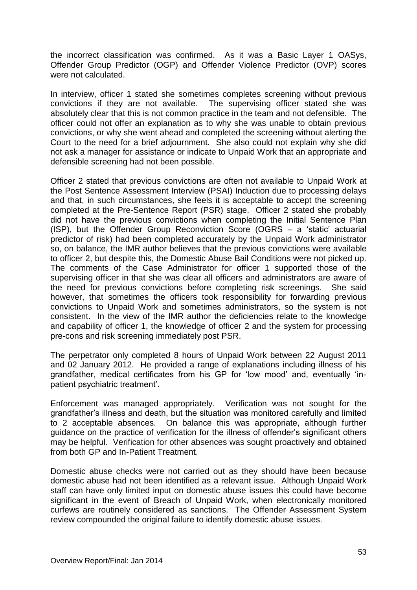the incorrect classification was confirmed. As it was a Basic Layer 1 OASys, Offender Group Predictor (OGP) and Offender Violence Predictor (OVP) scores were not calculated.

In interview, officer 1 stated she sometimes completes screening without previous convictions if they are not available. The supervising officer stated she was absolutely clear that this is not common practice in the team and not defensible. The officer could not offer an explanation as to why she was unable to obtain previous convictions, or why she went ahead and completed the screening without alerting the Court to the need for a brief adjournment. She also could not explain why she did not ask a manager for assistance or indicate to Unpaid Work that an appropriate and defensible screening had not been possible.

Officer 2 stated that previous convictions are often not available to Unpaid Work at the Post Sentence Assessment Interview (PSAI) Induction due to processing delays and that, in such circumstances, she feels it is acceptable to accept the screening completed at the Pre-Sentence Report (PSR) stage. Officer 2 stated she probably did not have the previous convictions when completing the Initial Sentence Plan (ISP), but the Offender Group Reconviction Score (OGRS – a 'static' actuarial predictor of risk) had been completed accurately by the Unpaid Work administrator so, on balance, the IMR author believes that the previous convictions were available to officer 2, but despite this, the Domestic Abuse Bail Conditions were not picked up. The comments of the Case Administrator for officer 1 supported those of the supervising officer in that she was clear all officers and administrators are aware of the need for previous convictions before completing risk screenings. She said however, that sometimes the officers took responsibility for forwarding previous convictions to Unpaid Work and sometimes administrators, so the system is not consistent. In the view of the IMR author the deficiencies relate to the knowledge and capability of officer 1, the knowledge of officer 2 and the system for processing pre-cons and risk screening immediately post PSR.

The perpetrator only completed 8 hours of Unpaid Work between 22 August 2011 and 02 January 2012. He provided a range of explanations including illness of his grandfather, medical certificates from his GP for 'low mood' and, eventually 'inpatient psychiatric treatment'.

Enforcement was managed appropriately. Verification was not sought for the grandfather's illness and death, but the situation was monitored carefully and limited to 2 acceptable absences. On balance this was appropriate, although further guidance on the practice of verification for the illness of offender's significant others may be helpful. Verification for other absences was sought proactively and obtained from both GP and In-Patient Treatment.

Domestic abuse checks were not carried out as they should have been because domestic abuse had not been identified as a relevant issue. Although Unpaid Work staff can have only limited input on domestic abuse issues this could have become significant in the event of Breach of Unpaid Work, when electronically monitored curfews are routinely considered as sanctions. The Offender Assessment System review compounded the original failure to identify domestic abuse issues.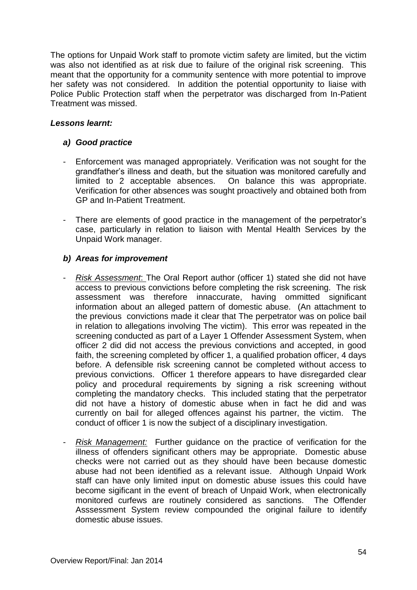The options for Unpaid Work staff to promote victim safety are limited, but the victim was also not identified as at risk due to failure of the original risk screening. This meant that the opportunity for a community sentence with more potential to improve her safety was not considered. In addition the potential opportunity to liaise with Police Public Protection staff when the perpetrator was discharged from In-Patient Treatment was missed.

### *Lessons learnt:*

### *a) Good practice*

- Enforcement was managed appropriately. Verification was not sought for the grandfather's illness and death, but the situation was monitored carefully and limited to 2 acceptable absences. On balance this was appropriate. Verification for other absences was sought proactively and obtained both from GP and In-Patient Treatment.
- There are elements of good practice in the management of the perpetrator's case, particularly in relation to liaison with Mental Health Services by the Unpaid Work manager.

### *b) Areas for improvement*

- *Risk Assessment*: The Oral Report author (officer 1) stated she did not have access to previous convictions before completing the risk screening. The risk assessment was therefore innaccurate, having ommitted significant information about an alleged pattern of domestic abuse. (An attachment to the previous convictions made it clear that The perpetrator was on police bail in relation to allegations involving The victim). This error was repeated in the screening conducted as part of a Layer 1 Offender Assessment System, when officer 2 did did not access the previous convictions and accepted, in good faith, the screening completed by officer 1, a qualified probation officer, 4 days before. A defensible risk screening cannot be completed without access to previous convictions. Officer 1 therefore appears to have disregarded clear policy and procedural requirements by signing a risk screening without completing the mandatory checks. This included stating that the perpetrator did not have a history of domestic abuse when in fact he did and was currently on bail for alleged offences against his partner, the victim. The conduct of officer 1 is now the subject of a disciplinary investigation.
- **Risk Management:** Further guidance on the practice of verification for the illness of offenders significant others may be appropriate. Domestic abuse checks were not carried out as they should have been because domestic abuse had not been identified as a relevant issue. Although Unpaid Work staff can have only limited input on domestic abuse issues this could have become sigificant in the event of breach of Unpaid Work, when electronically monitored curfews are routinely considered as sanctions. The Offender Asssessment System review compounded the original failure to identify domestic abuse issues.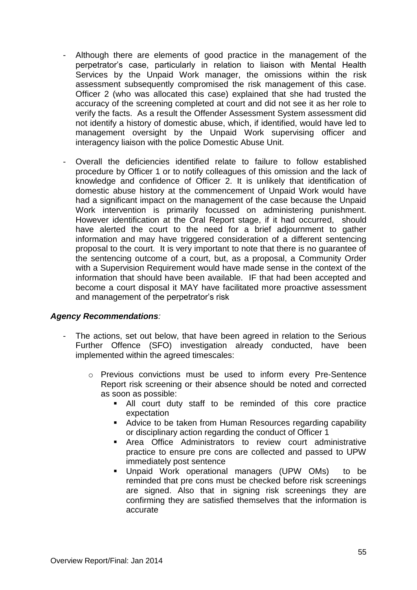- Although there are elements of good practice in the management of the perpetrator's case, particularly in relation to liaison with Mental Health Services by the Unpaid Work manager, the omissions within the risk assessment subsequently compromised the risk management of this case. Officer 2 (who was allocated this case) explained that she had trusted the accuracy of the screening completed at court and did not see it as her role to verify the facts. As a result the Offender Assessment System assessment did not identify a history of domestic abuse, which, if identified, would have led to management oversight by the Unpaid Work supervising officer and interagency liaison with the police Domestic Abuse Unit.
- Overall the deficiencies identified relate to failure to follow established procedure by Officer 1 or to notify colleagues of this omission and the lack of knowledge and confidence of Officer 2. It is unlikely that identification of domestic abuse history at the commencement of Unpaid Work would have had a significant impact on the management of the case because the Unpaid Work intervention is primarily focussed on administering punishment. However identification at the Oral Report stage, if it had occurred, should have alerted the court to the need for a brief adjournment to gather information and may have triggered consideration of a different sentencing proposal to the court. It is very important to note that there is no guarantee of the sentencing outcome of a court, but, as a proposal, a Community Order with a Supervision Requirement would have made sense in the context of the information that should have been available. IF that had been accepted and become a court disposal it MAY have facilitated more proactive assessment and management of the perpetrator's risk

### *Agency Recommendations:*

- The actions, set out below, that have been agreed in relation to the Serious Further Offence (SFO) investigation already conducted, have been implemented within the agreed timescales:
	- o Previous convictions must be used to inform every Pre-Sentence Report risk screening or their absence should be noted and corrected as soon as possible:
		- All court duty staff to be reminded of this core practice expectation
		- Advice to be taken from Human Resources regarding capability or disciplinary action regarding the conduct of Officer 1
		- Area Office Administrators to review court administrative practice to ensure pre cons are collected and passed to UPW immediately post sentence
		- Unpaid Work operational managers (UPW OMs) to be reminded that pre cons must be checked before risk screenings are signed. Also that in signing risk screenings they are confirming they are satisfied themselves that the information is accurate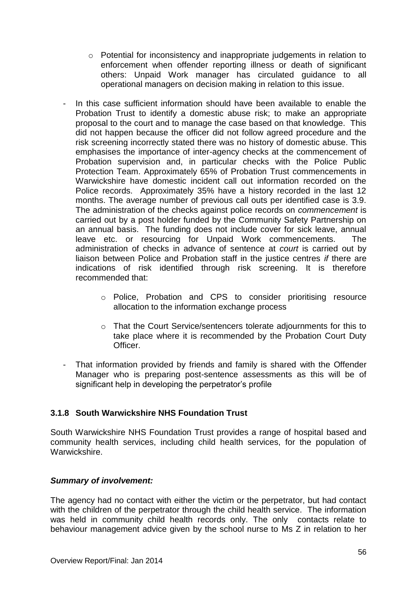- o Potential for inconsistency and inappropriate judgements in relation to enforcement when offender reporting illness or death of significant others: Unpaid Work manager has circulated guidance to all operational managers on decision making in relation to this issue.
- In this case sufficient information should have been available to enable the Probation Trust to identify a domestic abuse risk; to make an appropriate proposal to the court and to manage the case based on that knowledge. This did not happen because the officer did not follow agreed procedure and the risk screening incorrectly stated there was no history of domestic abuse. This emphasises the importance of inter-agency checks at the commencement of Probation supervision and, in particular checks with the Police Public Protection Team. Approximately 65% of Probation Trust commencements in Warwickshire have domestic incident call out information recorded on the Police records. Approximately 35% have a history recorded in the last 12 months. The average number of previous call outs per identified case is 3.9. The administration of the checks against police records on *commencement* is carried out by a post holder funded by the Community Safety Partnership on an annual basis. The funding does not include cover for sick leave, annual leave etc. or resourcing for Unpaid Work commencements. The administration of checks in advance of sentence at *court* is carried out by liaison between Police and Probation staff in the justice centres *if* there are indications of risk identified through risk screening. It is therefore recommended that:
	- o Police, Probation and CPS to consider prioritising resource allocation to the information exchange process
	- $\circ$  That the Court Service/sentencers tolerate adjournments for this to take place where it is recommended by the Probation Court Duty Officer.
- That information provided by friends and family is shared with the Offender Manager who is preparing post-sentence assessments as this will be of significant help in developing the perpetrator's profile

# **3.1.8 South Warwickshire NHS Foundation Trust**

South Warwickshire NHS Foundation Trust provides a range of hospital based and community health services, including child health services, for the population of Warwickshire.

# *Summary of involvement:*

The agency had no contact with either the victim or the perpetrator, but had contact with the children of the perpetrator through the child health service. The information was held in community child health records only. The only contacts relate to behaviour management advice given by the school nurse to Ms Z in relation to her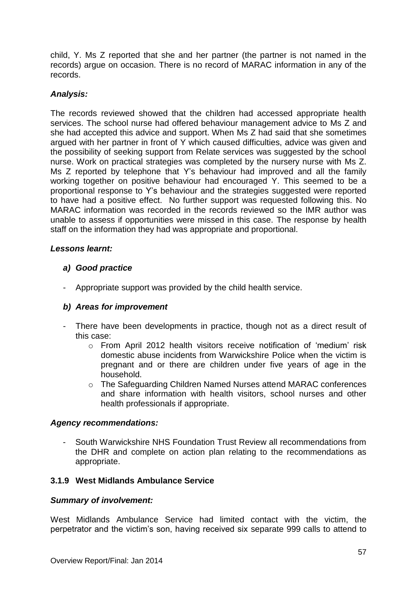child, Y. Ms Z reported that she and her partner (the partner is not named in the records) argue on occasion. There is no record of MARAC information in any of the records.

# *Analysis:*

The records reviewed showed that the children had accessed appropriate health services. The school nurse had offered behaviour management advice to Ms Z and she had accepted this advice and support. When Ms Z had said that she sometimes argued with her partner in front of Y which caused difficulties, advice was given and the possibility of seeking support from Relate services was suggested by the school nurse. Work on practical strategies was completed by the nursery nurse with Ms Z. Ms Z reported by telephone that Y's behaviour had improved and all the family working together on positive behaviour had encouraged Y. This seemed to be a proportional response to Y's behaviour and the strategies suggested were reported to have had a positive effect. No further support was requested following this. No MARAC information was recorded in the records reviewed so the IMR author was unable to assess if opportunities were missed in this case. The response by health staff on the information they had was appropriate and proportional.

# *Lessons learnt:*

### *a) Good practice*

- Appropriate support was provided by the child health service.

# *b) Areas for improvement*

- There have been developments in practice, though not as a direct result of this case:
	- o From April 2012 health visitors receive notification of 'medium' risk domestic abuse incidents from Warwickshire Police when the victim is pregnant and or there are children under five years of age in the household.
	- o The Safeguarding Children Named Nurses attend MARAC conferences and share information with health visitors, school nurses and other health professionals if appropriate.

### *Agency recommendations:*

- South Warwickshire NHS Foundation Trust Review all recommendations from the DHR and complete on action plan relating to the recommendations as appropriate.

# **3.1.9 West Midlands Ambulance Service**

### *Summary of involvement:*

West Midlands Ambulance Service had limited contact with the victim, the perpetrator and the victim's son, having received six separate 999 calls to attend to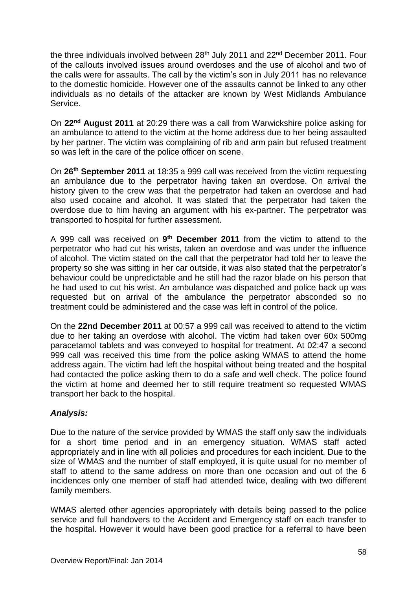the three individuals involved between 28<sup>th</sup> July 2011 and 22<sup>nd</sup> December 2011. Four of the callouts involved issues around overdoses and the use of alcohol and two of the calls were for assaults. The call by the victim's son in July 2011 has no relevance to the domestic homicide. However one of the assaults cannot be linked to any other individuals as no details of the attacker are known by West Midlands Ambulance Service.

On **22nd August 2011** at 20:29 there was a call from Warwickshire police asking for an ambulance to attend to the victim at the home address due to her being assaulted by her partner. The victim was complaining of rib and arm pain but refused treatment so was left in the care of the police officer on scene.

On **26th September 2011** at 18:35 a 999 call was received from the victim requesting an ambulance due to the perpetrator having taken an overdose. On arrival the history given to the crew was that the perpetrator had taken an overdose and had also used cocaine and alcohol. It was stated that the perpetrator had taken the overdose due to him having an argument with his ex-partner. The perpetrator was transported to hospital for further assessment.

A 999 call was received on **9 th December 2011** from the victim to attend to the perpetrator who had cut his wrists, taken an overdose and was under the influence of alcohol. The victim stated on the call that the perpetrator had told her to leave the property so she was sitting in her car outside, it was also stated that the perpetrator's behaviour could be unpredictable and he still had the razor blade on his person that he had used to cut his wrist. An ambulance was dispatched and police back up was requested but on arrival of the ambulance the perpetrator absconded so no treatment could be administered and the case was left in control of the police.

On the **22nd December 2011** at 00:57 a 999 call was received to attend to the victim due to her taking an overdose with alcohol. The victim had taken over 60x 500mg paracetamol tablets and was conveyed to hospital for treatment. At 02:47 a second 999 call was received this time from the police asking WMAS to attend the home address again. The victim had left the hospital without being treated and the hospital had contacted the police asking them to do a safe and well check. The police found the victim at home and deemed her to still require treatment so requested WMAS transport her back to the hospital.

# *Analysis:*

Due to the nature of the service provided by WMAS the staff only saw the individuals for a short time period and in an emergency situation. WMAS staff acted appropriately and in line with all policies and procedures for each incident. Due to the size of WMAS and the number of staff employed, it is quite usual for no member of staff to attend to the same address on more than one occasion and out of the 6 incidences only one member of staff had attended twice, dealing with two different family members.

WMAS alerted other agencies appropriately with details being passed to the police service and full handovers to the Accident and Emergency staff on each transfer to the hospital. However it would have been good practice for a referral to have been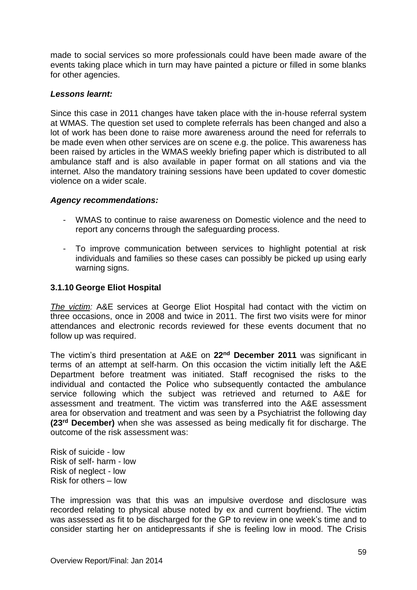made to social services so more professionals could have been made aware of the events taking place which in turn may have painted a picture or filled in some blanks for other agencies.

### *Lessons learnt:*

Since this case in 2011 changes have taken place with the in-house referral system at WMAS. The question set used to complete referrals has been changed and also a lot of work has been done to raise more awareness around the need for referrals to be made even when other services are on scene e.g. the police. This awareness has been raised by articles in the WMAS weekly briefing paper which is distributed to all ambulance staff and is also available in paper format on all stations and via the internet. Also the mandatory training sessions have been updated to cover domestic violence on a wider scale.

### *Agency recommendations:*

- WMAS to continue to raise awareness on Domestic violence and the need to report any concerns through the safeguarding process.
- To improve communication between services to highlight potential at risk individuals and families so these cases can possibly be picked up using early warning signs.

### **3.1.10 George Eliot Hospital**

*The victim:* A&E services at George Eliot Hospital had contact with the victim on three occasions, once in 2008 and twice in 2011. The first two visits were for minor attendances and electronic records reviewed for these events document that no follow up was required.

The victim's third presentation at A&E on **22nd December 2011** was significant in terms of an attempt at self-harm. On this occasion the victim initially left the A&E Department before treatment was initiated. Staff recognised the risks to the individual and contacted the Police who subsequently contacted the ambulance service following which the subject was retrieved and returned to A&E for assessment and treatment. The victim was transferred into the A&E assessment area for observation and treatment and was seen by a Psychiatrist the following day **(23rd December)** when she was assessed as being medically fit for discharge. The outcome of the risk assessment was:

Risk of suicide - low Risk of self- harm - low Risk of neglect - low Risk for others – low

The impression was that this was an impulsive overdose and disclosure was recorded relating to physical abuse noted by ex and current boyfriend. The victim was assessed as fit to be discharged for the GP to review in one week's time and to consider starting her on antidepressants if she is feeling low in mood. The Crisis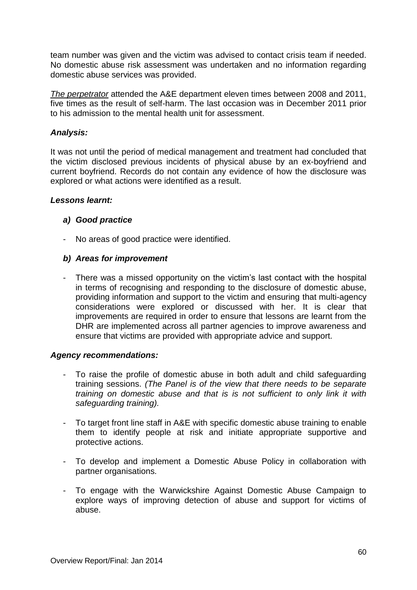team number was given and the victim was advised to contact crisis team if needed. No domestic abuse risk assessment was undertaken and no information regarding domestic abuse services was provided.

*The perpetrator* attended the A&E department eleven times between 2008 and 2011, five times as the result of self-harm. The last occasion was in December 2011 prior to his admission to the mental health unit for assessment.

### *Analysis:*

It was not until the period of medical management and treatment had concluded that the victim disclosed previous incidents of physical abuse by an ex-boyfriend and current boyfriend. Records do not contain any evidence of how the disclosure was explored or what actions were identified as a result.

### *Lessons learnt:*

### *a) Good practice*

- No areas of good practice were identified.

### *b) Areas for improvement*

- There was a missed opportunity on the victim's last contact with the hospital in terms of recognising and responding to the disclosure of domestic abuse, providing information and support to the victim and ensuring that multi-agency considerations were explored or discussed with her. It is clear that improvements are required in order to ensure that lessons are learnt from the DHR are implemented across all partner agencies to improve awareness and ensure that victims are provided with appropriate advice and support.

### *Agency recommendations:*

- To raise the profile of domestic abuse in both adult and child safeguarding training sessions. *(The Panel is of the view that there needs to be separate training on domestic abuse and that is is not sufficient to only link it with safeguarding training).*
- To target front line staff in A&E with specific domestic abuse training to enable them to identify people at risk and initiate appropriate supportive and protective actions.
- To develop and implement a Domestic Abuse Policy in collaboration with partner organisations.
- To engage with the Warwickshire Against Domestic Abuse Campaign to explore ways of improving detection of abuse and support for victims of abuse.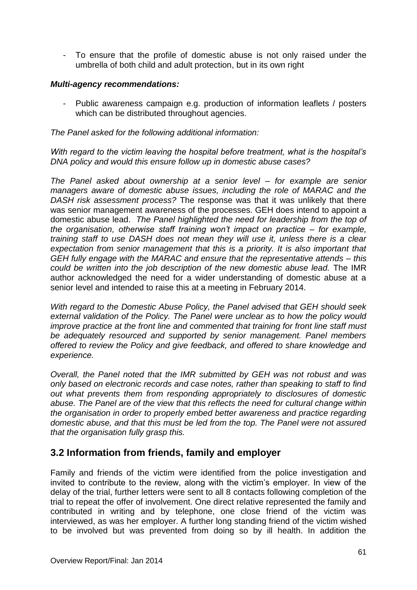- To ensure that the profile of domestic abuse is not only raised under the umbrella of both child and adult protection, but in its own right

### *Multi-agency recommendations:*

Public awareness campaign e.g. production of information leaflets / posters which can be distributed throughout agencies.

### *The Panel asked for the following additional information:*

*With regard to the victim leaving the hospital before treatment, what is the hospital's DNA policy and would this ensure follow up in domestic abuse cases?* 

*The Panel asked about ownership at a senior level – for example are senior managers aware of domestic abuse issues, including the role of MARAC and the DASH risk assessment process?* The response was that it was unlikely that there was senior management awareness of the processes. GEH does intend to appoint a domestic abuse lead. *The Panel highlighted the need for leadership from the top of the organisation, otherwise staff training won't impact on practice – for example, training staff to use DASH does not mean they will use it, unless there is a clear expectation from senior management that this is a priority. It is also important that GEH fully engage with the MARAC and ensure that the representative attends – this could be written into the job description of the new domestic abuse lead.* The IMR author acknowledged the need for a wider understanding of domestic abuse at a senior level and intended to raise this at a meeting in February 2014.

*With regard to the Domestic Abuse Policy, the Panel advised that GEH should seek external validation of the Policy. The Panel were unclear as to how the policy would improve practice at the front line and commented that training for front line staff must be adequately resourced and supported by senior management. Panel members offered to review the Policy and give feedback, and offered to share knowledge and experience.* 

*Overall, the Panel noted that the IMR submitted by GEH was not robust and was only based on electronic records and case notes, rather than speaking to staff to find out what prevents them from responding appropriately to disclosures of domestic abuse. The Panel are of the view that this reflects the need for cultural change within the organisation in order to properly embed better awareness and practice regarding domestic abuse, and that this must be led from the top. The Panel were not assured that the organisation fully grasp this.*

# **3.2 Information from friends, family and employer**

Family and friends of the victim were identified from the police investigation and invited to contribute to the review, along with the victim's employer. In view of the delay of the trial, further letters were sent to all 8 contacts following completion of the trial to repeat the offer of involvement. One direct relative represented the family and contributed in writing and by telephone, one close friend of the victim was interviewed, as was her employer. A further long standing friend of the victim wished to be involved but was prevented from doing so by ill health. In addition the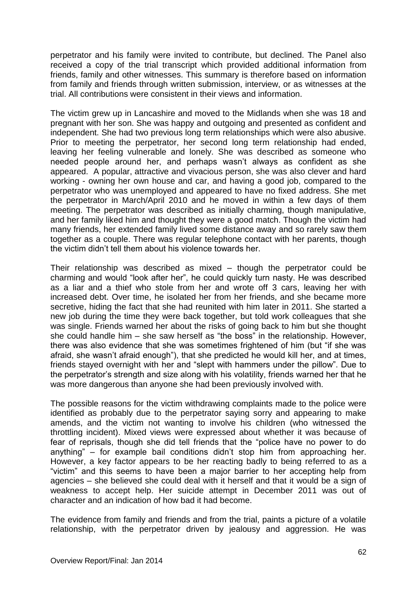perpetrator and his family were invited to contribute, but declined. The Panel also received a copy of the trial transcript which provided additional information from friends, family and other witnesses. This summary is therefore based on information from family and friends through written submission, interview, or as witnesses at the trial. All contributions were consistent in their views and information.

The victim grew up in Lancashire and moved to the Midlands when she was 18 and pregnant with her son. She was happy and outgoing and presented as confident and independent. She had two previous long term relationships which were also abusive. Prior to meeting the perpetrator, her second long term relationship had ended, leaving her feeling vulnerable and lonely. She was described as someone who needed people around her, and perhaps wasn't always as confident as she appeared. A popular, attractive and vivacious person, she was also clever and hard working - owning her own house and car, and having a good job, compared to the perpetrator who was unemployed and appeared to have no fixed address. She met the perpetrator in March/April 2010 and he moved in within a few days of them meeting. The perpetrator was described as initially charming, though manipulative, and her family liked him and thought they were a good match. Though the victim had many friends, her extended family lived some distance away and so rarely saw them together as a couple. There was regular telephone contact with her parents, though the victim didn't tell them about his violence towards her.

Their relationship was described as mixed – though the perpetrator could be charming and would "look after her", he could quickly turn nasty. He was described as a liar and a thief who stole from her and wrote off 3 cars, leaving her with increased debt. Over time, he isolated her from her friends, and she became more secretive, hiding the fact that she had reunited with him later in 2011. She started a new job during the time they were back together, but told work colleagues that she was single. Friends warned her about the risks of going back to him but she thought she could handle him – she saw herself as "the boss" in the relationship. However, there was also evidence that she was sometimes frightened of him (but "if she was afraid, she wasn't afraid enough"), that she predicted he would kill her, and at times, friends stayed overnight with her and "slept with hammers under the pillow". Due to the perpetrator's strength and size along with his volatility, friends warned her that he was more dangerous than anyone she had been previously involved with.

The possible reasons for the victim withdrawing complaints made to the police were identified as probably due to the perpetrator saying sorry and appearing to make amends, and the victim not wanting to involve his children (who witnessed the throttling incident). Mixed views were expressed about whether it was because of fear of reprisals, though she did tell friends that the "police have no power to do anything" – for example bail conditions didn't stop him from approaching her. However, a key factor appears to be her reacting badly to being referred to as a "victim" and this seems to have been a major barrier to her accepting help from agencies – she believed she could deal with it herself and that it would be a sign of weakness to accept help. Her suicide attempt in December 2011 was out of character and an indication of how bad it had become.

The evidence from family and friends and from the trial, paints a picture of a volatile relationship, with the perpetrator driven by jealousy and aggression. He was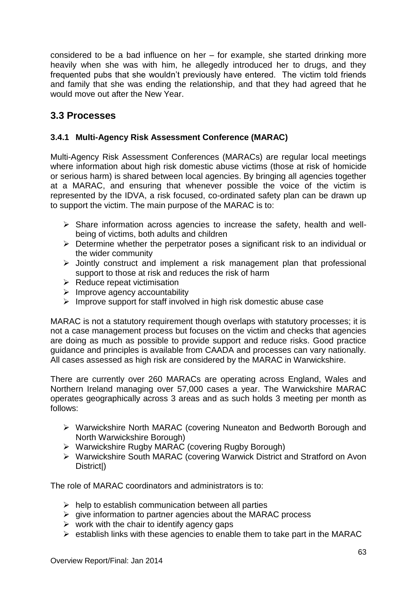considered to be a bad influence on her – for example, she started drinking more heavily when she was with him, he allegedly introduced her to drugs, and they frequented pubs that she wouldn't previously have entered. The victim told friends and family that she was ending the relationship, and that they had agreed that he would move out after the New Year.

# **3.3 Processes**

# **3.4.1 Multi-Agency Risk Assessment Conference (MARAC)**

Multi-Agency Risk Assessment Conferences (MARACs) are regular local meetings where information about high risk domestic abuse victims (those at risk of homicide or serious harm) is shared between local agencies. By bringing all agencies together at a MARAC, and ensuring that whenever possible the voice of the victim is represented by the IDVA, a risk focused, co-ordinated safety plan can be drawn up to support the victim. The main purpose of the MARAC is to:

- $\triangleright$  Share information across agencies to increase the safety, health and wellbeing of victims, both adults and children
- $\triangleright$  Determine whether the perpetrator poses a significant risk to an individual or the wider community
- $\triangleright$  Jointly construct and implement a risk management plan that professional support to those at risk and reduces the risk of harm
- $\triangleright$  Reduce repeat victimisation
- $\triangleright$  Improve agency accountability
- $\triangleright$  Improve support for staff involved in high risk domestic abuse case

MARAC is not a statutory requirement though overlaps with statutory processes; it is not a case management process but focuses on the victim and checks that agencies are doing as much as possible to provide support and reduce risks. Good practice guidance and principles is available from CAADA and processes can vary nationally. All cases assessed as high risk are considered by the MARAC in Warwickshire.

There are currently over 260 MARACs are operating across England, Wales and Northern Ireland managing over 57,000 cases a year. The Warwickshire MARAC operates geographically across 3 areas and as such holds 3 meeting per month as follows:

- Warwickshire North MARAC (covering Nuneaton and Bedworth Borough and North Warwickshire Borough)
- Warwickshire Rugby MARAC (covering Rugby Borough)
- Warwickshire South MARAC (covering Warwick District and Stratford on Avon District|)

The role of MARAC coordinators and administrators is to:

- $\triangleright$  help to establish communication between all parties
- $\triangleright$  give information to partner agencies about the MARAC process
- $\triangleright$  work with the chair to identify agency gaps
- $\triangleright$  establish links with these agencies to enable them to take part in the MARAC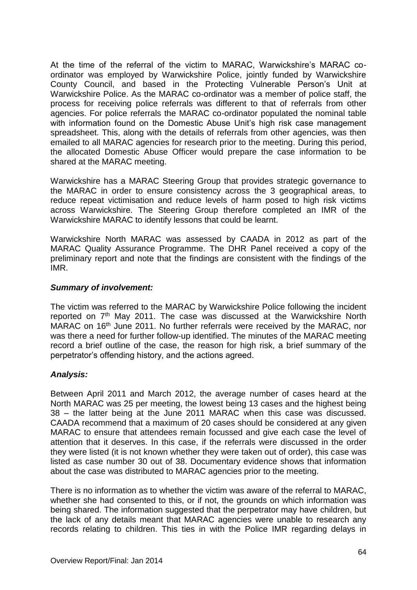At the time of the referral of the victim to MARAC, Warwickshire's MARAC coordinator was employed by Warwickshire Police, jointly funded by Warwickshire County Council, and based in the Protecting Vulnerable Person's Unit at Warwickshire Police. As the MARAC co-ordinator was a member of police staff, the process for receiving police referrals was different to that of referrals from other agencies. For police referrals the MARAC co-ordinator populated the nominal table with information found on the Domestic Abuse Unit's high risk case management spreadsheet. This, along with the details of referrals from other agencies, was then emailed to all MARAC agencies for research prior to the meeting. During this period, the allocated Domestic Abuse Officer would prepare the case information to be shared at the MARAC meeting.

Warwickshire has a MARAC Steering Group that provides strategic governance to the MARAC in order to ensure consistency across the 3 geographical areas, to reduce repeat victimisation and reduce levels of harm posed to high risk victims across Warwickshire. The Steering Group therefore completed an IMR of the Warwickshire MARAC to identify lessons that could be learnt.

Warwickshire North MARAC was assessed by CAADA in 2012 as part of the MARAC Quality Assurance Programme. The DHR Panel received a copy of the preliminary report and note that the findings are consistent with the findings of the IMR.

### *Summary of involvement:*

The victim was referred to the MARAC by Warwickshire Police following the incident reported on  $7<sup>th</sup>$  May 2011. The case was discussed at the Warwickshire North MARAC on 16<sup>th</sup> June 2011. No further referrals were received by the MARAC, nor was there a need for further follow-up identified. The minutes of the MARAC meeting record a brief outline of the case, the reason for high risk, a brief summary of the perpetrator's offending history, and the actions agreed.

# *Analysis:*

Between April 2011 and March 2012, the average number of cases heard at the North MARAC was 25 per meeting, the lowest being 13 cases and the highest being 38 – the latter being at the June 2011 MARAC when this case was discussed. CAADA recommend that a maximum of 20 cases should be considered at any given MARAC to ensure that attendees remain focussed and give each case the level of attention that it deserves. In this case, if the referrals were discussed in the order they were listed (it is not known whether they were taken out of order), this case was listed as case number 30 out of 38. Documentary evidence shows that information about the case was distributed to MARAC agencies prior to the meeting.

There is no information as to whether the victim was aware of the referral to MARAC, whether she had consented to this, or if not, the grounds on which information was being shared. The information suggested that the perpetrator may have children, but the lack of any details meant that MARAC agencies were unable to research any records relating to children. This ties in with the Police IMR regarding delays in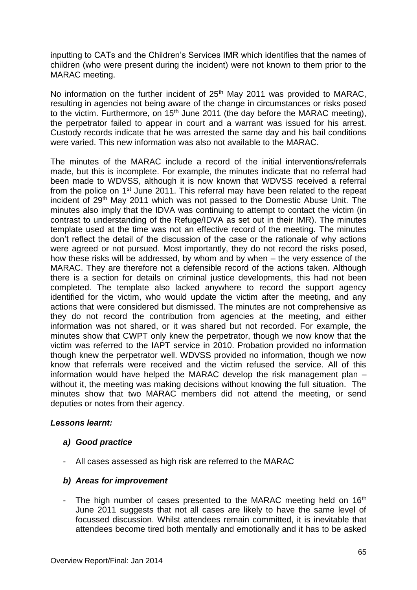inputting to CATs and the Children's Services IMR which identifies that the names of children (who were present during the incident) were not known to them prior to the MARAC meeting.

No information on the further incident of  $25<sup>th</sup>$  May 2011 was provided to MARAC. resulting in agencies not being aware of the change in circumstances or risks posed to the victim. Furthermore, on 15<sup>th</sup> June 2011 (the day before the MARAC meeting), the perpetrator failed to appear in court and a warrant was issued for his arrest. Custody records indicate that he was arrested the same day and his bail conditions were varied. This new information was also not available to the MARAC.

The minutes of the MARAC include a record of the initial interventions/referrals made, but this is incomplete. For example, the minutes indicate that no referral had been made to WDVSS, although it is now known that WDVSS received a referral from the police on 1st June 2011. This referral may have been related to the repeat incident of 29<sup>th</sup> May 2011 which was not passed to the Domestic Abuse Unit. The minutes also imply that the IDVA was continuing to attempt to contact the victim (in contrast to understanding of the Refuge/IDVA as set out in their IMR). The minutes template used at the time was not an effective record of the meeting. The minutes don't reflect the detail of the discussion of the case or the rationale of why actions were agreed or not pursued. Most importantly, they do not record the risks posed, how these risks will be addressed, by whom and by when – the very essence of the MARAC. They are therefore not a defensible record of the actions taken. Although there is a section for details on criminal justice developments, this had not been completed. The template also lacked anywhere to record the support agency identified for the victim, who would update the victim after the meeting, and any actions that were considered but dismissed. The minutes are not comprehensive as they do not record the contribution from agencies at the meeting, and either information was not shared, or it was shared but not recorded. For example, the minutes show that CWPT only knew the perpetrator, though we now know that the victim was referred to the IAPT service in 2010. Probation provided no information though knew the perpetrator well. WDVSS provided no information, though we now know that referrals were received and the victim refused the service. All of this information would have helped the MARAC develop the risk management plan – without it, the meeting was making decisions without knowing the full situation. The minutes show that two MARAC members did not attend the meeting, or send deputies or notes from their agency.

### *Lessons learnt:*

# *a) Good practice*

- All cases assessed as high risk are referred to the MARAC

# *b) Areas for improvement*

- The high number of cases presented to the MARAC meeting held on 16<sup>th</sup> June 2011 suggests that not all cases are likely to have the same level of focussed discussion. Whilst attendees remain committed, it is inevitable that attendees become tired both mentally and emotionally and it has to be asked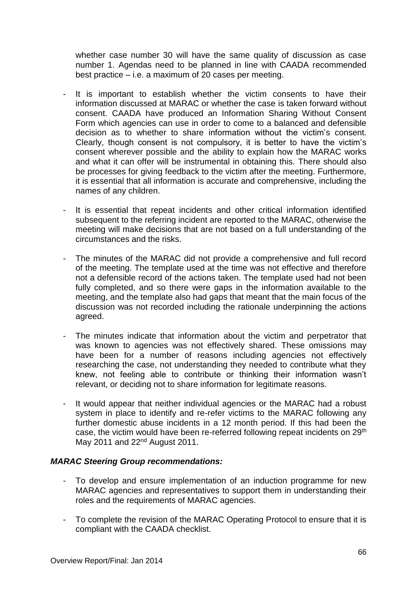whether case number 30 will have the same quality of discussion as case number 1. Agendas need to be planned in line with CAADA recommended best practice – i.e. a maximum of 20 cases per meeting.

- It is important to establish whether the victim consents to have their information discussed at MARAC or whether the case is taken forward without consent. CAADA have produced an Information Sharing Without Consent Form which agencies can use in order to come to a balanced and defensible decision as to whether to share information without the victim's consent. Clearly, though consent is not compulsory, it is better to have the victim's consent wherever possible and the ability to explain how the MARAC works and what it can offer will be instrumental in obtaining this. There should also be processes for giving feedback to the victim after the meeting. Furthermore, it is essential that all information is accurate and comprehensive, including the names of any children.
- It is essential that repeat incidents and other critical information identified subsequent to the referring incident are reported to the MARAC, otherwise the meeting will make decisions that are not based on a full understanding of the circumstances and the risks.
- The minutes of the MARAC did not provide a comprehensive and full record of the meeting. The template used at the time was not effective and therefore not a defensible record of the actions taken. The template used had not been fully completed, and so there were gaps in the information available to the meeting, and the template also had gaps that meant that the main focus of the discussion was not recorded including the rationale underpinning the actions agreed.
- The minutes indicate that information about the victim and perpetrator that was known to agencies was not effectively shared. These omissions may have been for a number of reasons including agencies not effectively researching the case, not understanding they needed to contribute what they knew, not feeling able to contribute or thinking their information wasn't relevant, or deciding not to share information for legitimate reasons.
- It would appear that neither individual agencies or the MARAC had a robust system in place to identify and re-refer victims to the MARAC following any further domestic abuse incidents in a 12 month period. If this had been the case, the victim would have been re-referred following repeat incidents on 29th May 2011 and 22<sup>nd</sup> August 2011.

### *MARAC Steering Group recommendations:*

- To develop and ensure implementation of an induction programme for new MARAC agencies and representatives to support them in understanding their roles and the requirements of MARAC agencies.
- To complete the revision of the MARAC Operating Protocol to ensure that it is compliant with the CAADA checklist.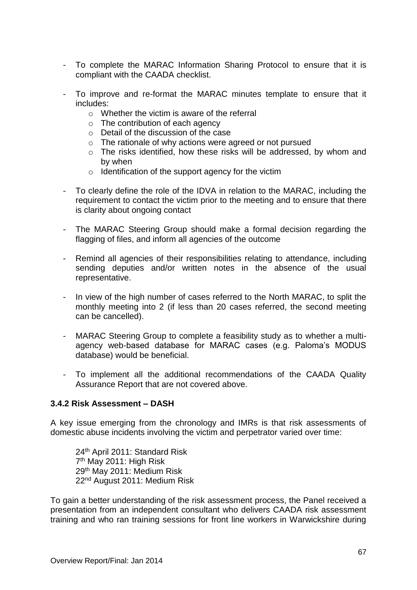- To complete the MARAC Information Sharing Protocol to ensure that it is compliant with the CAADA checklist.
- To improve and re-format the MARAC minutes template to ensure that it includes:
	- o Whether the victim is aware of the referral
	- o The contribution of each agency
	- o Detail of the discussion of the case
	- o The rationale of why actions were agreed or not pursued
	- o The risks identified, how these risks will be addressed, by whom and by when
	- o Identification of the support agency for the victim
- To clearly define the role of the IDVA in relation to the MARAC, including the requirement to contact the victim prior to the meeting and to ensure that there is clarity about ongoing contact
- The MARAC Steering Group should make a formal decision regarding the flagging of files, and inform all agencies of the outcome
- Remind all agencies of their responsibilities relating to attendance, including sending deputies and/or written notes in the absence of the usual representative.
- In view of the high number of cases referred to the North MARAC, to split the monthly meeting into 2 (if less than 20 cases referred, the second meeting can be cancelled).
- MARAC Steering Group to complete a feasibility study as to whether a multiagency web-based database for MARAC cases (e.g. Paloma's MODUS database) would be beneficial.
- To implement all the additional recommendations of the CAADA Quality Assurance Report that are not covered above.

### **3.4.2 Risk Assessment – DASH**

A key issue emerging from the chronology and IMRs is that risk assessments of domestic abuse incidents involving the victim and perpetrator varied over time:

th April 2011: Standard Risk 7<sup>th</sup> May 2011: High Risk th May 2011: Medium Risk nd August 2011: Medium Risk

To gain a better understanding of the risk assessment process, the Panel received a presentation from an independent consultant who delivers CAADA risk assessment training and who ran training sessions for front line workers in Warwickshire during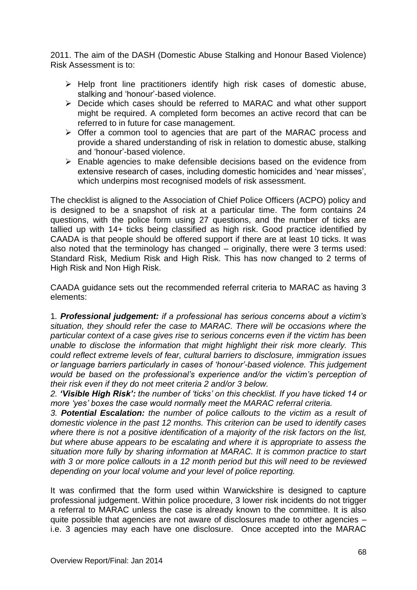2011. The aim of the DASH (Domestic Abuse Stalking and Honour Based Violence) Risk Assessment is to:

- $\triangleright$  Help front line practitioners identify high risk cases of domestic abuse, stalking and 'honour'-based violence.
- ▶ Decide which cases should be referred to MARAC and what other support might be required. A completed form becomes an active record that can be referred to in future for case management.
- $\triangleright$  Offer a common tool to agencies that are part of the MARAC process and provide a shared understanding of risk in relation to domestic abuse, stalking and 'honour'-based violence.
- $\triangleright$  Enable agencies to make defensible decisions based on the evidence from extensive research of cases, including domestic homicides and 'near misses', which underpins most recognised models of risk assessment.

The checklist is aligned to the Association of Chief Police Officers (ACPO) policy and is designed to be a snapshot of risk at a particular time. The form contains 24 questions, with the police form using 27 questions, and the number of ticks are tallied up with 14+ ticks being classified as high risk. Good practice identified by CAADA is that people should be offered support if there are at least 10 ticks. It was also noted that the terminology has changed – originally, there were 3 terms used: Standard Risk, Medium Risk and High Risk. This has now changed to 2 terms of High Risk and Non High Risk.

CAADA guidance sets out the recommended referral criteria to MARAC as having 3 elements:

1*. Professional judgement: if a professional has serious concerns about a victim's situation, they should refer the case to MARAC. There will be occasions where the particular context of a case gives rise to serious concerns even if the victim has been unable to disclose the information that might highlight their risk more clearly. This could reflect extreme levels of fear, cultural barriers to disclosure, immigration issues or language barriers particularly in cases of 'honour'-based violence. This judgement would be based on the professional's experience and/or the victim's perception of their risk even if they do not meet criteria 2 and/or 3 below.* 

*2. 'Visible High Risk': the number of 'ticks' on this checklist. If you have ticked 14 or more 'yes' boxes the case would normally meet the MARAC referral criteria.* 

*3. Potential Escalation: the number of police callouts to the victim as a result of domestic violence in the past 12 months. This criterion can be used to identify cases where there is not a positive identification of a majority of the risk factors on the list, but where abuse appears to be escalating and where it is appropriate to assess the situation more fully by sharing information at MARAC. It is common practice to start with 3 or more police callouts in a 12 month period but this will need to be reviewed depending on your local volume and your level of police reporting.* 

It was confirmed that the form used within Warwickshire is designed to capture professional judgement. Within police procedure, 3 lower risk incidents do not trigger a referral to MARAC unless the case is already known to the committee. It is also quite possible that agencies are not aware of disclosures made to other agencies – i.e. 3 agencies may each have one disclosure. Once accepted into the MARAC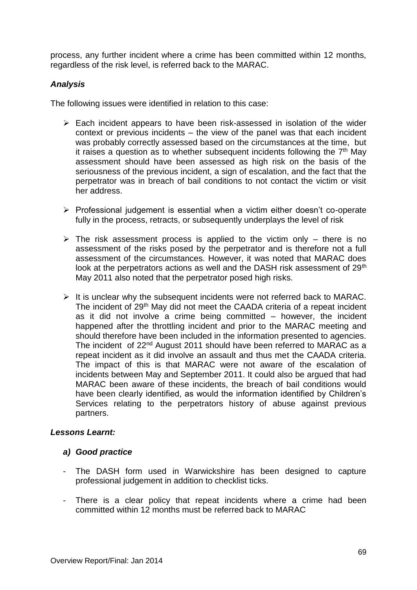process, any further incident where a crime has been committed within 12 months, regardless of the risk level, is referred back to the MARAC.

### *Analysis*

The following issues were identified in relation to this case:

- $\triangleright$  Each incident appears to have been risk-assessed in isolation of the wider context or previous incidents – the view of the panel was that each incident was probably correctly assessed based on the circumstances at the time, but it raises a question as to whether subsequent incidents following the  $7<sup>th</sup>$  May assessment should have been assessed as high risk on the basis of the seriousness of the previous incident, a sign of escalation, and the fact that the perpetrator was in breach of bail conditions to not contact the victim or visit her address.
- $\triangleright$  Professional judgement is essential when a victim either doesn't co-operate fully in the process, retracts, or subsequently underplays the level of risk
- $\triangleright$  The risk assessment process is applied to the victim only there is no assessment of the risks posed by the perpetrator and is therefore not a full assessment of the circumstances. However, it was noted that MARAC does look at the perpetrators actions as well and the DASH risk assessment of 29<sup>th</sup> May 2011 also noted that the perpetrator posed high risks.
- $\triangleright$  It is unclear why the subsequent incidents were not referred back to MARAC. The incident of 29<sup>th</sup> May did not meet the CAADA criteria of a repeat incident as it did not involve a crime being committed – however, the incident happened after the throttling incident and prior to the MARAC meeting and should therefore have been included in the information presented to agencies. The incident of 22nd August 2011 should have been referred to MARAC as a repeat incident as it did involve an assault and thus met the CAADA criteria. The impact of this is that MARAC were not aware of the escalation of incidents between May and September 2011. It could also be argued that had MARAC been aware of these incidents, the breach of bail conditions would have been clearly identified, as would the information identified by Children's Services relating to the perpetrators history of abuse against previous partners.

### *Lessons Learnt:*

### *a) Good practice*

- The DASH form used in Warwickshire has been designed to capture professional judgement in addition to checklist ticks.
- There is a clear policy that repeat incidents where a crime had been committed within 12 months must be referred back to MARAC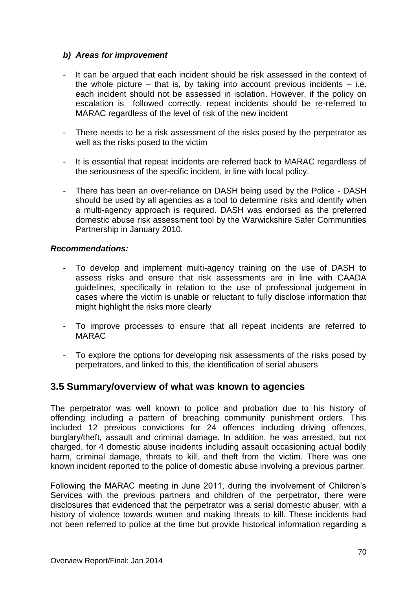### *b) Areas for improvement*

- It can be argued that each incident should be risk assessed in the context of the whole picture – that is, by taking into account previous incidents – i.e. each incident should not be assessed in isolation. However, if the policy on escalation is followed correctly, repeat incidents should be re-referred to MARAC regardless of the level of risk of the new incident
- There needs to be a risk assessment of the risks posed by the perpetrator as well as the risks posed to the victim
- It is essential that repeat incidents are referred back to MARAC regardless of the seriousness of the specific incident, in line with local policy.
- There has been an over-reliance on DASH being used by the Police DASH should be used by all agencies as a tool to determine risks and identify when a multi-agency approach is required. DASH was endorsed as the preferred domestic abuse risk assessment tool by the Warwickshire Safer Communities Partnership in January 2010.

### *Recommendations:*

- To develop and implement multi-agency training on the use of DASH to assess risks and ensure that risk assessments are in line with CAADA guidelines, specifically in relation to the use of professional judgement in cases where the victim is unable or reluctant to fully disclose information that might highlight the risks more clearly
- To improve processes to ensure that all repeat incidents are referred to MARAC
- To explore the options for developing risk assessments of the risks posed by perpetrators, and linked to this, the identification of serial abusers

# **3.5 Summary/overview of what was known to agencies**

The perpetrator was well known to police and probation due to his history of offending including a pattern of breaching community punishment orders. This included 12 previous convictions for 24 offences including driving offences, burglary/theft, assault and criminal damage. In addition, he was arrested, but not charged, for 4 domestic abuse incidents including assault occasioning actual bodily harm, criminal damage, threats to kill, and theft from the victim. There was one known incident reported to the police of domestic abuse involving a previous partner.

Following the MARAC meeting in June 2011, during the involvement of Children's Services with the previous partners and children of the perpetrator, there were disclosures that evidenced that the perpetrator was a serial domestic abuser, with a history of violence towards women and making threats to kill. These incidents had not been referred to police at the time but provide historical information regarding a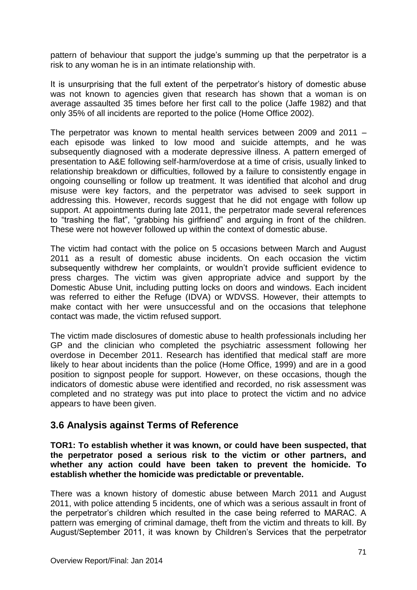pattern of behaviour that support the judge's summing up that the perpetrator is a risk to any woman he is in an intimate relationship with.

It is unsurprising that the full extent of the perpetrator's history of domestic abuse was not known to agencies given that research has shown that a woman is on average assaulted 35 times before her first call to the police (Jaffe 1982) and that only 35% of all incidents are reported to the police (Home Office 2002).

The perpetrator was known to mental health services between 2009 and 2011 – each episode was linked to low mood and suicide attempts, and he was subsequently diagnosed with a moderate depressive illness. A pattern emerged of presentation to A&E following self-harm/overdose at a time of crisis, usually linked to relationship breakdown or difficulties, followed by a failure to consistently engage in ongoing counselling or follow up treatment. It was identified that alcohol and drug misuse were key factors, and the perpetrator was advised to seek support in addressing this. However, records suggest that he did not engage with follow up support. At appointments during late 2011, the perpetrator made several references to "trashing the flat", "grabbing his girlfriend" and arguing in front of the children. These were not however followed up within the context of domestic abuse.

The victim had contact with the police on 5 occasions between March and August 2011 as a result of domestic abuse incidents. On each occasion the victim subsequently withdrew her complaints, or wouldn't provide sufficient evidence to press charges. The victim was given appropriate advice and support by the Domestic Abuse Unit, including putting locks on doors and windows. Each incident was referred to either the Refuge (IDVA) or WDVSS. However, their attempts to make contact with her were unsuccessful and on the occasions that telephone contact was made, the victim refused support.

The victim made disclosures of domestic abuse to health professionals including her GP and the clinician who completed the psychiatric assessment following her overdose in December 2011. Research has identified that medical staff are more likely to hear about incidents than the police (Home Office, 1999) and are in a good position to signpost people for support. However, on these occasions, though the indicators of domestic abuse were identified and recorded, no risk assessment was completed and no strategy was put into place to protect the victim and no advice appears to have been given.

# **3.6 Analysis against Terms of Reference**

**TOR1: To establish whether it was known, or could have been suspected, that the perpetrator posed a serious risk to the victim or other partners, and whether any action could have been taken to prevent the homicide. To establish whether the homicide was predictable or preventable.**

There was a known history of domestic abuse between March 2011 and August 2011, with police attending 5 incidents, one of which was a serious assault in front of the perpetrator's children which resulted in the case being referred to MARAC. A pattern was emerging of criminal damage, theft from the victim and threats to kill. By August/September 2011, it was known by Children's Services that the perpetrator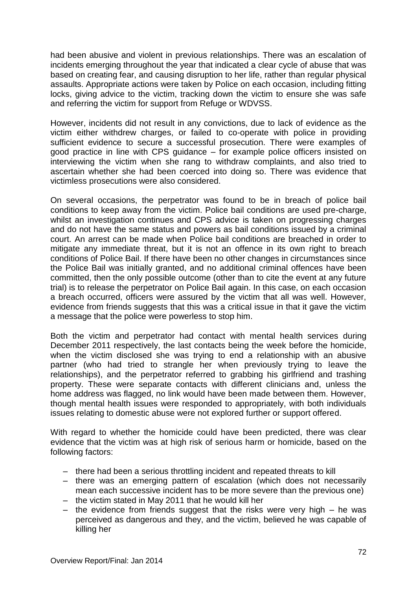had been abusive and violent in previous relationships. There was an escalation of incidents emerging throughout the year that indicated a clear cycle of abuse that was based on creating fear, and causing disruption to her life, rather than regular physical assaults. Appropriate actions were taken by Police on each occasion, including fitting locks, giving advice to the victim, tracking down the victim to ensure she was safe and referring the victim for support from Refuge or WDVSS.

However, incidents did not result in any convictions, due to lack of evidence as the victim either withdrew charges, or failed to co-operate with police in providing sufficient evidence to secure a successful prosecution. There were examples of good practice in line with CPS guidance – for example police officers insisted on interviewing the victim when she rang to withdraw complaints, and also tried to ascertain whether she had been coerced into doing so. There was evidence that victimless prosecutions were also considered.

On several occasions, the perpetrator was found to be in breach of police bail conditions to keep away from the victim. Police bail conditions are used pre-charge, whilst an investigation continues and CPS advice is taken on progressing charges and do not have the same status and powers as bail conditions issued by a criminal court. An arrest can be made when Police bail conditions are breached in order to mitigate any immediate threat, but it is not an offence in its own right to breach conditions of Police Bail. If there have been no other changes in circumstances since the Police Bail was initially granted, and no additional criminal offences have been committed, then the only possible outcome (other than to cite the event at any future trial) is to release the perpetrator on Police Bail again. In this case, on each occasion a breach occurred, officers were assured by the victim that all was well. However, evidence from friends suggests that this was a critical issue in that it gave the victim a message that the police were powerless to stop him.

Both the victim and perpetrator had contact with mental health services during December 2011 respectively, the last contacts being the week before the homicide, when the victim disclosed she was trying to end a relationship with an abusive partner (who had tried to strangle her when previously trying to leave the relationships), and the perpetrator referred to grabbing his girlfriend and trashing property. These were separate contacts with different clinicians and, unless the home address was flagged, no link would have been made between them. However, though mental health issues were responded to appropriately, with both individuals issues relating to domestic abuse were not explored further or support offered.

With regard to whether the homicide could have been predicted, there was clear evidence that the victim was at high risk of serious harm or homicide, based on the following factors:

- there had been a serious throttling incident and repeated threats to kill
- there was an emerging pattern of escalation (which does not necessarily mean each successive incident has to be more severe than the previous one)
- the victim stated in May 2011 that he would kill her
- the evidence from friends suggest that the risks were very high he was perceived as dangerous and they, and the victim, believed he was capable of killing her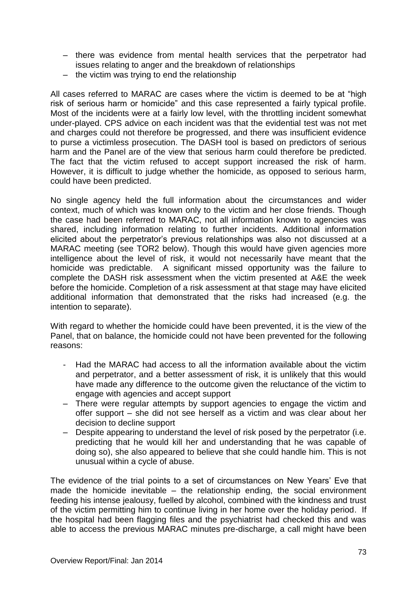- there was evidence from mental health services that the perpetrator had issues relating to anger and the breakdown of relationships
- the victim was trying to end the relationship

All cases referred to MARAC are cases where the victim is deemed to be at "high risk of serious harm or homicide" and this case represented a fairly typical profile. Most of the incidents were at a fairly low level, with the throttling incident somewhat under-played. CPS advice on each incident was that the evidential test was not met and charges could not therefore be progressed, and there was insufficient evidence to purse a victimless prosecution. The DASH tool is based on predictors of serious harm and the Panel are of the view that serious harm could therefore be predicted. The fact that the victim refused to accept support increased the risk of harm. However, it is difficult to judge whether the homicide, as opposed to serious harm, could have been predicted.

No single agency held the full information about the circumstances and wider context, much of which was known only to the victim and her close friends. Though the case had been referred to MARAC, not all information known to agencies was shared, including information relating to further incidents. Additional information elicited about the perpetrator's previous relationships was also not discussed at a MARAC meeting (see TOR2 below). Though this would have given agencies more intelligence about the level of risk, it would not necessarily have meant that the homicide was predictable. A significant missed opportunity was the failure to complete the DASH risk assessment when the victim presented at A&E the week before the homicide. Completion of a risk assessment at that stage may have elicited additional information that demonstrated that the risks had increased (e.g. the intention to separate).

With regard to whether the homicide could have been prevented, it is the view of the Panel, that on balance, the homicide could not have been prevented for the following reasons:

- Had the MARAC had access to all the information available about the victim and perpetrator, and a better assessment of risk, it is unlikely that this would have made any difference to the outcome given the reluctance of the victim to engage with agencies and accept support
- There were regular attempts by support agencies to engage the victim and offer support – she did not see herself as a victim and was clear about her decision to decline support
- Despite appearing to understand the level of risk posed by the perpetrator (i.e. predicting that he would kill her and understanding that he was capable of doing so), she also appeared to believe that she could handle him. This is not unusual within a cycle of abuse.

The evidence of the trial points to a set of circumstances on New Years' Eve that made the homicide inevitable – the relationship ending, the social environment feeding his intense jealousy, fuelled by alcohol, combined with the kindness and trust of the victim permitting him to continue living in her home over the holiday period. If the hospital had been flagging files and the psychiatrist had checked this and was able to access the previous MARAC minutes pre-discharge, a call might have been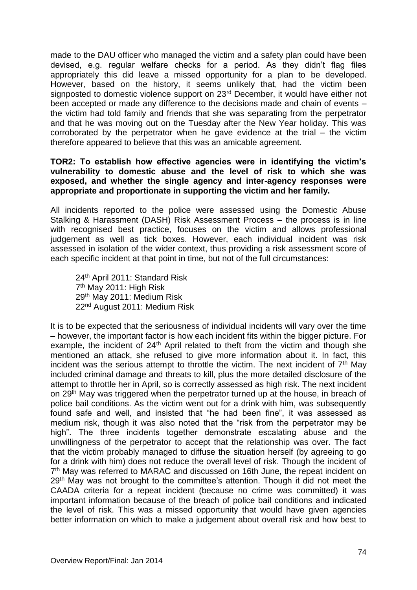made to the DAU officer who managed the victim and a safety plan could have been devised, e.g. regular welfare checks for a period. As they didn't flag files appropriately this did leave a missed opportunity for a plan to be developed. However, based on the history, it seems unlikely that, had the victim been signposted to domestic violence support on 23<sup>rd</sup> December, it would have either not been accepted or made any difference to the decisions made and chain of events – the victim had told family and friends that she was separating from the perpetrator and that he was moving out on the Tuesday after the New Year holiday. This was corroborated by the perpetrator when he gave evidence at the trial – the victim therefore appeared to believe that this was an amicable agreement.

### **TOR2: To establish how effective agencies were in identifying the victim's vulnerability to domestic abuse and the level of risk to which she was exposed, and whether the single agency and inter-agency responses were appropriate and proportionate in supporting the victim and her family.**

All incidents reported to the police were assessed using the Domestic Abuse Stalking & Harassment (DASH) Risk Assessment Process – the process is in line with recognised best practice, focuses on the victim and allows professional judgement as well as tick boxes. However, each individual incident was risk assessed in isolation of the wider context, thus providing a risk assessment score of each specific incident at that point in time, but not of the full circumstances:

th April 2011: Standard Risk 7<sup>th</sup> May 2011: High Risk th May 2011: Medium Risk nd August 2011: Medium Risk

It is to be expected that the seriousness of individual incidents will vary over the time – however, the important factor is how each incident fits within the bigger picture. For example, the incident of 24<sup>th</sup> April related to theft from the victim and though she mentioned an attack, she refused to give more information about it. In fact, this incident was the serious attempt to throttle the victim. The next incident of  $7<sup>th</sup>$  May included criminal damage and threats to kill, plus the more detailed disclosure of the attempt to throttle her in April, so is correctly assessed as high risk. The next incident on 29th May was triggered when the perpetrator turned up at the house, in breach of police bail conditions. As the victim went out for a drink with him, was subsequently found safe and well, and insisted that "he had been fine", it was assessed as medium risk, though it was also noted that the "risk from the perpetrator may be high". The three incidents together demonstrate escalating abuse and the unwillingness of the perpetrator to accept that the relationship was over. The fact that the victim probably managed to diffuse the situation herself (by agreeing to go for a drink with him) does not reduce the overall level of risk. Though the incident of 7<sup>th</sup> May was referred to MARAC and discussed on 16th June, the repeat incident on 29<sup>th</sup> May was not brought to the committee's attention. Though it did not meet the CAADA criteria for a repeat incident (because no crime was committed) it was important information because of the breach of police bail conditions and indicated the level of risk. This was a missed opportunity that would have given agencies better information on which to make a judgement about overall risk and how best to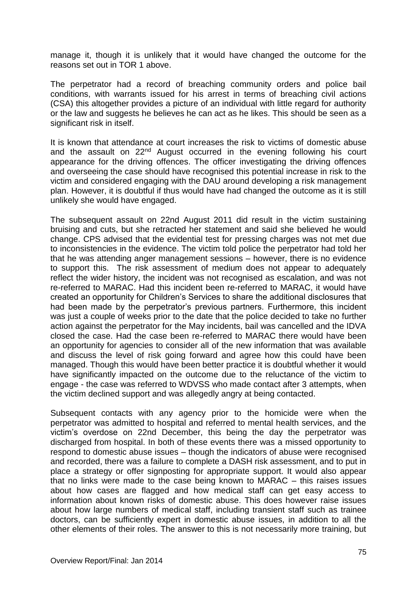manage it, though it is unlikely that it would have changed the outcome for the reasons set out in TOR 1 above.

The perpetrator had a record of breaching community orders and police bail conditions, with warrants issued for his arrest in terms of breaching civil actions (CSA) this altogether provides a picture of an individual with little regard for authority or the law and suggests he believes he can act as he likes. This should be seen as a significant risk in itself.

It is known that attendance at court increases the risk to victims of domestic abuse and the assault on 22<sup>nd</sup> August occurred in the evening following his court appearance for the driving offences. The officer investigating the driving offences and overseeing the case should have recognised this potential increase in risk to the victim and considered engaging with the DAU around developing a risk management plan. However, it is doubtful if thus would have had changed the outcome as it is still unlikely she would have engaged.

The subsequent assault on 22nd August 2011 did result in the victim sustaining bruising and cuts, but she retracted her statement and said she believed he would change. CPS advised that the evidential test for pressing charges was not met due to inconsistencies in the evidence. The victim told police the perpetrator had told her that he was attending anger management sessions – however, there is no evidence to support this. The risk assessment of medium does not appear to adequately reflect the wider history, the incident was not recognised as escalation, and was not re-referred to MARAC. Had this incident been re-referred to MARAC, it would have created an opportunity for Children's Services to share the additional disclosures that had been made by the perpetrator's previous partners. Furthermore, this incident was just a couple of weeks prior to the date that the police decided to take no further action against the perpetrator for the May incidents, bail was cancelled and the IDVA closed the case. Had the case been re-referred to MARAC there would have been an opportunity for agencies to consider all of the new information that was available and discuss the level of risk going forward and agree how this could have been managed. Though this would have been better practice it is doubtful whether it would have significantly impacted on the outcome due to the reluctance of the victim to engage - the case was referred to WDVSS who made contact after 3 attempts, when the victim declined support and was allegedly angry at being contacted.

Subsequent contacts with any agency prior to the homicide were when the perpetrator was admitted to hospital and referred to mental health services, and the victim's overdose on 22nd December, this being the day the perpetrator was discharged from hospital. In both of these events there was a missed opportunity to respond to domestic abuse issues – though the indicators of abuse were recognised and recorded, there was a failure to complete a DASH risk assessment, and to put in place a strategy or offer signposting for appropriate support. It would also appear that no links were made to the case being known to MARAC – this raises issues about how cases are flagged and how medical staff can get easy access to information about known risks of domestic abuse. This does however raise issues about how large numbers of medical staff, including transient staff such as trainee doctors, can be sufficiently expert in domestic abuse issues, in addition to all the other elements of their roles. The answer to this is not necessarily more training, but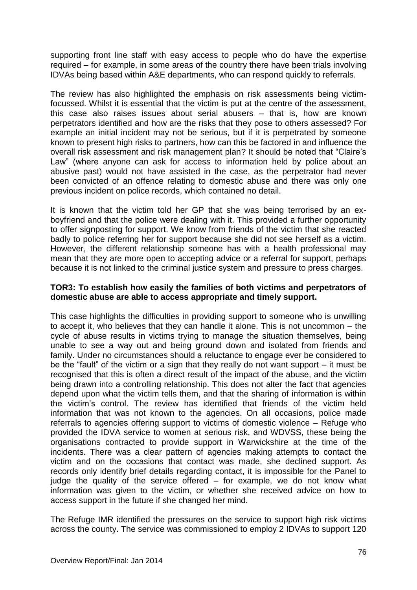supporting front line staff with easy access to people who do have the expertise required – for example, in some areas of the country there have been trials involving IDVAs being based within A&E departments, who can respond quickly to referrals.

The review has also highlighted the emphasis on risk assessments being victimfocussed. Whilst it is essential that the victim is put at the centre of the assessment, this case also raises issues about serial abusers – that is, how are known perpetrators identified and how are the risks that they pose to others assessed? For example an initial incident may not be serious, but if it is perpetrated by someone known to present high risks to partners, how can this be factored in and influence the overall risk assessment and risk management plan? It should be noted that "Claire's Law" (where anyone can ask for access to information held by police about an abusive past) would not have assisted in the case, as the perpetrator had never been convicted of an offence relating to domestic abuse and there was only one previous incident on police records, which contained no detail.

It is known that the victim told her GP that she was being terrorised by an exboyfriend and that the police were dealing with it. This provided a further opportunity to offer signposting for support. We know from friends of the victim that she reacted badly to police referring her for support because she did not see herself as a victim. However, the different relationship someone has with a health professional may mean that they are more open to accepting advice or a referral for support, perhaps because it is not linked to the criminal justice system and pressure to press charges.

### **TOR3: To establish how easily the families of both victims and perpetrators of domestic abuse are able to access appropriate and timely support.**

This case highlights the difficulties in providing support to someone who is unwilling to accept it, who believes that they can handle it alone. This is not uncommon – the cycle of abuse results in victims trying to manage the situation themselves, being unable to see a way out and being ground down and isolated from friends and family. Under no circumstances should a reluctance to engage ever be considered to be the "fault" of the victim or a sign that they really do not want support – it must be recognised that this is often a direct result of the impact of the abuse, and the victim being drawn into a controlling relationship. This does not alter the fact that agencies depend upon what the victim tells them, and that the sharing of information is within the victim's control. The review has identified that friends of the victim held information that was not known to the agencies. On all occasions, police made referrals to agencies offering support to victims of domestic violence – Refuge who provided the IDVA service to women at serious risk, and WDVSS, these being the organisations contracted to provide support in Warwickshire at the time of the incidents. There was a clear pattern of agencies making attempts to contact the victim and on the occasions that contact was made, she declined support. As records only identify brief details regarding contact, it is impossible for the Panel to judge the quality of the service offered – for example, we do not know what information was given to the victim, or whether she received advice on how to access support in the future if she changed her mind.

The Refuge IMR identified the pressures on the service to support high risk victims across the county. The service was commissioned to employ 2 IDVAs to support 120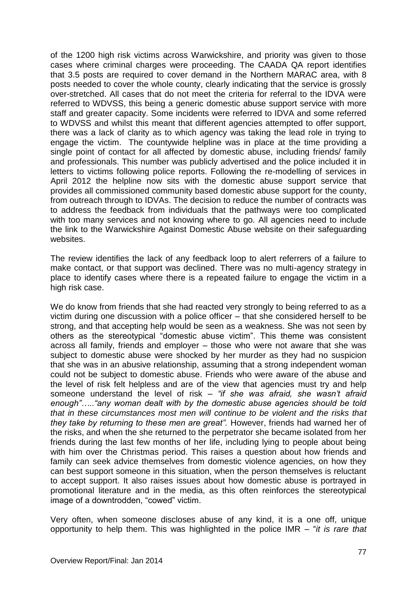of the 1200 high risk victims across Warwickshire, and priority was given to those cases where criminal charges were proceeding. The CAADA QA report identifies that 3.5 posts are required to cover demand in the Northern MARAC area, with 8 posts needed to cover the whole county, clearly indicating that the service is grossly over-stretched. All cases that do not meet the criteria for referral to the IDVA were referred to WDVSS, this being a generic domestic abuse support service with more staff and greater capacity. Some incidents were referred to IDVA and some referred to WDVSS and whilst this meant that different agencies attempted to offer support, there was a lack of clarity as to which agency was taking the lead role in trying to engage the victim. The countywide helpline was in place at the time providing a single point of contact for all affected by domestic abuse, including friends/ family and professionals. This number was publicly advertised and the police included it in letters to victims following police reports. Following the re-modelling of services in April 2012 the helpline now sits with the domestic abuse support service that provides all commissioned community based domestic abuse support for the county, from outreach through to IDVAs. The decision to reduce the number of contracts was to address the feedback from individuals that the pathways were too complicated with too many services and not knowing where to go. All agencies need to include the link to the Warwickshire Against Domestic Abuse website on their safeguarding websites.

The review identifies the lack of any feedback loop to alert referrers of a failure to make contact, or that support was declined. There was no multi-agency strategy in place to identify cases where there is a repeated failure to engage the victim in a high risk case.

We do know from friends that she had reacted very strongly to being referred to as a victim during one discussion with a police officer – that she considered herself to be strong, and that accepting help would be seen as a weakness. She was not seen by others as the stereotypical "domestic abuse victim". This theme was consistent across all family, friends and employer – those who were not aware that she was subject to domestic abuse were shocked by her murder as they had no suspicion that she was in an abusive relationship, assuming that a strong independent woman could not be subject to domestic abuse. Friends who were aware of the abuse and the level of risk felt helpless and are of the view that agencies must try and help someone understand the level of risk – *"if she was afraid, she wasn't afraid enough"….."any woman dealt with by the domestic abuse agencies should be told that in these circumstances most men will continue to be violent and the risks that they take by returning to these men are great".* However, friends had warned her of the risks, and when the she returned to the perpetrator she became isolated from her friends during the last few months of her life, including lying to people about being with him over the Christmas period. This raises a question about how friends and family can seek advice themselves from domestic violence agencies, on how they can best support someone in this situation, when the person themselves is reluctant to accept support. It also raises issues about how domestic abuse is portrayed in promotional literature and in the media, as this often reinforces the stereotypical image of a downtrodden, "cowed" victim.

Very often, when someone discloses abuse of any kind, it is a one off, unique opportunity to help them. This was highlighted in the police IMR – "*it is rare that*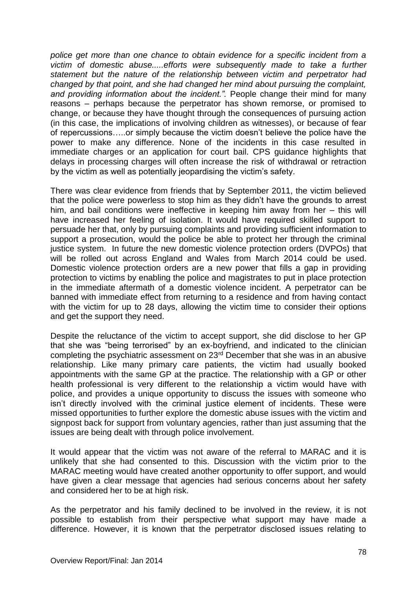*police get more than one chance to obtain evidence for a specific incident from a victim of domestic abuse.....efforts were subsequently made to take a further statement but the nature of the relationship between victim and perpetrator had changed by that point, and she had changed her mind about pursuing the complaint, and providing information about the incident.".* People change their mind for many reasons – perhaps because the perpetrator has shown remorse, or promised to change, or because they have thought through the consequences of pursuing action (in this case, the implications of involving children as witnesses), or because of fear of repercussions…..or simply because the victim doesn't believe the police have the power to make any difference. None of the incidents in this case resulted in immediate charges or an application for court bail. CPS guidance highlights that delays in processing charges will often increase the risk of withdrawal or retraction by the victim as well as potentially jeopardising the victim's safety.

There was clear evidence from friends that by September 2011, the victim believed that the police were powerless to stop him as they didn't have the grounds to arrest him, and bail conditions were ineffective in keeping him away from her – this will have increased her feeling of isolation. It would have required skilled support to persuade her that, only by pursuing complaints and providing sufficient information to support a prosecution, would the police be able to protect her through the criminal justice system. In future the new domestic violence protection orders (DVPOs) that will be rolled out across England and Wales from March 2014 could be used. Domestic violence protection orders are a new power that fills a gap in providing protection to victims by enabling the police and magistrates to put in place protection in the immediate aftermath of a domestic violence incident. A perpetrator can be banned with immediate effect from returning to a residence and from having contact with the victim for up to 28 days, allowing the victim time to consider their options and get the support they need.

Despite the reluctance of the victim to accept support, she did disclose to her GP that she was "being terrorised" by an ex-boyfriend, and indicated to the clinician completing the psychiatric assessment on 23rd December that she was in an abusive relationship. Like many primary care patients, the victim had usually booked appointments with the same GP at the practice. The relationship with a GP or other health professional is very different to the relationship a victim would have with police, and provides a unique opportunity to discuss the issues with someone who isn't directly involved with the criminal justice element of incidents. These were missed opportunities to further explore the domestic abuse issues with the victim and signpost back for support from voluntary agencies, rather than just assuming that the issues are being dealt with through police involvement.

It would appear that the victim was not aware of the referral to MARAC and it is unlikely that she had consented to this. Discussion with the victim prior to the MARAC meeting would have created another opportunity to offer support, and would have given a clear message that agencies had serious concerns about her safety and considered her to be at high risk.

As the perpetrator and his family declined to be involved in the review, it is not possible to establish from their perspective what support may have made a difference. However, it is known that the perpetrator disclosed issues relating to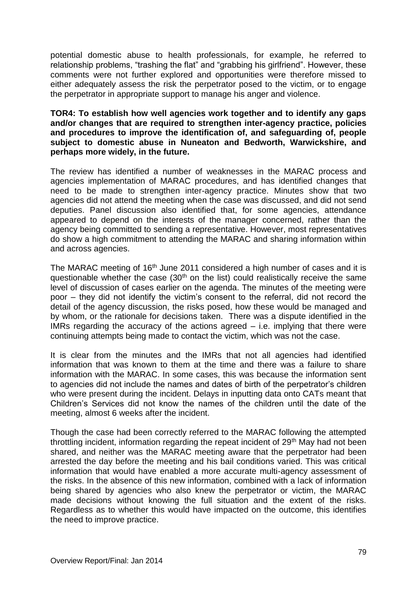potential domestic abuse to health professionals, for example, he referred to relationship problems, "trashing the flat" and "grabbing his girlfriend". However, these comments were not further explored and opportunities were therefore missed to either adequately assess the risk the perpetrator posed to the victim, or to engage the perpetrator in appropriate support to manage his anger and violence.

### **TOR4: To establish how well agencies work together and to identify any gaps and/or changes that are required to strengthen inter-agency practice, policies and procedures to improve the identification of, and safeguarding of, people subject to domestic abuse in Nuneaton and Bedworth, Warwickshire, and perhaps more widely, in the future.**

The review has identified a number of weaknesses in the MARAC process and agencies implementation of MARAC procedures, and has identified changes that need to be made to strengthen inter-agency practice. Minutes show that two agencies did not attend the meeting when the case was discussed, and did not send deputies. Panel discussion also identified that, for some agencies, attendance appeared to depend on the interests of the manager concerned, rather than the agency being committed to sending a representative. However, most representatives do show a high commitment to attending the MARAC and sharing information within and across agencies.

The MARAC meeting of 16<sup>th</sup> June 2011 considered a high number of cases and it is questionable whether the case  $(30<sup>th</sup>$  on the list) could realistically receive the same level of discussion of cases earlier on the agenda. The minutes of the meeting were poor – they did not identify the victim's consent to the referral, did not record the detail of the agency discussion, the risks posed, how these would be managed and by whom, or the rationale for decisions taken. There was a dispute identified in the IMRs regarding the accuracy of the actions agreed  $-$  i.e. implying that there were continuing attempts being made to contact the victim, which was not the case.

It is clear from the minutes and the IMRs that not all agencies had identified information that was known to them at the time and there was a failure to share information with the MARAC. In some cases, this was because the information sent to agencies did not include the names and dates of birth of the perpetrator's children who were present during the incident. Delays in inputting data onto CATs meant that Children's Services did not know the names of the children until the date of the meeting, almost 6 weeks after the incident.

Though the case had been correctly referred to the MARAC following the attempted throttling incident, information regarding the repeat incident of 29<sup>th</sup> May had not been shared, and neither was the MARAC meeting aware that the perpetrator had been arrested the day before the meeting and his bail conditions varied. This was critical information that would have enabled a more accurate multi-agency assessment of the risks. In the absence of this new information, combined with a lack of information being shared by agencies who also knew the perpetrator or victim, the MARAC made decisions without knowing the full situation and the extent of the risks. Regardless as to whether this would have impacted on the outcome, this identifies the need to improve practice.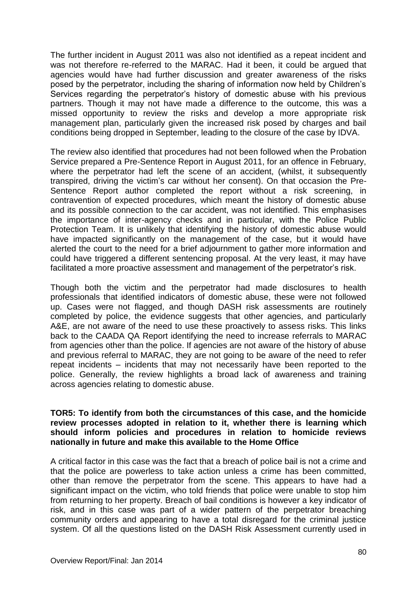The further incident in August 2011 was also not identified as a repeat incident and was not therefore re-referred to the MARAC. Had it been, it could be argued that agencies would have had further discussion and greater awareness of the risks posed by the perpetrator, including the sharing of information now held by Children's Services regarding the perpetrator's history of domestic abuse with his previous partners. Though it may not have made a difference to the outcome, this was a missed opportunity to review the risks and develop a more appropriate risk management plan, particularly given the increased risk posed by charges and bail conditions being dropped in September, leading to the closure of the case by IDVA.

The review also identified that procedures had not been followed when the Probation Service prepared a Pre-Sentence Report in August 2011, for an offence in February, where the perpetrator had left the scene of an accident, (whilst, it subsequently transpired, driving the victim's car without her consent). On that occasion the Pre-Sentence Report author completed the report without a risk screening, in contravention of expected procedures, which meant the history of domestic abuse and its possible connection to the car accident, was not identified. This emphasises the importance of inter-agency checks and in particular, with the Police Public Protection Team. It is unlikely that identifying the history of domestic abuse would have impacted significantly on the management of the case, but it would have alerted the court to the need for a brief adjournment to gather more information and could have triggered a different sentencing proposal. At the very least, it may have facilitated a more proactive assessment and management of the perpetrator's risk.

Though both the victim and the perpetrator had made disclosures to health professionals that identified indicators of domestic abuse, these were not followed up. Cases were not flagged, and though DASH risk assessments are routinely completed by police, the evidence suggests that other agencies, and particularly A&E, are not aware of the need to use these proactively to assess risks. This links back to the CAADA QA Report identifying the need to increase referrals to MARAC from agencies other than the police. If agencies are not aware of the history of abuse and previous referral to MARAC, they are not going to be aware of the need to refer repeat incidents – incidents that may not necessarily have been reported to the police. Generally, the review highlights a broad lack of awareness and training across agencies relating to domestic abuse.

### **TOR5: To identify from both the circumstances of this case, and the homicide review processes adopted in relation to it, whether there is learning which should inform policies and procedures in relation to homicide reviews nationally in future and make this available to the Home Office**

A critical factor in this case was the fact that a breach of police bail is not a crime and that the police are powerless to take action unless a crime has been committed, other than remove the perpetrator from the scene. This appears to have had a significant impact on the victim, who told friends that police were unable to stop him from returning to her property. Breach of bail conditions is however a key indicator of risk, and in this case was part of a wider pattern of the perpetrator breaching community orders and appearing to have a total disregard for the criminal justice system. Of all the questions listed on the DASH Risk Assessment currently used in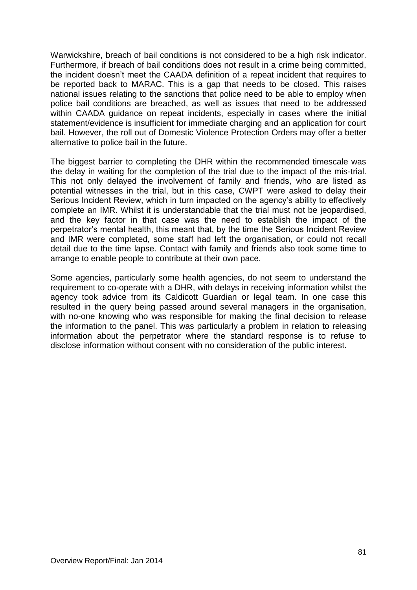Warwickshire, breach of bail conditions is not considered to be a high risk indicator. Furthermore, if breach of bail conditions does not result in a crime being committed, the incident doesn't meet the CAADA definition of a repeat incident that requires to be reported back to MARAC. This is a gap that needs to be closed. This raises national issues relating to the sanctions that police need to be able to employ when police bail conditions are breached, as well as issues that need to be addressed within CAADA quidance on repeat incidents, especially in cases where the initial statement/evidence is insufficient for immediate charging and an application for court bail. However, the roll out of Domestic Violence Protection Orders may offer a better alternative to police bail in the future.

The biggest barrier to completing the DHR within the recommended timescale was the delay in waiting for the completion of the trial due to the impact of the mis-trial. This not only delayed the involvement of family and friends, who are listed as potential witnesses in the trial, but in this case, CWPT were asked to delay their Serious Incident Review, which in turn impacted on the agency's ability to effectively complete an IMR. Whilst it is understandable that the trial must not be jeopardised, and the key factor in that case was the need to establish the impact of the perpetrator's mental health, this meant that, by the time the Serious Incident Review and IMR were completed, some staff had left the organisation, or could not recall detail due to the time lapse. Contact with family and friends also took some time to arrange to enable people to contribute at their own pace.

Some agencies, particularly some health agencies, do not seem to understand the requirement to co-operate with a DHR, with delays in receiving information whilst the agency took advice from its Caldicott Guardian or legal team. In one case this resulted in the query being passed around several managers in the organisation, with no-one knowing who was responsible for making the final decision to release the information to the panel. This was particularly a problem in relation to releasing information about the perpetrator where the standard response is to refuse to disclose information without consent with no consideration of the public interest.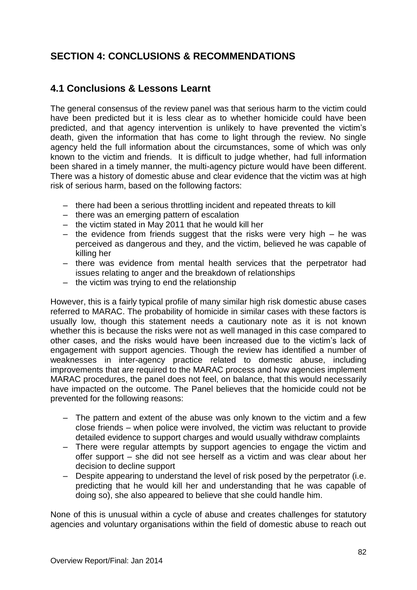# **SECTION 4: CONCLUSIONS & RECOMMENDATIONS**

## **4.1 Conclusions & Lessons Learnt**

The general consensus of the review panel was that serious harm to the victim could have been predicted but it is less clear as to whether homicide could have been predicted, and that agency intervention is unlikely to have prevented the victim's death, given the information that has come to light through the review. No single agency held the full information about the circumstances, some of which was only known to the victim and friends. It is difficult to judge whether, had full information been shared in a timely manner, the multi-agency picture would have been different. There was a history of domestic abuse and clear evidence that the victim was at high risk of serious harm, based on the following factors:

- there had been a serious throttling incident and repeated threats to kill
- there was an emerging pattern of escalation
- the victim stated in May 2011 that he would kill her
- $-$  the evidence from friends suggest that the risks were very high  $-$  he was perceived as dangerous and they, and the victim, believed he was capable of killing her
- there was evidence from mental health services that the perpetrator had issues relating to anger and the breakdown of relationships
- the victim was trying to end the relationship

However, this is a fairly typical profile of many similar high risk domestic abuse cases referred to MARAC. The probability of homicide in similar cases with these factors is usually low, though this statement needs a cautionary note as it is not known whether this is because the risks were not as well managed in this case compared to other cases, and the risks would have been increased due to the victim's lack of engagement with support agencies. Though the review has identified a number of weaknesses in inter-agency practice related to domestic abuse, including improvements that are required to the MARAC process and how agencies implement MARAC procedures, the panel does not feel, on balance, that this would necessarily have impacted on the outcome. The Panel believes that the homicide could not be prevented for the following reasons:

- The pattern and extent of the abuse was only known to the victim and a few close friends – when police were involved, the victim was reluctant to provide detailed evidence to support charges and would usually withdraw complaints
- There were regular attempts by support agencies to engage the victim and offer support – she did not see herself as a victim and was clear about her decision to decline support
- Despite appearing to understand the level of risk posed by the perpetrator (i.e. predicting that he would kill her and understanding that he was capable of doing so), she also appeared to believe that she could handle him.

None of this is unusual within a cycle of abuse and creates challenges for statutory agencies and voluntary organisations within the field of domestic abuse to reach out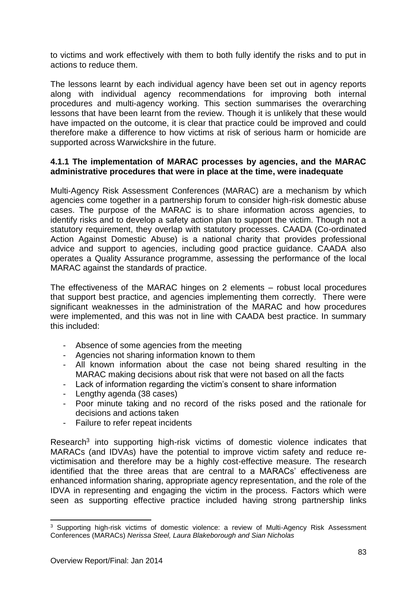to victims and work effectively with them to both fully identify the risks and to put in actions to reduce them.

The lessons learnt by each individual agency have been set out in agency reports along with individual agency recommendations for improving both internal procedures and multi-agency working. This section summarises the overarching lessons that have been learnt from the review. Though it is unlikely that these would have impacted on the outcome, it is clear that practice could be improved and could therefore make a difference to how victims at risk of serious harm or homicide are supported across Warwickshire in the future.

### **4.1.1 The implementation of MARAC processes by agencies, and the MARAC administrative procedures that were in place at the time, were inadequate**

Multi-Agency Risk Assessment Conferences (MARAC) are a mechanism by which agencies come together in a partnership forum to consider high-risk domestic abuse cases. The purpose of the MARAC is to share information across agencies, to identify risks and to develop a safety action plan to support the victim. Though not a statutory requirement, they overlap with statutory processes. CAADA (Co-ordinated Action Against Domestic Abuse) is a national charity that provides professional advice and support to agencies, including good practice guidance. CAADA also operates a Quality Assurance programme, assessing the performance of the local MARAC against the standards of practice.

The effectiveness of the MARAC hinges on 2 elements – robust local procedures that support best practice, and agencies implementing them correctly. There were significant weaknesses in the administration of the MARAC and how procedures were implemented, and this was not in line with CAADA best practice. In summary this included:

- Absence of some agencies from the meeting
- Agencies not sharing information known to them
- All known information about the case not being shared resulting in the MARAC making decisions about risk that were not based on all the facts
- Lack of information regarding the victim's consent to share information
- Lengthy agenda (38 cases)
- Poor minute taking and no record of the risks posed and the rationale for decisions and actions taken
- Failure to refer repeat incidents

Research<sup>3</sup> into supporting high-risk victims of domestic violence indicates that MARACs (and IDVAs) have the potential to improve victim safety and reduce revictimisation and therefore may be a highly cost-effective measure. The research identified that the three areas that are central to a MARACs' effectiveness are enhanced information sharing, appropriate agency representation, and the role of the IDVA in representing and engaging the victim in the process. Factors which were seen as supporting effective practice included having strong partnership links

-

<sup>3</sup> Supporting high-risk victims of domestic violence: a review of Multi-Agency Risk Assessment Conferences (MARACs) *Nerissa Steel, Laura Blakeborough and Sian Nicholas*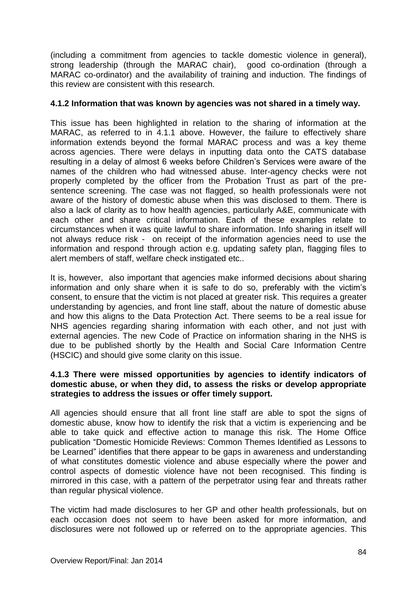(including a commitment from agencies to tackle domestic violence in general), strong leadership (through the MARAC chair), good co-ordination (through a MARAC co-ordinator) and the availability of training and induction. The findings of this review are consistent with this research.

### **4.1.2 Information that was known by agencies was not shared in a timely way.**

This issue has been highlighted in relation to the sharing of information at the MARAC, as referred to in 4.1.1 above. However, the failure to effectively share information extends beyond the formal MARAC process and was a key theme across agencies. There were delays in inputting data onto the CATS database resulting in a delay of almost 6 weeks before Children's Services were aware of the names of the children who had witnessed abuse. Inter-agency checks were not properly completed by the officer from the Probation Trust as part of the presentence screening. The case was not flagged, so health professionals were not aware of the history of domestic abuse when this was disclosed to them. There is also a lack of clarity as to how health agencies, particularly A&E, communicate with each other and share critical information. Each of these examples relate to circumstances when it was quite lawful to share information. Info sharing in itself will not always reduce risk - on receipt of the information agencies need to use the information and respond through action e.g. updating safety plan, flagging files to alert members of staff, welfare check instigated etc..

It is, however, also important that agencies make informed decisions about sharing information and only share when it is safe to do so, preferably with the victim's consent, to ensure that the victim is not placed at greater risk. This requires a greater understanding by agencies, and front line staff, about the nature of domestic abuse and how this aligns to the Data Protection Act. There seems to be a real issue for NHS agencies regarding sharing information with each other, and not just with external agencies. The new Code of Practice on information sharing in the NHS is due to be published shortly by the Health and Social Care Information Centre (HSCIC) and should give some clarity on this issue.

### **4.1.3 There were missed opportunities by agencies to identify indicators of domestic abuse, or when they did, to assess the risks or develop appropriate strategies to address the issues or offer timely support.**

All agencies should ensure that all front line staff are able to spot the signs of domestic abuse, know how to identify the risk that a victim is experiencing and be able to take quick and effective action to manage this risk. The Home Office publication "Domestic Homicide Reviews: Common Themes Identified as Lessons to be Learned" identifies that there appear to be gaps in awareness and understanding of what constitutes domestic violence and abuse especially where the power and control aspects of domestic violence have not been recognised. This finding is mirrored in this case, with a pattern of the perpetrator using fear and threats rather than regular physical violence.

The victim had made disclosures to her GP and other health professionals, but on each occasion does not seem to have been asked for more information, and disclosures were not followed up or referred on to the appropriate agencies. This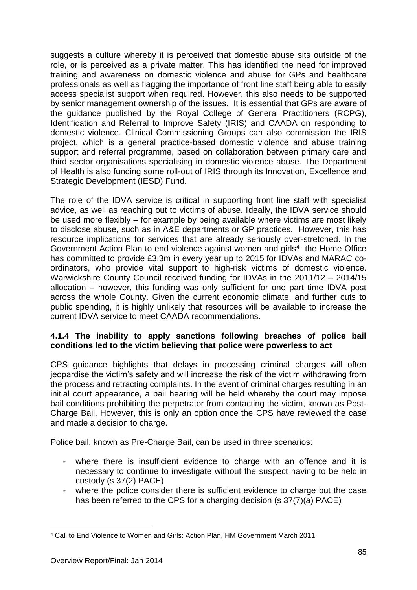suggests a culture whereby it is perceived that domestic abuse sits outside of the role, or is perceived as a private matter. This has identified the need for improved training and awareness on domestic violence and abuse for GPs and healthcare professionals as well as flagging the importance of front line staff being able to easily access specialist support when required. However, this also needs to be supported by senior management ownership of the issues. It is essential that GPs are aware of the guidance published by the Royal College of General Practitioners (RCPG), Identification and Referral to Improve Safety (IRIS) and CAADA on responding to domestic violence. Clinical Commissioning Groups can also commission the IRIS project, which is a general practice-based domestic violence and abuse training support and referral programme, based on collaboration between primary care and third sector organisations specialising in domestic violence abuse. The Department of Health is also funding some roll-out of IRIS through its Innovation, Excellence and Strategic Development (IESD) Fund.

The role of the IDVA service is critical in supporting front line staff with specialist advice, as well as reaching out to victims of abuse. Ideally, the IDVA service should be used more flexibly – for example by being available where victims are most likely to disclose abuse, such as in A&E departments or GP practices. However, this has resource implications for services that are already seriously over-stretched. In the Government Action Plan to end violence against women and girls<sup>4</sup> the Home Office has committed to provide £3.3m in every year up to 2015 for IDVAs and MARAC coordinators, who provide vital support to high-risk victims of domestic violence. Warwickshire County Council received funding for IDVAs in the 2011/12 – 2014/15 allocation – however, this funding was only sufficient for one part time IDVA post across the whole County. Given the current economic climate, and further cuts to public spending, it is highly unlikely that resources will be available to increase the current IDVA service to meet CAADA recommendations.

### **4.1.4 The inability to apply sanctions following breaches of police bail conditions led to the victim believing that police were powerless to act**

CPS guidance highlights that delays in processing criminal charges will often jeopardise the victim's safety and will increase the risk of the victim withdrawing from the process and retracting complaints. In the event of criminal charges resulting in an initial court appearance, a bail hearing will be held whereby the court may impose bail conditions prohibiting the perpetrator from contacting the victim, known as Post-Charge Bail. However, this is only an option once the CPS have reviewed the case and made a decision to charge.

Police bail, known as Pre-Charge Bail, can be used in three scenarios:

- where there is insufficient evidence to charge with an offence and it is necessary to continue to investigate without the suspect having to be held in custody (s 37(2) PACE)
- where the police consider there is sufficient evidence to charge but the case has been referred to the CPS for a charging decision (s 37(7)(a) PACE)

<sup>-</sup><sup>4</sup> Call to End Violence to Women and Girls: Action Plan, HM Government March 2011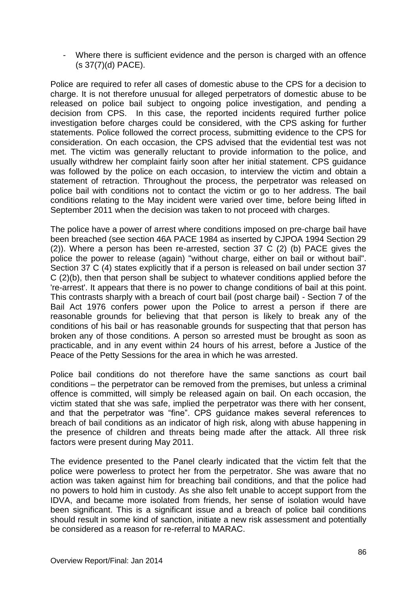- Where there is sufficient evidence and the person is charged with an offence (s 37(7)(d) PACE).

Police are required to refer all cases of domestic abuse to the CPS for a decision to charge. It is not therefore unusual for alleged perpetrators of domestic abuse to be released on police bail subject to ongoing police investigation, and pending a decision from CPS. In this case, the reported incidents required further police investigation before charges could be considered, with the CPS asking for further statements. Police followed the correct process, submitting evidence to the CPS for consideration. On each occasion, the CPS advised that the evidential test was not met. The victim was generally reluctant to provide information to the police, and usually withdrew her complaint fairly soon after her initial statement. CPS guidance was followed by the police on each occasion, to interview the victim and obtain a statement of retraction. Throughout the process, the perpetrator was released on police bail with conditions not to contact the victim or go to her address. The bail conditions relating to the May incident were varied over time, before being lifted in September 2011 when the decision was taken to not proceed with charges.

The police have a power of arrest where conditions imposed on pre-charge bail have been breached (see section 46A PACE 1984 as inserted by CJPOA 1994 Section 29 (2)). Where a person has been re-arrested, section 37 C (2) (b) PACE gives the police the power to release (again) "without charge, either on bail or without bail". Section 37 C (4) states explicitly that if a person is released on bail under section 37 C (2)(b), then that person shall be subject to whatever conditions applied before the 're-arrest'. It appears that there is no power to change conditions of bail at this point. This contrasts sharply with a breach of court bail (post charge bail) - Section 7 of the Bail Act 1976 confers power upon the Police to arrest a person if there are reasonable grounds for believing that that person is likely to break any of the conditions of his bail or has reasonable grounds for suspecting that that person has broken any of those conditions. A person so arrested must be brought as soon as practicable, and in any event within 24 hours of his arrest, before a Justice of the Peace of the Petty Sessions for the area in which he was arrested.

Police bail conditions do not therefore have the same sanctions as court bail conditions – the perpetrator can be removed from the premises, but unless a criminal offence is committed, will simply be released again on bail. On each occasion, the victim stated that she was safe, implied the perpetrator was there with her consent, and that the perpetrator was "fine". CPS guidance makes several references to breach of bail conditions as an indicator of high risk, along with abuse happening in the presence of children and threats being made after the attack. All three risk factors were present during May 2011.

The evidence presented to the Panel clearly indicated that the victim felt that the police were powerless to protect her from the perpetrator. She was aware that no action was taken against him for breaching bail conditions, and that the police had no powers to hold him in custody. As she also felt unable to accept support from the IDVA, and became more isolated from friends, her sense of isolation would have been significant. This is a significant issue and a breach of police bail conditions should result in some kind of sanction, initiate a new risk assessment and potentially be considered as a reason for re-referral to MARAC.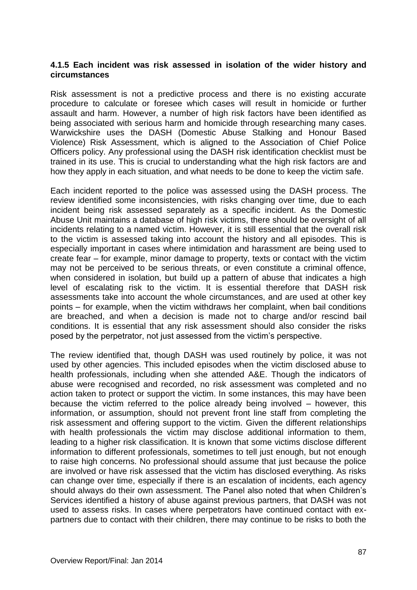### **4.1.5 Each incident was risk assessed in isolation of the wider history and circumstances**

Risk assessment is not a predictive process and there is no existing accurate procedure to calculate or foresee which cases will result in homicide or further assault and harm. However, a number of high risk factors have been identified as being associated with serious harm and homicide through researching many cases. Warwickshire uses the DASH (Domestic Abuse Stalking and Honour Based Violence) Risk Assessment, which is aligned to the Association of Chief Police Officers policy. Any professional using the DASH risk identification checklist must be trained in its use. This is crucial to understanding what the high risk factors are and how they apply in each situation, and what needs to be done to keep the victim safe.

Each incident reported to the police was assessed using the DASH process. The review identified some inconsistencies, with risks changing over time, due to each incident being risk assessed separately as a specific incident. As the Domestic Abuse Unit maintains a database of high risk victims, there should be oversight of all incidents relating to a named victim. However, it is still essential that the overall risk to the victim is assessed taking into account the history and all episodes. This is especially important in cases where intimidation and harassment are being used to create fear – for example, minor damage to property, texts or contact with the victim may not be perceived to be serious threats, or even constitute a criminal offence, when considered in isolation, but build up a pattern of abuse that indicates a high level of escalating risk to the victim. It is essential therefore that DASH risk assessments take into account the whole circumstances, and are used at other key points – for example, when the victim withdraws her complaint, when bail conditions are breached, and when a decision is made not to charge and/or rescind bail conditions. It is essential that any risk assessment should also consider the risks posed by the perpetrator, not just assessed from the victim's perspective.

The review identified that, though DASH was used routinely by police, it was not used by other agencies. This included episodes when the victim disclosed abuse to health professionals, including when she attended A&E. Though the indicators of abuse were recognised and recorded, no risk assessment was completed and no action taken to protect or support the victim. In some instances, this may have been because the victim referred to the police already being involved – however, this information, or assumption, should not prevent front line staff from completing the risk assessment and offering support to the victim. Given the different relationships with health professionals the victim may disclose additional information to them, leading to a higher risk classification. It is known that some victims disclose different information to different professionals, sometimes to tell just enough, but not enough to raise high concerns. No professional should assume that just because the police are involved or have risk assessed that the victim has disclosed everything. As risks can change over time, especially if there is an escalation of incidents, each agency should always do their own assessment. The Panel also noted that when Children's Services identified a history of abuse against previous partners, that DASH was not used to assess risks. In cases where perpetrators have continued contact with expartners due to contact with their children, there may continue to be risks to both the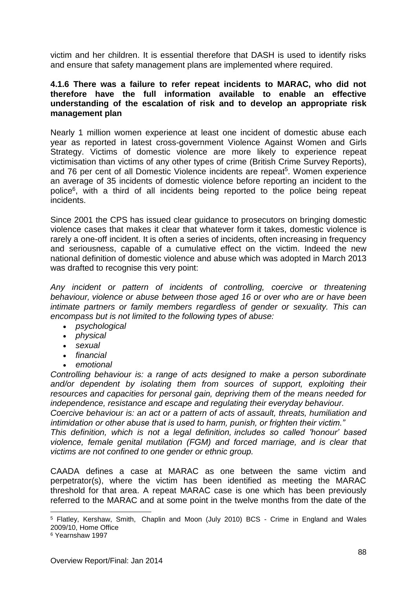victim and her children. It is essential therefore that DASH is used to identify risks and ensure that safety management plans are implemented where required.

### **4.1.6 There was a failure to refer repeat incidents to MARAC, who did not therefore have the full information available to enable an effective understanding of the escalation of risk and to develop an appropriate risk management plan**

Nearly 1 million women experience at least one incident of domestic abuse each year as reported in latest cross-government Violence Against Women and Girls Strategy. Victims of domestic violence are more likely to experience repeat victimisation than victims of any other types of crime (British Crime Survey Reports), and 76 per cent of all Domestic Violence incidents are repeat<sup>5</sup>. Women experience an average of 35 incidents of domestic violence before reporting an incident to the police<sup>6</sup>, with a third of all incidents being reported to the police being repeat incidents.

Since 2001 the CPS has issued clear guidance to prosecutors on bringing domestic violence cases that makes it clear that whatever form it takes, domestic violence is rarely a one-off incident. It is often a series of incidents, often increasing in frequency and seriousness, capable of a cumulative effect on the victim. Indeed the new national definition of domestic violence and abuse which was adopted in March 2013 was drafted to recognise this very point:

*Any incident or pattern of incidents of controlling, coercive or threatening behaviour, violence or abuse between those aged 16 or over who are or have been intimate partners or family members regardless of gender or sexuality. This can encompass but is not limited to the following types of abuse:*

- *psychological*
- *physical*
- *sexual*
- *financial*
- *emotional*

*Controlling behaviour is: a range of acts designed to make a person subordinate*  and/or dependent by isolating them from sources of support, exploiting their *resources and capacities for personal gain, depriving them of the means needed for independence, resistance and escape and regulating their everyday behaviour.*

*Coercive behaviour is: an act or a pattern of acts of assault, threats, humiliation and intimidation or other abuse that is used to harm, punish, or frighten their victim."* 

*This definition, which is not a legal definition, includes so called 'honour' based violence, female genital mutilation (FGM) and forced marriage, and is clear that victims are not confined to one gender or ethnic group.*

CAADA defines a case at MARAC as one between the same victim and perpetrator(s), where the victim has been identified as meeting the MARAC threshold for that area. A repeat MARAC case is one which has been previously referred to the MARAC and at some point in the twelve months from the date of the

<sup>-</sup><sup>5</sup> Flatley, Kershaw, Smith, Chaplin and Moon (July 2010) BCS - Crime in England and Wales 2009/10, Home Office

<sup>6</sup> Yearnshaw 1997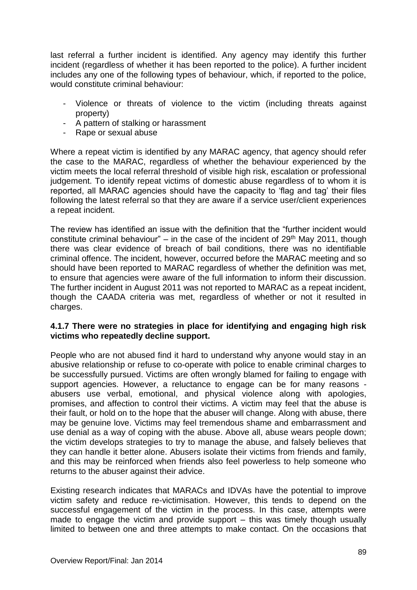last referral a further incident is identified. Any agency may identify this further incident (regardless of whether it has been reported to the police). A further incident includes any one of the following types of behaviour, which, if reported to the police, would constitute criminal behaviour:

- Violence or threats of violence to the victim (including threats against property)
- A pattern of stalking or harassment
- Rape or sexual abuse

Where a repeat victim is identified by any MARAC agency, that agency should refer the case to the MARAC, regardless of whether the behaviour experienced by the victim meets the local referral threshold of visible high risk, escalation or professional judgement. To identify repeat victims of domestic abuse regardless of to whom it is reported, all MARAC agencies should have the capacity to 'flag and tag' their files following the latest referral so that they are aware if a service user/client experiences a repeat incident.

The review has identified an issue with the definition that the "further incident would constitute criminal behaviour" – in the case of the incident of  $29<sup>th</sup>$  May 2011, though there was clear evidence of breach of bail conditions, there was no identifiable criminal offence. The incident, however, occurred before the MARAC meeting and so should have been reported to MARAC regardless of whether the definition was met, to ensure that agencies were aware of the full information to inform their discussion. The further incident in August 2011 was not reported to MARAC as a repeat incident, though the CAADA criteria was met, regardless of whether or not it resulted in charges.

### **4.1.7 There were no strategies in place for identifying and engaging high risk victims who repeatedly decline support.**

People who are not abused find it hard to understand why anyone would stay in an abusive relationship or refuse to co-operate with police to enable criminal charges to be successfully pursued. Victims are often wrongly blamed for failing to engage with support agencies. However, a reluctance to engage can be for many reasons abusers use verbal, emotional, and physical violence along with apologies, promises, and affection to control their victims. A victim may feel that the abuse is their fault, or hold on to the hope that the abuser will change. Along with abuse, there may be genuine love. Victims may feel tremendous shame and embarrassment and use denial as a way of coping with the abuse. Above all, abuse wears people down; the victim develops strategies to try to manage the abuse, and falsely believes that they can handle it better alone. Abusers isolate their victims from friends and family, and this may be reinforced when friends also feel powerless to help someone who returns to the abuser against their advice.

Existing research indicates that MARACs and IDVAs have the potential to improve victim safety and reduce re-victimisation. However, this tends to depend on the successful engagement of the victim in the process. In this case, attempts were made to engage the victim and provide support – this was timely though usually limited to between one and three attempts to make contact. On the occasions that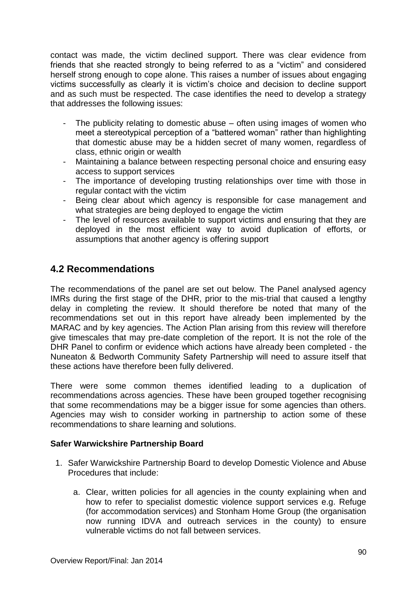contact was made, the victim declined support. There was clear evidence from friends that she reacted strongly to being referred to as a "victim" and considered herself strong enough to cope alone. This raises a number of issues about engaging victims successfully as clearly it is victim's choice and decision to decline support and as such must be respected. The case identifies the need to develop a strategy that addresses the following issues:

- The publicity relating to domestic abuse often using images of women who meet a stereotypical perception of a "battered woman" rather than highlighting that domestic abuse may be a hidden secret of many women, regardless of class, ethnic origin or wealth
- Maintaining a balance between respecting personal choice and ensuring easy access to support services
- The importance of developing trusting relationships over time with those in regular contact with the victim
- Being clear about which agency is responsible for case management and what strategies are being deployed to engage the victim
- The level of resources available to support victims and ensuring that they are deployed in the most efficient way to avoid duplication of efforts, or assumptions that another agency is offering support

### **4.2 Recommendations**

The recommendations of the panel are set out below. The Panel analysed agency IMRs during the first stage of the DHR, prior to the mis-trial that caused a lengthy delay in completing the review. It should therefore be noted that many of the recommendations set out in this report have already been implemented by the MARAC and by key agencies. The Action Plan arising from this review will therefore give timescales that may pre-date completion of the report. It is not the role of the DHR Panel to confirm or evidence which actions have already been completed - the Nuneaton & Bedworth Community Safety Partnership will need to assure itself that these actions have therefore been fully delivered.

There were some common themes identified leading to a duplication of recommendations across agencies. These have been grouped together recognising that some recommendations may be a bigger issue for some agencies than others. Agencies may wish to consider working in partnership to action some of these recommendations to share learning and solutions.

### **Safer Warwickshire Partnership Board**

- 1. Safer Warwickshire Partnership Board to develop Domestic Violence and Abuse Procedures that include:
	- a. Clear, written policies for all agencies in the county explaining when and how to refer to specialist domestic violence support services e.g. Refuge (for accommodation services) and Stonham Home Group (the organisation now running IDVA and outreach services in the county) to ensure vulnerable victims do not fall between services.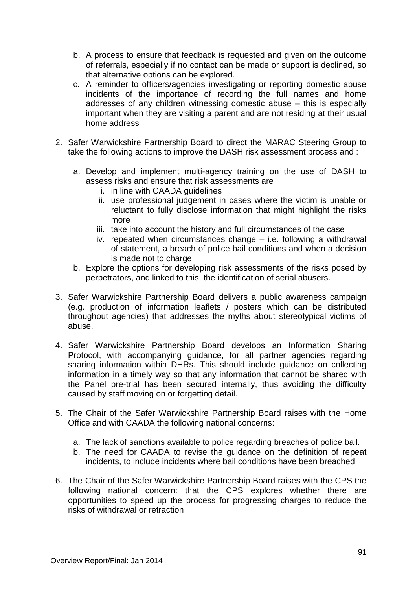- b. A process to ensure that feedback is requested and given on the outcome of referrals, especially if no contact can be made or support is declined, so that alternative options can be explored.
- c. A reminder to officers/agencies investigating or reporting domestic abuse incidents of the importance of recording the full names and home addresses of any children witnessing domestic abuse – this is especially important when they are visiting a parent and are not residing at their usual home address
- 2. Safer Warwickshire Partnership Board to direct the MARAC Steering Group to take the following actions to improve the DASH risk assessment process and :
	- a. Develop and implement multi-agency training on the use of DASH to assess risks and ensure that risk assessments are
		- i. in line with CAADA guidelines
		- ii. use professional judgement in cases where the victim is unable or reluctant to fully disclose information that might highlight the risks more
		- iii. take into account the history and full circumstances of the case
		- iv. repeated when circumstances change i.e. following a withdrawal of statement, a breach of police bail conditions and when a decision is made not to charge
	- b. Explore the options for developing risk assessments of the risks posed by perpetrators, and linked to this, the identification of serial abusers.
- 3. Safer Warwickshire Partnership Board delivers a public awareness campaign (e.g. production of information leaflets / posters which can be distributed throughout agencies) that addresses the myths about stereotypical victims of abuse.
- 4. Safer Warwickshire Partnership Board develops an Information Sharing Protocol, with accompanying guidance, for all partner agencies regarding sharing information within DHRs. This should include guidance on collecting information in a timely way so that any information that cannot be shared with the Panel pre-trial has been secured internally, thus avoiding the difficulty caused by staff moving on or forgetting detail.
- 5. The Chair of the Safer Warwickshire Partnership Board raises with the Home Office and with CAADA the following national concerns:
	- a. The lack of sanctions available to police regarding breaches of police bail.
	- b. The need for CAADA to revise the guidance on the definition of repeat incidents, to include incidents where bail conditions have been breached
- 6. The Chair of the Safer Warwickshire Partnership Board raises with the CPS the following national concern: that the CPS explores whether there are opportunities to speed up the process for progressing charges to reduce the risks of withdrawal or retraction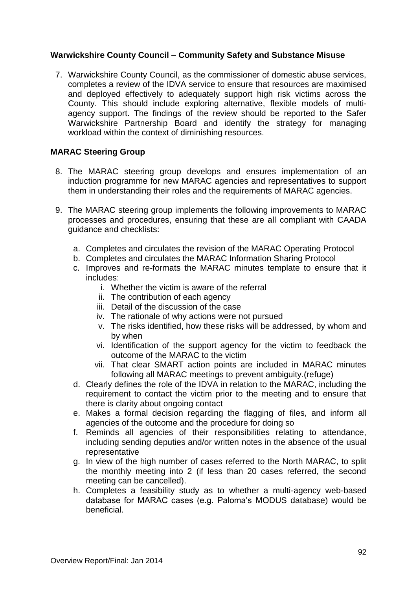### **Warwickshire County Council – Community Safety and Substance Misuse**

7. Warwickshire County Council, as the commissioner of domestic abuse services, completes a review of the IDVA service to ensure that resources are maximised and deployed effectively to adequately support high risk victims across the County. This should include exploring alternative, flexible models of multiagency support. The findings of the review should be reported to the Safer Warwickshire Partnership Board and identify the strategy for managing workload within the context of diminishing resources.

### **MARAC Steering Group**

- 8. The MARAC steering group develops and ensures implementation of an induction programme for new MARAC agencies and representatives to support them in understanding their roles and the requirements of MARAC agencies.
- 9. The MARAC steering group implements the following improvements to MARAC processes and procedures, ensuring that these are all compliant with CAADA guidance and checklists:
	- a. Completes and circulates the revision of the MARAC Operating Protocol
	- b. Completes and circulates the MARAC Information Sharing Protocol
	- c. Improves and re-formats the MARAC minutes template to ensure that it includes:
		- i. Whether the victim is aware of the referral
		- ii. The contribution of each agency
		- iii. Detail of the discussion of the case
		- iv. The rationale of why actions were not pursued
		- v. The risks identified, how these risks will be addressed, by whom and by when
		- vi. Identification of the support agency for the victim to feedback the outcome of the MARAC to the victim
		- vii. That clear SMART action points are included in MARAC minutes following all MARAC meetings to prevent ambiguity.(refuge)
	- d. Clearly defines the role of the IDVA in relation to the MARAC, including the requirement to contact the victim prior to the meeting and to ensure that there is clarity about ongoing contact
	- e. Makes a formal decision regarding the flagging of files, and inform all agencies of the outcome and the procedure for doing so
	- f. Reminds all agencies of their responsibilities relating to attendance, including sending deputies and/or written notes in the absence of the usual representative
	- g. In view of the high number of cases referred to the North MARAC, to split the monthly meeting into 2 (if less than 20 cases referred, the second meeting can be cancelled).
	- h. Completes a feasibility study as to whether a multi-agency web-based database for MARAC cases (e.g. Paloma's MODUS database) would be beneficial.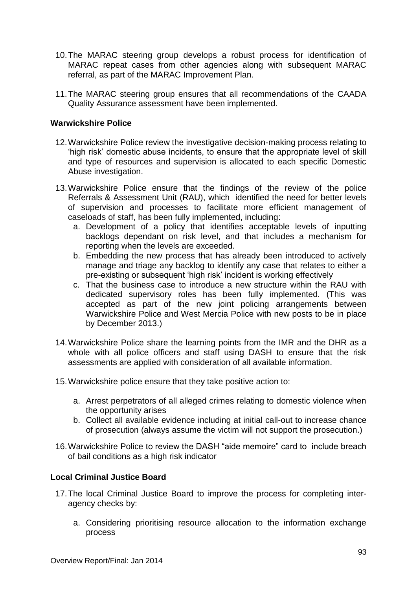- 10.The MARAC steering group develops a robust process for identification of MARAC repeat cases from other agencies along with subsequent MARAC referral, as part of the MARAC Improvement Plan.
- 11.The MARAC steering group ensures that all recommendations of the CAADA Quality Assurance assessment have been implemented.

### **Warwickshire Police**

- 12.Warwickshire Police review the investigative decision-making process relating to 'high risk' domestic abuse incidents, to ensure that the appropriate level of skill and type of resources and supervision is allocated to each specific Domestic Abuse investigation.
- 13.Warwickshire Police ensure that the findings of the review of the police Referrals & Assessment Unit (RAU), which identified the need for better levels of supervision and processes to facilitate more efficient management of caseloads of staff, has been fully implemented, including:
	- a. Development of a policy that identifies acceptable levels of inputting backlogs dependant on risk level, and that includes a mechanism for reporting when the levels are exceeded.
	- b. Embedding the new process that has already been introduced to actively manage and triage any backlog to identify any case that relates to either a pre-existing or subsequent 'high risk' incident is working effectively
	- c. That the business case to introduce a new structure within the RAU with dedicated supervisory roles has been fully implemented. (This was accepted as part of the new joint policing arrangements between Warwickshire Police and West Mercia Police with new posts to be in place by December 2013.)
- 14.Warwickshire Police share the learning points from the IMR and the DHR as a whole with all police officers and staff using DASH to ensure that the risk assessments are applied with consideration of all available information.
- 15.Warwickshire police ensure that they take positive action to:
	- a. Arrest perpetrators of all alleged crimes relating to domestic violence when the opportunity arises
	- b. Collect all available evidence including at initial call-out to increase chance of prosecution (always assume the victim will not support the prosecution.)
- 16.Warwickshire Police to review the DASH "aide memoire" card to include breach of bail conditions as a high risk indicator

### **Local Criminal Justice Board**

- 17.The local Criminal Justice Board to improve the process for completing interagency checks by:
	- a. Considering prioritising resource allocation to the information exchange process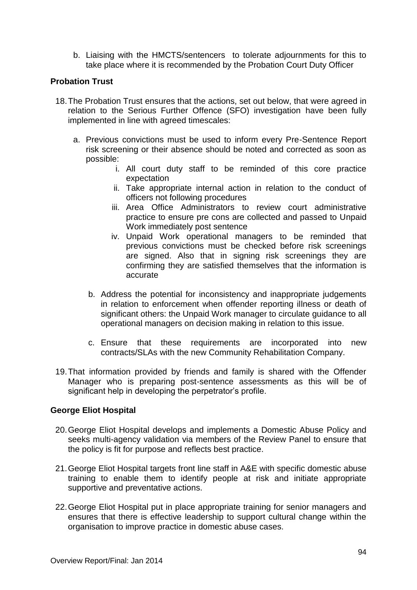b. Liaising with the HMCTS/sentencers to tolerate adjournments for this to take place where it is recommended by the Probation Court Duty Officer

### **Probation Trust**

- 18.The Probation Trust ensures that the actions, set out below, that were agreed in relation to the Serious Further Offence (SFO) investigation have been fully implemented in line with agreed timescales:
	- a. Previous convictions must be used to inform every Pre-Sentence Report risk screening or their absence should be noted and corrected as soon as possible:
		- i. All court duty staff to be reminded of this core practice expectation
		- ii. Take appropriate internal action in relation to the conduct of officers not following procedures
		- iii. Area Office Administrators to review court administrative practice to ensure pre cons are collected and passed to Unpaid Work immediately post sentence
		- iv. Unpaid Work operational managers to be reminded that previous convictions must be checked before risk screenings are signed. Also that in signing risk screenings they are confirming they are satisfied themselves that the information is accurate
		- b. Address the potential for inconsistency and inappropriate judgements in relation to enforcement when offender reporting illness or death of significant others: the Unpaid Work manager to circulate guidance to all operational managers on decision making in relation to this issue.
		- c. Ensure that these requirements are incorporated into new contracts/SLAs with the new Community Rehabilitation Company.
- 19.That information provided by friends and family is shared with the Offender Manager who is preparing post-sentence assessments as this will be of significant help in developing the perpetrator's profile.

### **George Eliot Hospital**

- 20.George Eliot Hospital develops and implements a Domestic Abuse Policy and seeks multi-agency validation via members of the Review Panel to ensure that the policy is fit for purpose and reflects best practice.
- 21.George Eliot Hospital targets front line staff in A&E with specific domestic abuse training to enable them to identify people at risk and initiate appropriate supportive and preventative actions.
- 22.George Eliot Hospital put in place appropriate training for senior managers and ensures that there is effective leadership to support cultural change within the organisation to improve practice in domestic abuse cases.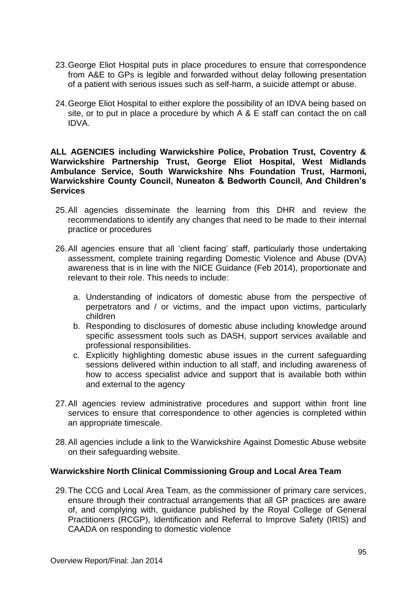- 23.George Eliot Hospital puts in place procedures to ensure that correspondence from A&E to GPs is legible and forwarded without delay following presentation of a patient with serious issues such as self-harm, a suicide attempt or abuse.
- 24.George Eliot Hospital to either explore the possibility of an IDVA being based on site, or to put in place a procedure by which A & E staff can contact the on call IDVA.

### **ALL AGENCIES including Warwickshire Police, Probation Trust, Coventry & Warwickshire Partnership Trust, George Eliot Hospital, West Midlands Ambulance Service, South Warwickshire Nhs Foundation Trust, Harmoni, Warwickshire County Council, Nuneaton & Bedworth Council, And Children's Services**

- 25.All agencies disseminate the learning from this DHR and review the recommendations to identify any changes that need to be made to their internal practice or procedures
- 26.All agencies ensure that all 'client facing' staff, particularly those undertaking assessment, complete training regarding Domestic Violence and Abuse (DVA) awareness that is in line with the NICE Guidance (Feb 2014), proportionate and relevant to their role. This needs to include:
	- a. Understanding of indicators of domestic abuse from the perspective of perpetrators and / or victims, and the impact upon victims, particularly children
	- b. Responding to disclosures of domestic abuse including knowledge around specific assessment tools such as DASH, support services available and professional responsibilities.
	- c. Explicitly highlighting domestic abuse issues in the current safeguarding sessions delivered within induction to all staff, and including awareness of how to access specialist advice and support that is available both within and external to the agency
- 27.All agencies review administrative procedures and support within front line services to ensure that correspondence to other agencies is completed within an appropriate timescale.
- 28.All agencies include a link to the Warwickshire Against Domestic Abuse website on their safeguarding website.

### **Warwickshire North Clinical Commissioning Group and Local Area Team**

29.The CCG and Local Area Team, as the commissioner of primary care services, ensure through their contractual arrangements that all GP practices are aware of, and complying with, guidance published by the Royal College of General Practitioners (RCGP), Identification and Referral to Improve Safety (IRIS) and CAADA on responding to domestic violence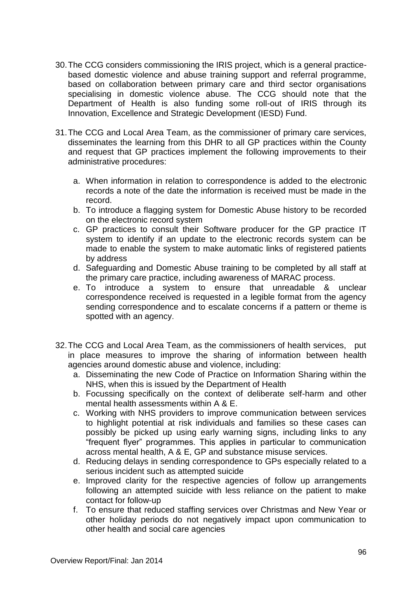- 30.The CCG considers commissioning the IRIS project, which is a general practicebased domestic violence and abuse training support and referral programme, based on collaboration between primary care and third sector organisations specialising in domestic violence abuse. The CCG should note that the Department of Health is also funding some roll-out of IRIS through its Innovation, Excellence and Strategic Development (IESD) Fund.
- 31.The CCG and Local Area Team, as the commissioner of primary care services, disseminates the learning from this DHR to all GP practices within the County and request that GP practices implement the following improvements to their administrative procedures:
	- a. When information in relation to correspondence is added to the electronic records a note of the date the information is received must be made in the record.
	- b. To introduce a flagging system for Domestic Abuse history to be recorded on the electronic record system
	- c. GP practices to consult their Software producer for the GP practice IT system to identify if an update to the electronic records system can be made to enable the system to make automatic links of registered patients by address
	- d. Safeguarding and Domestic Abuse training to be completed by all staff at the primary care practice, including awareness of MARAC process.
	- e. To introduce a system to ensure that unreadable & unclear correspondence received is requested in a legible format from the agency sending correspondence and to escalate concerns if a pattern or theme is spotted with an agency.
- 32.The CCG and Local Area Team, as the commissioners of health services, put in place measures to improve the sharing of information between health agencies around domestic abuse and violence, including:
	- a. Disseminating the new Code of Practice on Information Sharing within the NHS, when this is issued by the Department of Health
	- b. Focussing specifically on the context of deliberate self-harm and other mental health assessments within A & E.
	- c. Working with NHS providers to improve communication between services to highlight potential at risk individuals and families so these cases can possibly be picked up using early warning signs, including links to any "frequent flyer" programmes. This applies in particular to communication across mental health, A & E, GP and substance misuse services.
	- d. Reducing delays in sending correspondence to GPs especially related to a serious incident such as attempted suicide
	- e. Improved clarity for the respective agencies of follow up arrangements following an attempted suicide with less reliance on the patient to make contact for follow-up
	- f. To ensure that reduced staffing services over Christmas and New Year or other holiday periods do not negatively impact upon communication to other health and social care agencies